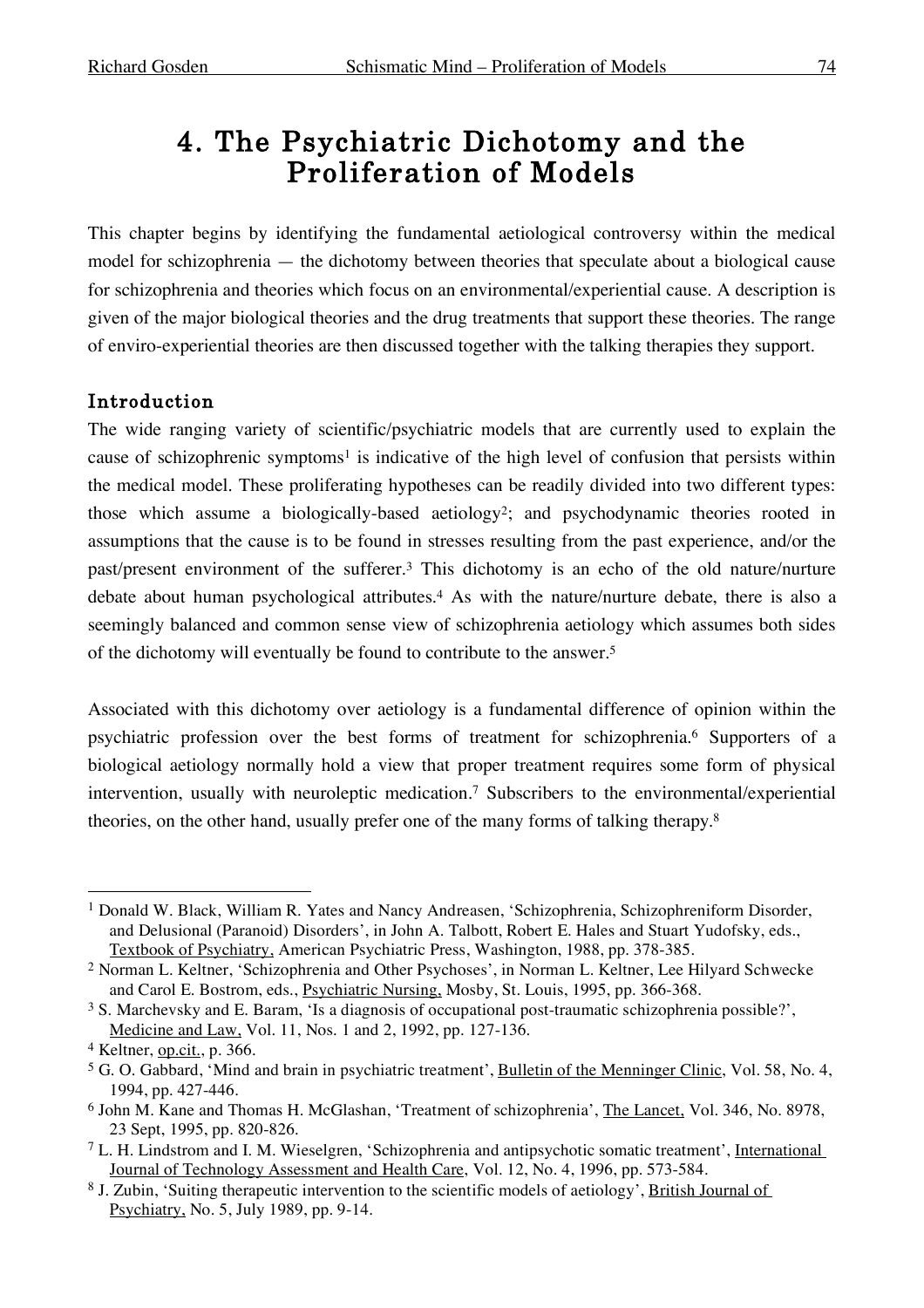# 4. The Psychiatric Dichotomy and the Proliferation of Models

This chapter begins by identifying the fundamental aetiological controversy within the medical model for schizophrenia — the dichotomy between theories that speculate about a biological cause for schizophrenia and theories which focus on an environmental/experiential cause. A description is given of the major biological theories and the drug treatments that support these theories. The range of enviro-experiential theories are then discussed together with the talking therapies they support.

## Introduction

The wide ranging variety of scientific/psychiatric models that are currently used to explain the cause of schizophrenic symptoms<sup>1</sup> is indicative of the high level of confusion that persists within the medical model. These proliferating hypotheses can be readily divided into two different types: those which assume a biologically-based aetiology2; and psychodynamic theories rooted in assumptions that the cause is to be found in stresses resulting from the past experience, and/or the past/present environment of the sufferer. <sup>3</sup> This dichotomy is an echo of the old nature/nurture debate about human psychological attributes. <sup>4</sup> As with the nature/nurture debate, there is also a seemingly balanced and common sense view of schizophrenia aetiology which assumes both sides of the dichotomy will eventually be found to contribute to the answer. 5

Associated with this dichotomy over aetiology is a fundamental difference of opinion within the psychiatric profession over the best forms of treatment for schizophrenia. <sup>6</sup> Supporters of a biological aetiology normally hold a view that proper treatment requires some form of physical intervention, usually with neuroleptic medication. <sup>7</sup> Subscribers to the environmental/experiential theories, on the other hand, usually prefer one of the many forms of talking therapy.<sup>8</sup>

 <sup>1</sup> Donald W. Black, William R. Yates and Nancy Andreasen, 'Schizophrenia, Schizophreniform Disorder, and Delusional (Paranoid) Disorders', in John A. Talbott, Robert E. Hales and Stuart Yudofsky, eds., Textbook of Psychiatry, American Psychiatric Press, Washington, 1988, pp. 378-385.

<sup>2</sup> Norman L. Keltner, 'Schizophrenia and Other Psychoses', in Norman L. Keltner, Lee Hilyard Schwecke and Carol E. Bostrom, eds., Psychiatric Nursing, Mosby, St. Louis, 1995, pp. 366-368.

<sup>3</sup> S. Marchevsky and E. Baram, 'Is a diagnosis of occupational post-traumatic schizophrenia possible?', Medicine and Law, Vol. 11, Nos. 1 and 2, 1992, pp. 127-136.

<sup>4</sup> Keltner, op.cit., p. 366.

<sup>&</sup>lt;sup>5</sup> G. O. Gabbard, 'Mind and brain in psychiatric treatment', Bulletin of the Menninger Clinic, Vol. 58, No. 4, 1994, pp. 427-446.

<sup>6</sup> John M. Kane and Thomas H. McGlashan, 'Treatment of schizophrenia', The Lancet, Vol. 346, No. 8978, 23 Sept, 1995, pp. 820-826.

<sup>7</sup> L. H. Lindstrom and I. M. Wieselgren, 'Schizophrenia and antipsychotic somatic treatment', International Journal of Technology Assessment and Health Care, Vol. 12, No. 4, 1996, pp. 573-584.

<sup>8</sup> J. Zubin, 'Suiting therapeutic intervention to the scientific models of aetiology', British Journal of Psychiatry, No. 5, July 1989, pp. 9-14.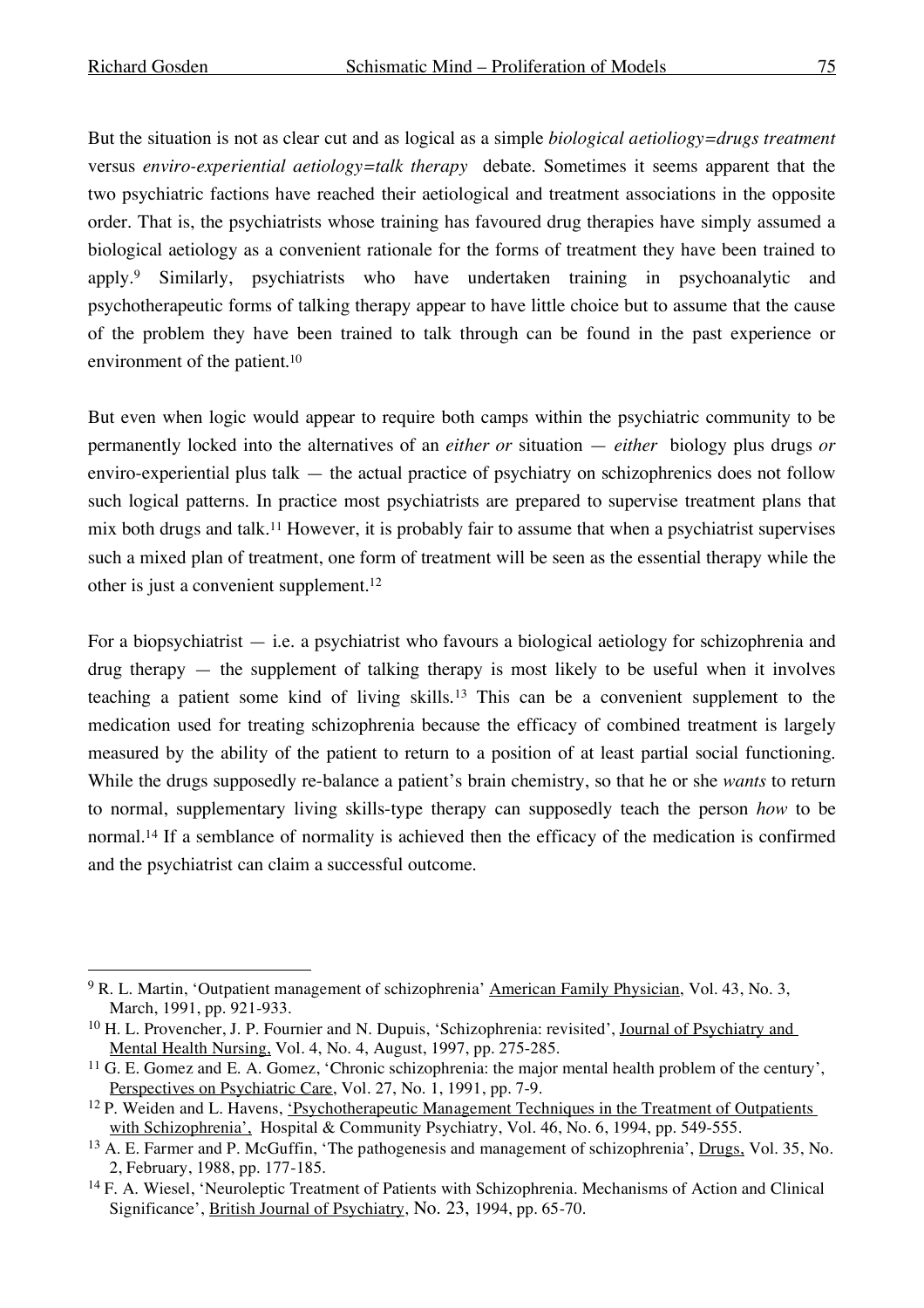But the situation is not as clear cut and as logical as a simple *biological aetioliogy=drugs treatment* versus *enviro-experiential aetiology=talk therapy* debate. Sometimes it seems apparent that the two psychiatric factions have reached their aetiological and treatment associations in the opposite order. That is, the psychiatrists whose training has favoured drug therapies have simply assumed a biological aetiology as a convenient rationale for the forms of treatment they have been trained to apply.9 Similarly, psychiatrists who have undertaken training in psychoanalytic and psychotherapeutic forms of talking therapy appear to have little choice but to assume that the cause of the problem they have been trained to talk through can be found in the past experience or environment of the patient. 10

But even when logic would appear to require both camps within the psychiatric community to be permanently locked into the alternatives of an *either or* situation — *either* biology plus drugs *or* enviro-experiential plus talk — the actual practice of psychiatry on schizophrenics does not follow such logical patterns. In practice most psychiatrists are prepared to supervise treatment plans that mix both drugs and talk.11 However, it is probably fair to assume that when a psychiatrist supervises such a mixed plan of treatment, one form of treatment will be seen as the essential therapy while the other is just a convenient supplement. 12

For a biopsychiatrist  $-$  i.e. a psychiatrist who favours a biological aetiology for schizophrenia and  $d\theta$  drug therapy — the supplement of talking therapy is most likely to be useful when it involves teaching a patient some kind of living skills.13 This can be a convenient supplement to the medication used for treating schizophrenia because the efficacy of combined treatment is largely measured by the ability of the patient to return to a position of at least partial social functioning. While the drugs supposedly re-balance a patient's brain chemistry, so that he or she *wants* to return to normal, supplementary living skills-type therapy can supposedly teach the person *how* to be normal. <sup>14</sup> If a semblance of normality is achieved then the efficacy of the medication is confirmed and the psychiatrist can claim a successful outcome.

<sup>&</sup>lt;sup>9</sup> R. L. Martin, 'Outpatient management of schizophrenia' American Family Physician, Vol. 43, No. 3, March, 1991, pp. 921-933.

<sup>10</sup> H. L. Provencher, J. P. Fournier and N. Dupuis, 'Schizophrenia: revisited', Journal of Psychiatry and Mental Health Nursing, Vol. 4, No. 4, August, 1997, pp. 275-285.

<sup>11</sup> G. E. Gomez and E. A. Gomez, 'Chronic schizophrenia: the major mental health problem of the century', Perspectives on Psychiatric Care, Vol. 27, No. 1, 1991, pp. 7-9.

<sup>&</sup>lt;sup>12</sup> P. Weiden and L. Havens, <u>'Psychotherapeutic Management Techniques in the Treatment of Outpatients</u> with Schizophrenia', Hospital & Community Psychiatry, Vol. 46, No. 6, 1994, pp. 549-555.

<sup>13</sup> A. E. Farmer and P. McGuffin, 'The pathogenesis and management of schizophrenia', Drugs, Vol. 35, No. 2, February, 1988, pp. 177-185.

<sup>14</sup> F. A. Wiesel, 'Neuroleptic Treatment of Patients with Schizophrenia. Mechanisms of Action and Clinical Significance', British Journal of Psychiatry, No. 23, 1994, pp. 65-70.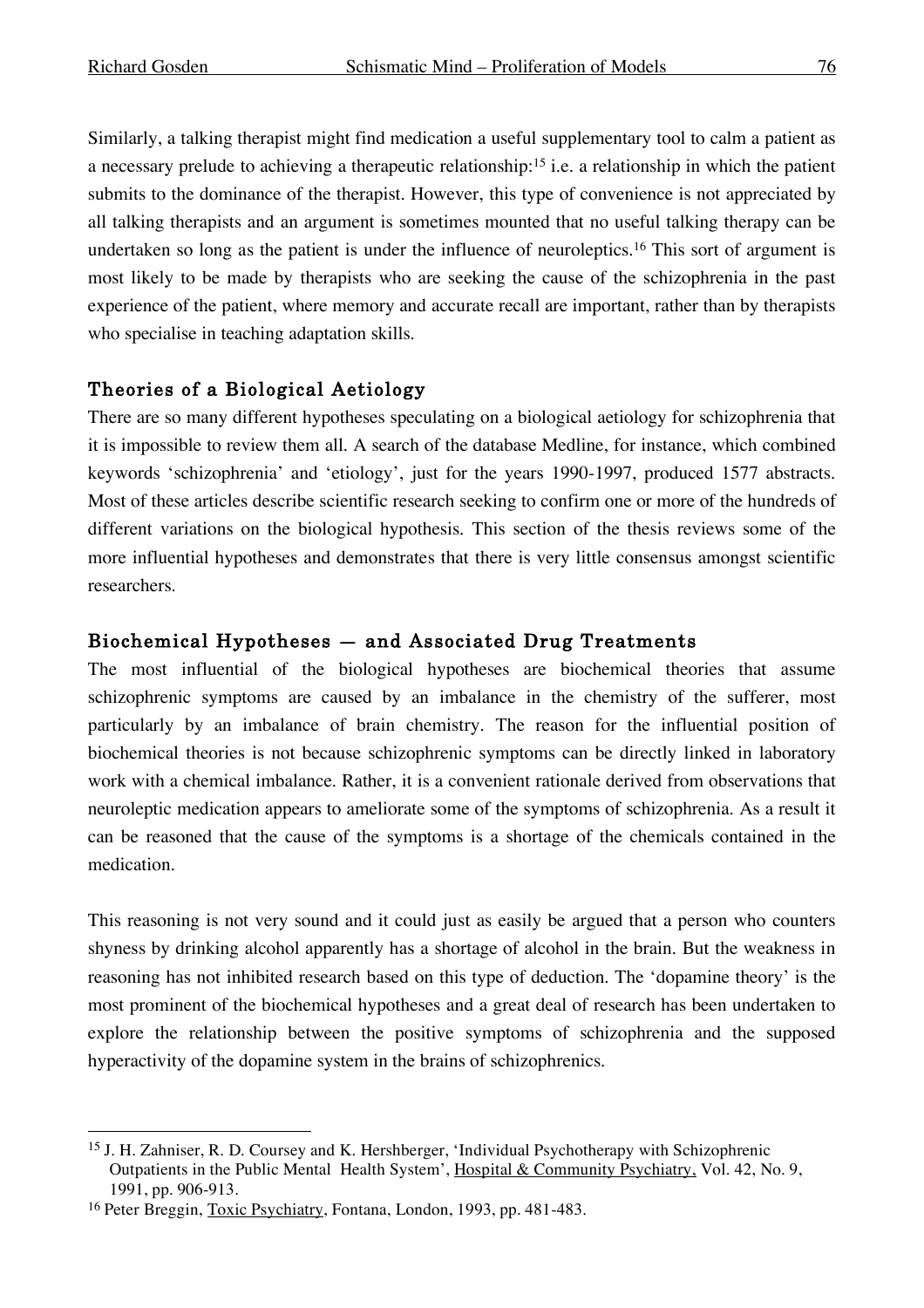Similarly, a talking therapist might find medication a useful supplementary tool to calm a patient as a necessary prelude to achieving a therapeutic relationship:15 i.e. a relationship in which the patient submits to the dominance of the therapist. However, this type of convenience is not appreciated by all talking therapists and an argument is sometimes mounted that no useful talking therapy can be undertaken so long as the patient is under the influence of neuroleptics. <sup>16</sup> This sort of argument is most likely to be made by therapists who are seeking the cause of the schizophrenia in the past experience of the patient, where memory and accurate recall are important, rather than by therapists who specialise in teaching adaptation skills.

# Theories of a Biological Aetiology

There are so many different hypotheses speculating on a biological aetiology for schizophrenia that it is impossible to review them all. A search of the database Medline, for instance, which combined keywords 'schizophrenia' and 'etiology', just for the years 1990-1997, produced 1577 abstracts. Most of these articles describe scientific research seeking to confirm one or more of the hundreds of different variations on the biological hypothesis. This section of the thesis reviews some of the more influential hypotheses and demonstrates that there is very little consensus amongst scientific researchers.

## Biochemical Hypotheses — and Associated Drug Treatments

The most influential of the biological hypotheses are biochemical theories that assume schizophrenic symptoms are caused by an imbalance in the chemistry of the sufferer, most particularly by an imbalance of brain chemistry. The reason for the influential position of biochemical theories is not because schizophrenic symptoms can be directly linked in laboratory work with a chemical imbalance. Rather, it is a convenient rationale derived from observations that neuroleptic medication appears to ameliorate some of the symptoms of schizophrenia. As a result it can be reasoned that the cause of the symptoms is a shortage of the chemicals contained in the medication.

This reasoning is not very sound and it could just as easily be argued that a person who counters shyness by drinking alcohol apparently has a shortage of alcohol in the brain. But the weakness in reasoning has not inhibited research based on this type of deduction. The 'dopamine theory' is the most prominent of the biochemical hypotheses and a great deal of research has been undertaken to explore the relationship between the positive symptoms of schizophrenia and the supposed hyperactivity of the dopamine system in the brains of schizophrenics.

 <sup>15</sup> J. H. Zahniser, R. D. Coursey and K. Hershberger, 'Individual Psychotherapy with Schizophrenic Outpatients in the Public Mental Health System', Hospital & Community Psychiatry, Vol. 42, No. 9, 1991, pp. 906-913.

<sup>&</sup>lt;sup>16</sup> Peter Breggin, **Toxic Psychiatry**, Fontana, London, 1993, pp. 481-483.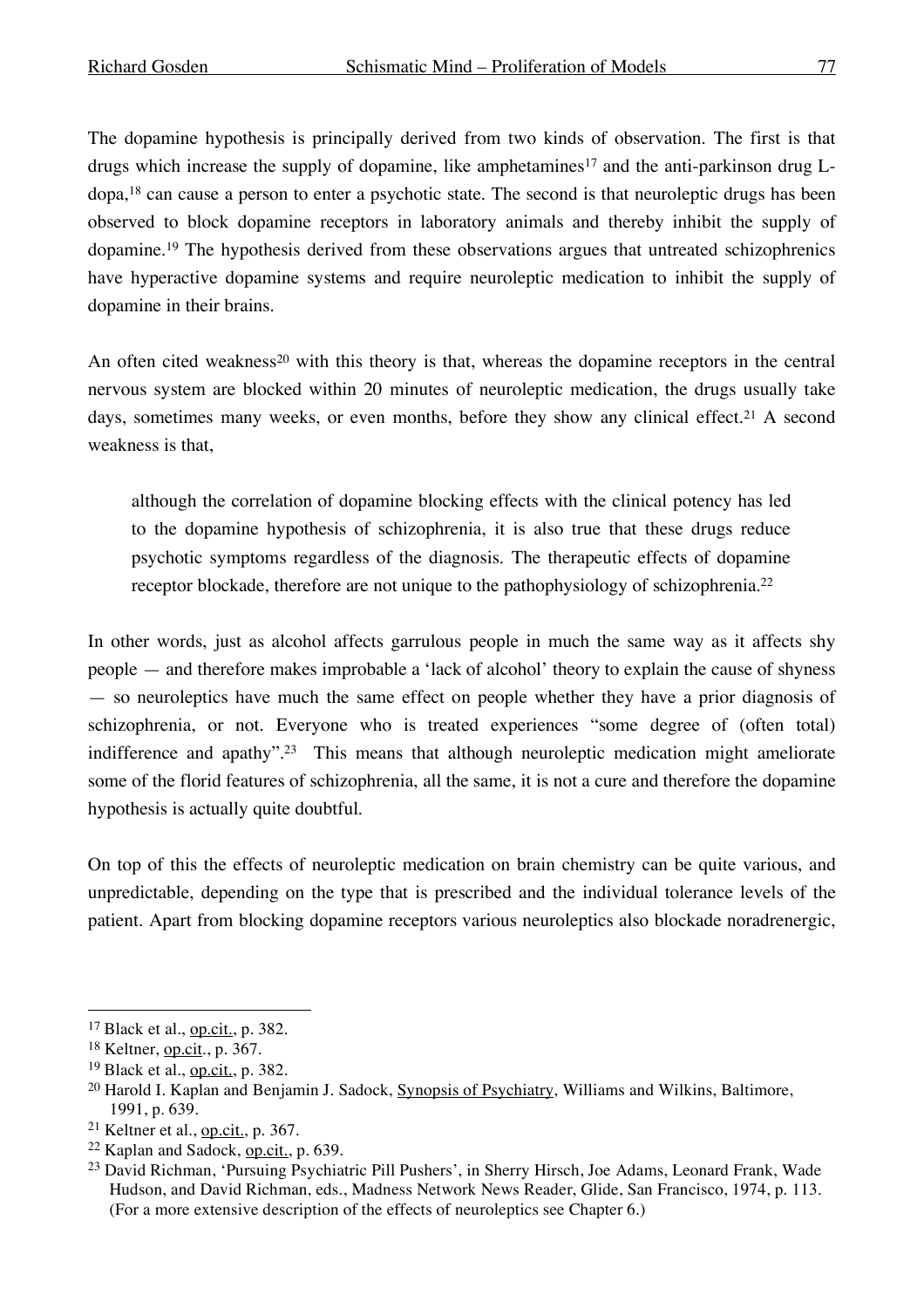The dopamine hypothesis is principally derived from two kinds of observation. The first is that drugs which increase the supply of dopamine, like amphetamines<sup>17</sup> and the anti-parkinson drug  $L$ dopa, <sup>18</sup> can cause a person to enter a psychotic state. The second is that neuroleptic drugs has been observed to block dopamine receptors in laboratory animals and thereby inhibit the supply of dopamine. <sup>19</sup> The hypothesis derived from these observations argues that untreated schizophrenics have hyperactive dopamine systems and require neuroleptic medication to inhibit the supply of dopamine in their brains.

An often cited weakness<sup>20</sup> with this theory is that, whereas the dopamine receptors in the central nervous system are blocked within 20 minutes of neuroleptic medication, the drugs usually take days, sometimes many weeks, or even months, before they show any clinical effect. <sup>21</sup> A second weakness is that,

although the correlation of dopamine blocking effects with the clinical potency has led to the dopamine hypothesis of schizophrenia, it is also true that these drugs reduce psychotic symptoms regardless of the diagnosis. The therapeutic effects of dopamine receptor blockade, therefore are not unique to the pathophysiology of schizophrenia.<sup>22</sup>

In other words, just as alcohol affects garrulous people in much the same way as it affects shy people — and therefore makes improbable a 'lack of alcohol' theory to explain the cause of shyness — so neuroleptics have much the same effect on people whether they have a prior diagnosis of schizophrenia, or not. Everyone who is treated experiences "some degree of (often total) indifference and apathy". <sup>23</sup> This means that although neuroleptic medication might ameliorate some of the florid features of schizophrenia, all the same, it is not a cure and therefore the dopamine hypothesis is actually quite doubtful.

On top of this the effects of neuroleptic medication on brain chemistry can be quite various, and unpredictable, depending on the type that is prescribed and the individual tolerance levels of the patient. Apart from blocking dopamine receptors various neuroleptics also blockade noradrenergic,

 <sup>17</sup> Black et al., op.cit., p. 382.

<sup>18</sup> Keltner, op.cit., p. 367.

<sup>19</sup> Black et al., op.cit., p. 382.

<sup>&</sup>lt;sup>20</sup> Harold I. Kaplan and Benjamin J. Sadock, **Synopsis of Psychiatry**, Williams and Wilkins, Baltimore, 1991, p. 639.

 $21$  Keltner et al., op.cit., p. 367.

<sup>22</sup> Kaplan and Sadock, op.cit., p. 639.

<sup>23</sup> David Richman, 'Pursuing Psychiatric Pill Pushers', in Sherry Hirsch, Joe Adams, Leonard Frank, Wade Hudson, and David Richman, eds., Madness Network News Reader, Glide, San Francisco, 1974, p. 113. (For a more extensive description of the effects of neuroleptics see Chapter 6.)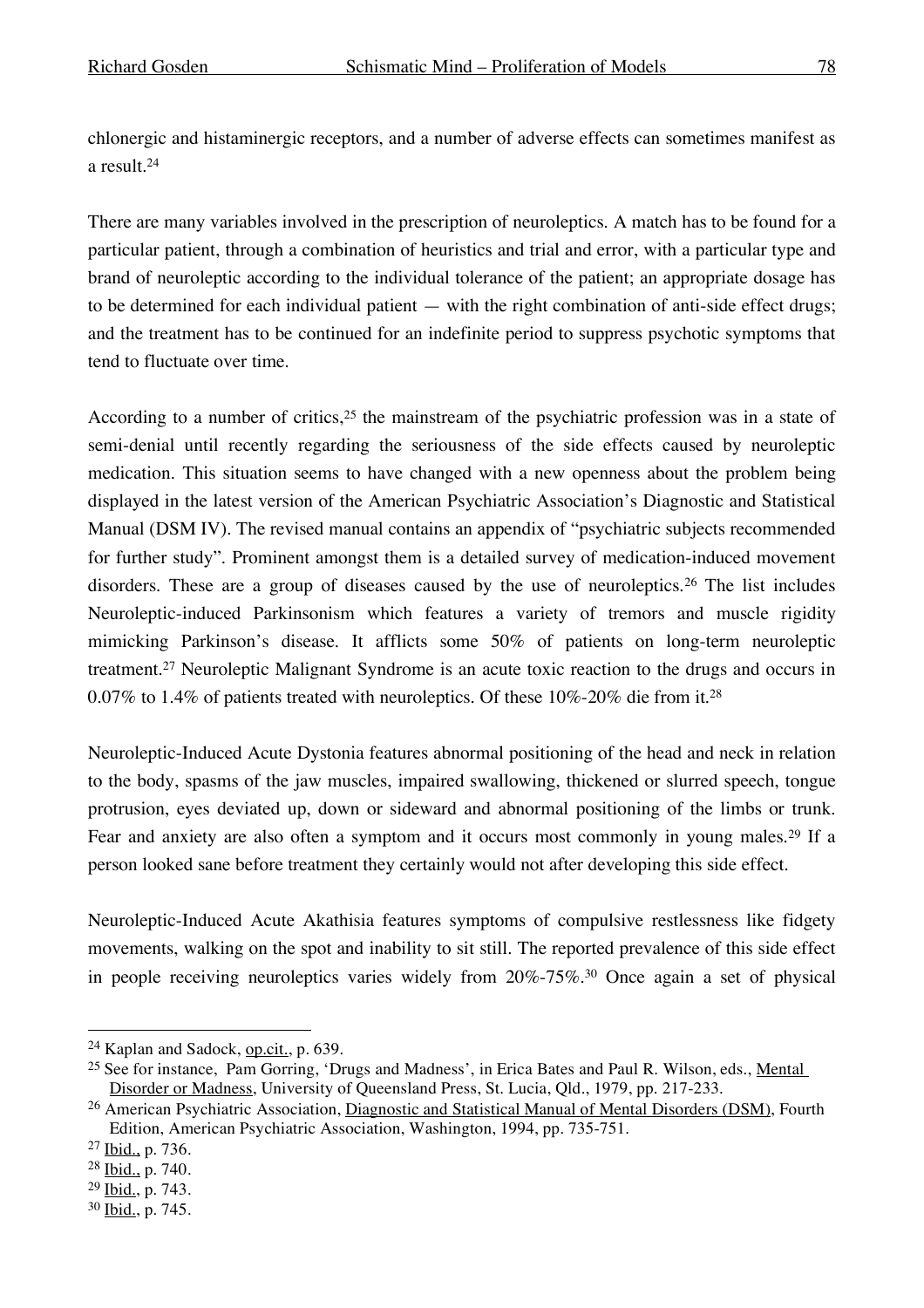chlonergic and histaminergic receptors, and a number of adverse effects can sometimes manifest as a result. 24

There are many variables involved in the prescription of neuroleptics. A match has to be found for a particular patient, through a combination of heuristics and trial and error, with a particular type and brand of neuroleptic according to the individual tolerance of the patient; an appropriate dosage has to be determined for each individual patient — with the right combination of anti-side effect drugs; and the treatment has to be continued for an indefinite period to suppress psychotic symptoms that tend to fluctuate over time.

According to a number of critics, <sup>25</sup> the mainstream of the psychiatric profession was in a state of semi-denial until recently regarding the seriousness of the side effects caused by neuroleptic medication. This situation seems to have changed with a new openness about the problem being displayed in the latest version of the American Psychiatric Association's Diagnostic and Statistical Manual (DSM IV). The revised manual contains an appendix of "psychiatric subjects recommended for further study". Prominent amongst them is a detailed survey of medication-induced movement disorders. These are a group of diseases caused by the use of neuroleptics.26 The list includes Neuroleptic-induced Parkinsonism which features a variety of tremors and muscle rigidity mimicking Parkinson's disease. It afflicts some 50% of patients on long-term neuroleptic treatment. <sup>27</sup> Neuroleptic Malignant Syndrome is an acute toxic reaction to the drugs and occurs in 0.07% to 1.4% of patients treated with neuroleptics. Of these 10%-20% die from it.<sup>28</sup>

Neuroleptic-Induced Acute Dystonia features abnormal positioning of the head and neck in relation to the body, spasms of the jaw muscles, impaired swallowing, thickened or slurred speech, tongue protrusion, eyes deviated up, down or sideward and abnormal positioning of the limbs or trunk. Fear and anxiety are also often a symptom and it occurs most commonly in young males.29 If a person looked sane before treatment they certainly would not after developing this side effect.

Neuroleptic-Induced Acute Akathisia features symptoms of compulsive restlessness like fidgety movements, walking on the spot and inability to sit still. The reported prevalence of this side effect in people receiving neuroleptics varies widely from 20%-75%. <sup>30</sup> Once again a set of physical

 <sup>24</sup> Kaplan and Sadock, op.cit., p. 639.

<sup>&</sup>lt;sup>25</sup> See for instance, Pam Gorring, 'Drugs and Madness', in Erica Bates and Paul R. Wilson, eds., <u>Mental</u> Disorder or Madness, University of Queensland Press, St. Lucia, Qld., 1979, pp. 217-233.

<sup>&</sup>lt;sup>26</sup> American Psychiatric Association, Diagnostic and Statistical Manual of Mental Disorders (DSM), Fourth Edition, American Psychiatric Association, Washington, 1994, pp. 735-751.

<sup>27</sup> Ibid., p. 736.

<sup>28</sup> Ibid., p. 740.

<sup>29</sup> Ibid., p. 743.

<sup>30</sup> Ibid., p. 745.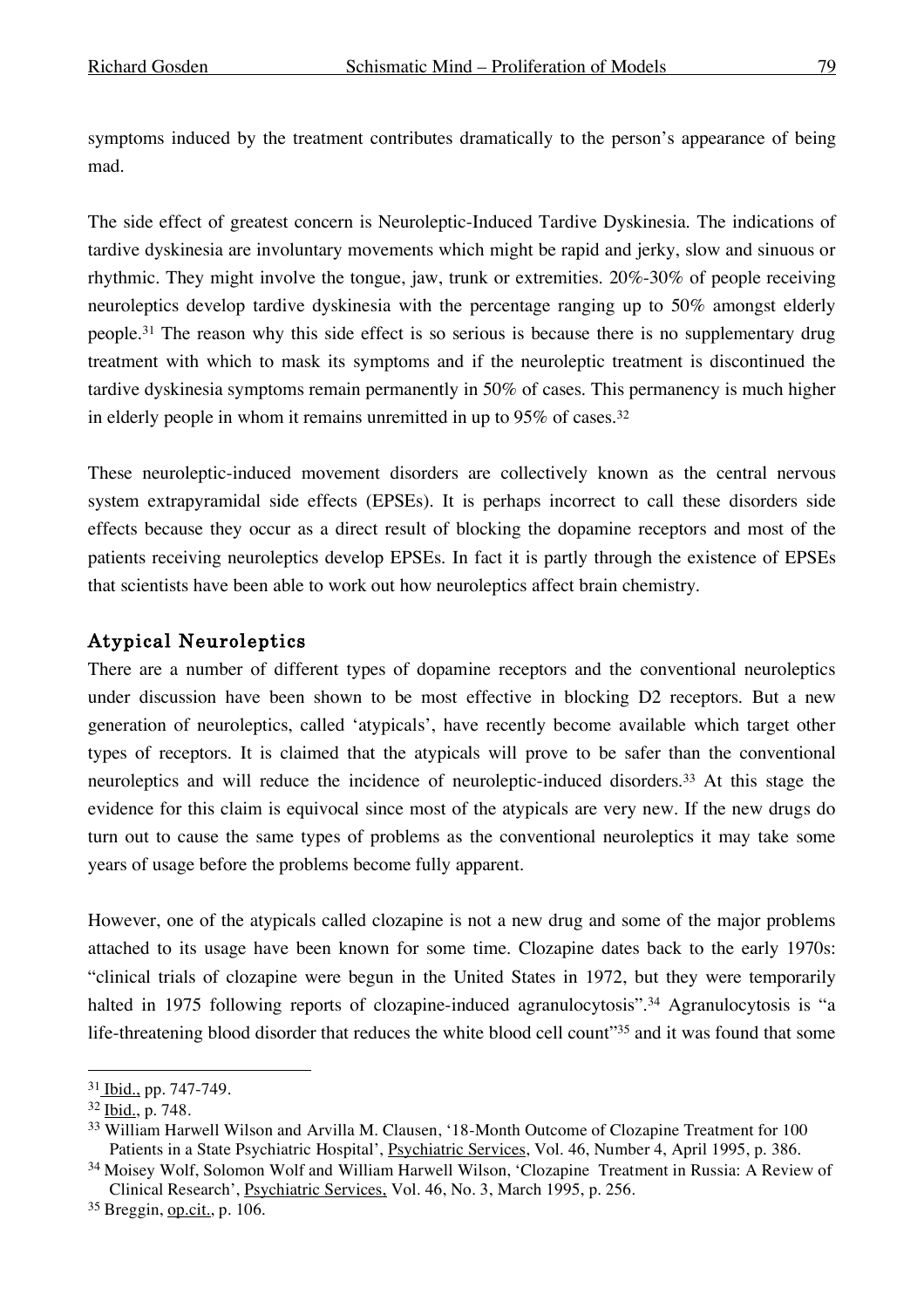symptoms induced by the treatment contributes dramatically to the person's appearance of being mad.

The side effect of greatest concern is Neuroleptic-Induced Tardive Dyskinesia. The indications of tardive dyskinesia are involuntary movements which might be rapid and jerky, slow and sinuous or rhythmic. They might involve the tongue, jaw, trunk or extremities. 20%-30% of people receiving neuroleptics develop tardive dyskinesia with the percentage ranging up to 50% amongst elderly people. <sup>31</sup> The reason why this side effect is so serious is because there is no supplementary drug treatment with which to mask its symptoms and if the neuroleptic treatment is discontinued the tardive dyskinesia symptoms remain permanently in 50% of cases. This permanency is much higher in elderly people in whom it remains unremitted in up to 95% of cases. 32

These neuroleptic-induced movement disorders are collectively known as the central nervous system extrapyramidal side effects (EPSEs). It is perhaps incorrect to call these disorders side effects because they occur as a direct result of blocking the dopamine receptors and most of the patients receiving neuroleptics develop EPSEs. In fact it is partly through the existence of EPSEs that scientists have been able to work out how neuroleptics affect brain chemistry.

# Atypical Neuroleptics

There are a number of different types of dopamine receptors and the conventional neuroleptics under discussion have been shown to be most effective in blocking D2 receptors. But a new generation of neuroleptics, called 'atypicals', have recently become available which target other types of receptors. It is claimed that the atypicals will prove to be safer than the conventional neuroleptics and will reduce the incidence of neuroleptic-induced disorders.33 At this stage the evidence for this claim is equivocal since most of the atypicals are very new. If the new drugs do turn out to cause the same types of problems as the conventional neuroleptics it may take some years of usage before the problems become fully apparent.

However, one of the atypicals called clozapine is not a new drug and some of the major problems attached to its usage have been known for some time. Clozapine dates back to the early 1970s: "clinical trials of clozapine were begun in the United States in 1972, but they were temporarily halted in 1975 following reports of clozapine-induced agranulocytosis".<sup>34</sup> Agranulocytosis is "a life-threatening blood disorder that reduces the white blood cell count"<sup>35</sup> and it was found that some

 <sup>31</sup> Ibid., pp. 747-749.

<sup>32</sup> Ibid., p. 748.

<sup>33</sup> William Harwell Wilson and Arvilla M. Clausen, '18-Month Outcome of Clozapine Treatment for 100 Patients in a State Psychiatric Hospital', Psychiatric Services, Vol. 46, Number 4, April 1995, p. 386.

<sup>34</sup> Moisey Wolf, Solomon Wolf and William Harwell Wilson, 'Clozapine Treatment in Russia: A Review of Clinical Research', Psychiatric Services, Vol. 46, No. 3, March 1995, p. 256.

<sup>35</sup> Breggin, op.cit., p. 106.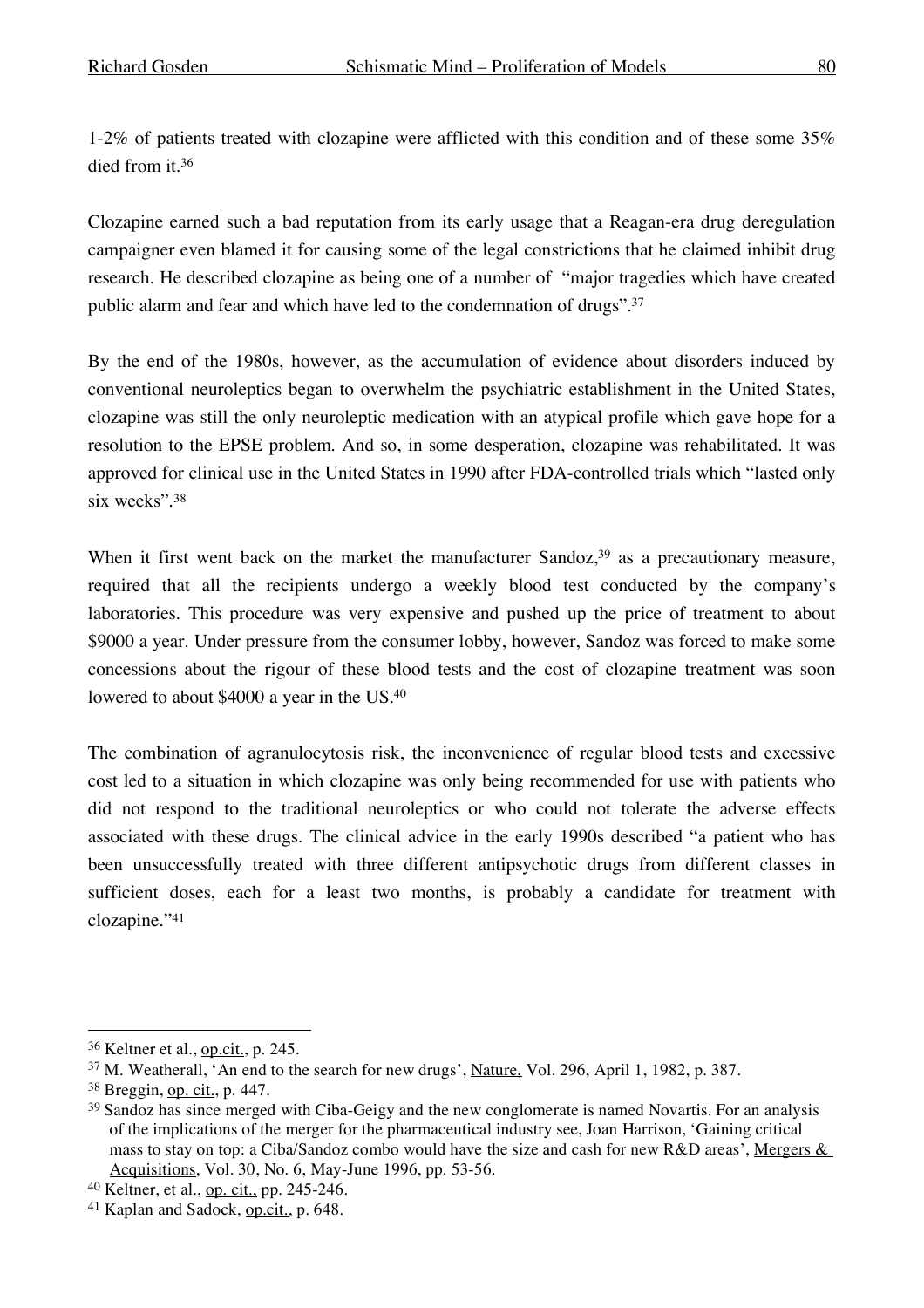1-2% of patients treated with clozapine were afflicted with this condition and of these some 35% died from it. 36

Clozapine earned such a bad reputation from its early usage that a Reagan-era drug deregulation campaigner even blamed it for causing some of the legal constrictions that he claimed inhibit drug research. He described clozapine as being one of a number of "major tragedies which have created public alarm and fear and which have led to the condemnation of drugs". 37

By the end of the 1980s, however, as the accumulation of evidence about disorders induced by conventional neuroleptics began to overwhelm the psychiatric establishment in the United States, clozapine was still the only neuroleptic medication with an atypical profile which gave hope for a resolution to the EPSE problem. And so, in some desperation, clozapine was rehabilitated. It was approved for clinical use in the United States in 1990 after FDA-controlled trials which "lasted only six weeks". 38

When it first went back on the market the manufacturer Sandoz,<sup>39</sup> as a precautionary measure, required that all the recipients undergo a weekly blood test conducted by the company's laboratories. This procedure was very expensive and pushed up the price of treatment to about \$9000 a year. Under pressure from the consumer lobby, however, Sandoz was forced to make some concessions about the rigour of these blood tests and the cost of clozapine treatment was soon lowered to about \$4000 a year in the US. 40

The combination of agranulocytosis risk, the inconvenience of regular blood tests and excessive cost led to a situation in which clozapine was only being recommended for use with patients who did not respond to the traditional neuroleptics or who could not tolerate the adverse effects associated with these drugs. The clinical advice in the early 1990s described "a patient who has been unsuccessfully treated with three different antipsychotic drugs from different classes in sufficient doses, each for a least two months, is probably a candidate for treatment with clozapine."41

 <sup>36</sup> Keltner et al., op.cit., p. 245.

<sup>37</sup> M. Weatherall, 'An end to the search for new drugs', Nature, Vol. 296, April 1, 1982, p. 387.

<sup>38</sup> Breggin, op. cit., p. 447.

<sup>&</sup>lt;sup>39</sup> Sandoz has since merged with Ciba-Geigy and the new conglomerate is named Novartis. For an analysis of the implications of the merger for the pharmaceutical industry see, Joan Harrison, 'Gaining critical mass to stay on top: a Ciba/Sandoz combo would have the size and cash for new R&D areas', Mergers & Acquisitions, Vol. 30, No. 6, May-June 1996, pp. 53-56.

<sup>40</sup> Keltner, et al., op. cit., pp. 245-246.

<sup>&</sup>lt;sup>41</sup> Kaplan and Sadock, **op.cit.**, p. 648.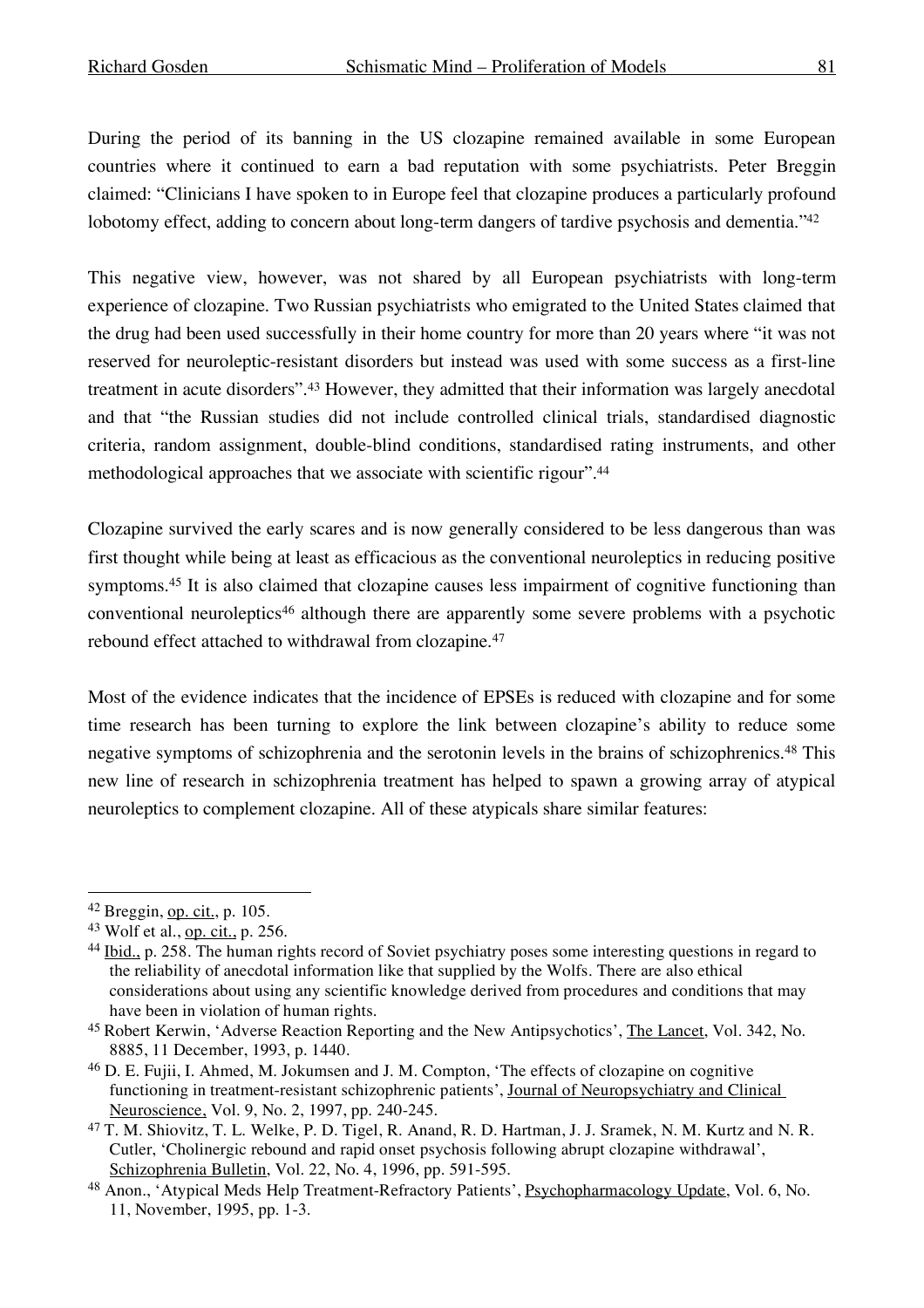During the period of its banning in the US clozapine remained available in some European countries where it continued to earn a bad reputation with some psychiatrists. Peter Breggin claimed: "Clinicians I have spoken to in Europe feel that clozapine produces a particularly profound lobotomy effect, adding to concern about long-term dangers of tardive psychosis and dementia."42

This negative view, however, was not shared by all European psychiatrists with long-term experience of clozapine. Two Russian psychiatrists who emigrated to the United States claimed that the drug had been used successfully in their home country for more than 20 years where "it was not reserved for neuroleptic-resistant disorders but instead was used with some success as a first-line treatment in acute disorders". <sup>43</sup> However, they admitted that their information was largely anecdotal and that "the Russian studies did not include controlled clinical trials, standardised diagnostic criteria, random assignment, double-blind conditions, standardised rating instruments, and other methodological approaches that we associate with scientific rigour". 44

Clozapine survived the early scares and is now generally considered to be less dangerous than was first thought while being at least as efficacious as the conventional neuroleptics in reducing positive symptoms.<sup>45</sup> It is also claimed that clozapine causes less impairment of cognitive functioning than conventional neuroleptics46 although there are apparently some severe problems with a psychotic rebound effect attached to withdrawal from clozapine.47

Most of the evidence indicates that the incidence of EPSEs is reduced with clozapine and for some time research has been turning to explore the link between clozapine's ability to reduce some negative symptoms of schizophrenia and the serotonin levels in the brains of schizophrenics.48 This new line of research in schizophrenia treatment has helped to spawn a growing array of atypical neuroleptics to complement clozapine. All of these atypicals share similar features:

 <sup>42</sup> Breggin, op. cit., p. 105.

<sup>43</sup> Wolf et al., op. cit., p. 256.

<sup>&</sup>lt;sup>44</sup> Ibid., p. 258. The human rights record of Soviet psychiatry poses some interesting questions in regard to the reliability of anecdotal information like that supplied by the Wolfs. There are also ethical considerations about using any scientific knowledge derived from procedures and conditions that may have been in violation of human rights.

<sup>45</sup> Robert Kerwin, 'Adverse Reaction Reporting and the New Antipsychotics', The Lancet, Vol. 342, No. 8885, 11 December, 1993, p. 1440.

<sup>46</sup> D. E. Fujii, I. Ahmed, M. Jokumsen and J. M. Compton, 'The effects of clozapine on cognitive functioning in treatment-resistant schizophrenic patients', Journal of Neuropsychiatry and Clinical Neuroscience, Vol. 9, No. 2, 1997, pp. 240-245.

<sup>47</sup> T. M. Shiovitz, T. L. Welke, P. D. Tigel, R. Anand, R. D. Hartman, J. J. Sramek, N. M. Kurtz and N. R. Cutler, 'Cholinergic rebound and rapid onset psychosis following abrupt clozapine withdrawal', Schizophrenia Bulletin, Vol. 22, No. 4, 1996, pp. 591-595.

<sup>48</sup> Anon., 'Atypical Meds Help Treatment-Refractory Patients', Psychopharmacology Update, Vol. 6, No. 11, November, 1995, pp. 1-3.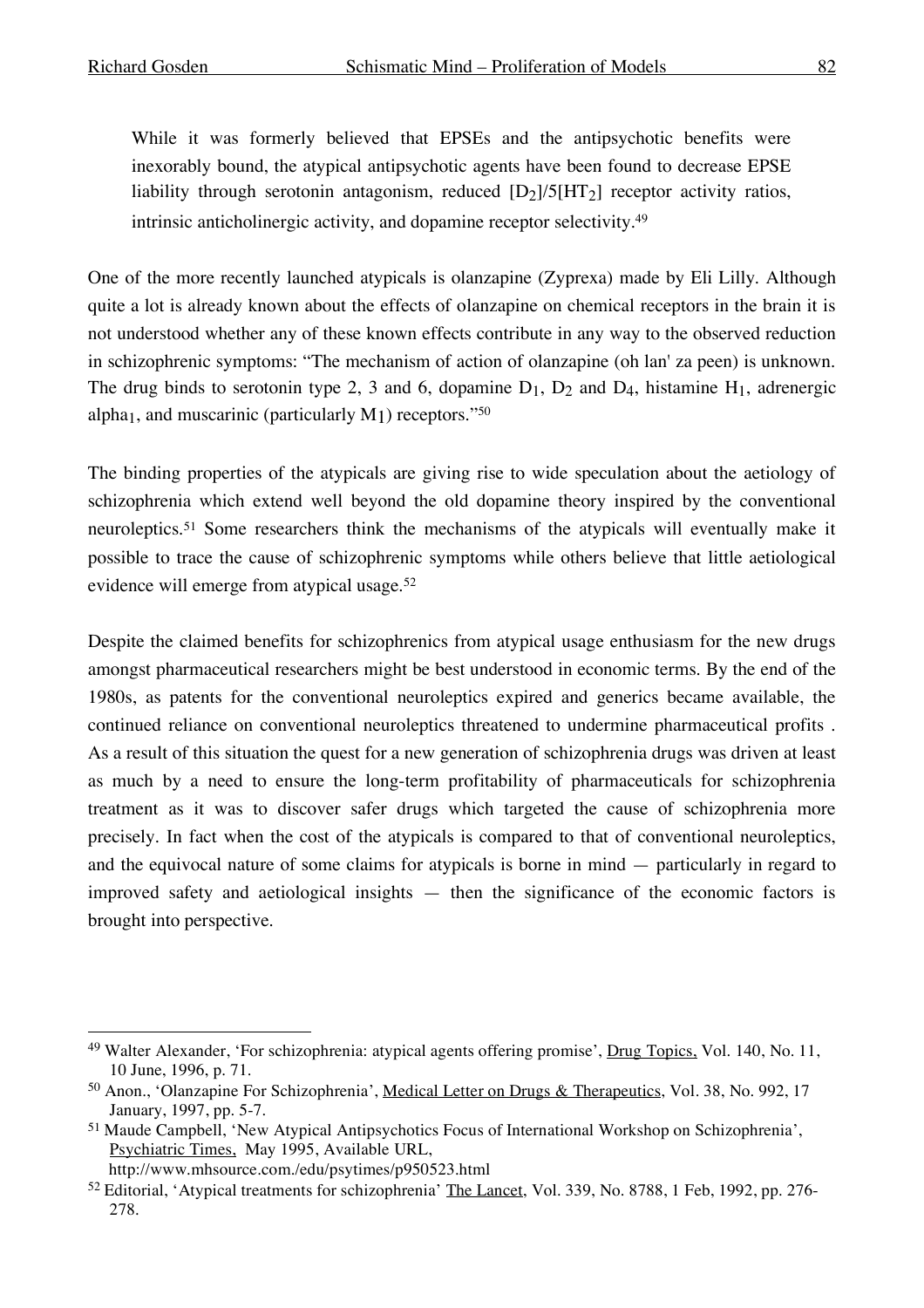While it was formerly believed that EPSEs and the antipsychotic benefits were inexorably bound, the atypical antipsychotic agents have been found to decrease EPSE liability through serotonin antagonism, reduced [D2]/5[HT2] receptor activity ratios, intrinsic anticholinergic activity, and dopamine receptor selectivity.49

One of the more recently launched atypicals is olanzapine (Zyprexa) made by Eli Lilly. Although quite a lot is already known about the effects of olanzapine on chemical receptors in the brain it is not understood whether any of these known effects contribute in any way to the observed reduction in schizophrenic symptoms: "The mechanism of action of olanzapine (oh lan' za peen) is unknown. The drug binds to serotonin type 2, 3 and 6, dopamine  $D_1$ ,  $D_2$  and  $D_4$ , histamine  $H_1$ , adrenergic alpha<sub>1</sub>, and muscarinic (particularly  $M_1$ ) receptors."<sup>50</sup>

The binding properties of the atypicals are giving rise to wide speculation about the aetiology of schizophrenia which extend well beyond the old dopamine theory inspired by the conventional neuroleptics.51 Some researchers think the mechanisms of the atypicals will eventually make it possible to trace the cause of schizophrenic symptoms while others believe that little aetiological evidence will emerge from atypical usage.52

Despite the claimed benefits for schizophrenics from atypical usage enthusiasm for the new drugs amongst pharmaceutical researchers might be best understood in economic terms. By the end of the 1980s, as patents for the conventional neuroleptics expired and generics became available, the continued reliance on conventional neuroleptics threatened to undermine pharmaceutical profits . As a result of this situation the quest for a new generation of schizophrenia drugs was driven at least as much by a need to ensure the long-term profitability of pharmaceuticals for schizophrenia treatment as it was to discover safer drugs which targeted the cause of schizophrenia more precisely. In fact when the cost of the atypicals is compared to that of conventional neuroleptics, and the equivocal nature of some claims for atypicals is borne in mind — particularly in regard to improved safety and aetiological insights — then the significance of the economic factors is brought into perspective.

http://www.mhsource.com./edu/psytimes/p950523.html

<sup>&</sup>lt;sup>49</sup> Walter Alexander, 'For schizophrenia: atypical agents offering promise', Drug Topics, Vol. 140, No. 11, 10 June, 1996, p. 71.

<sup>50</sup> Anon., 'Olanzapine For Schizophrenia', Medical Letter on Drugs & Therapeutics, Vol. 38, No. 992, 17 January, 1997, pp. 5-7.

<sup>51</sup> Maude Campbell, 'New Atypical Antipsychotics Focus of International Workshop on Schizophrenia', Psychiatric Times, May 1995, Available URL,

<sup>&</sup>lt;sup>52</sup> Editorial, 'Atypical treatments for schizophrenia' The Lancet, Vol. 339, No. 8788, 1 Feb, 1992, pp. 276-278.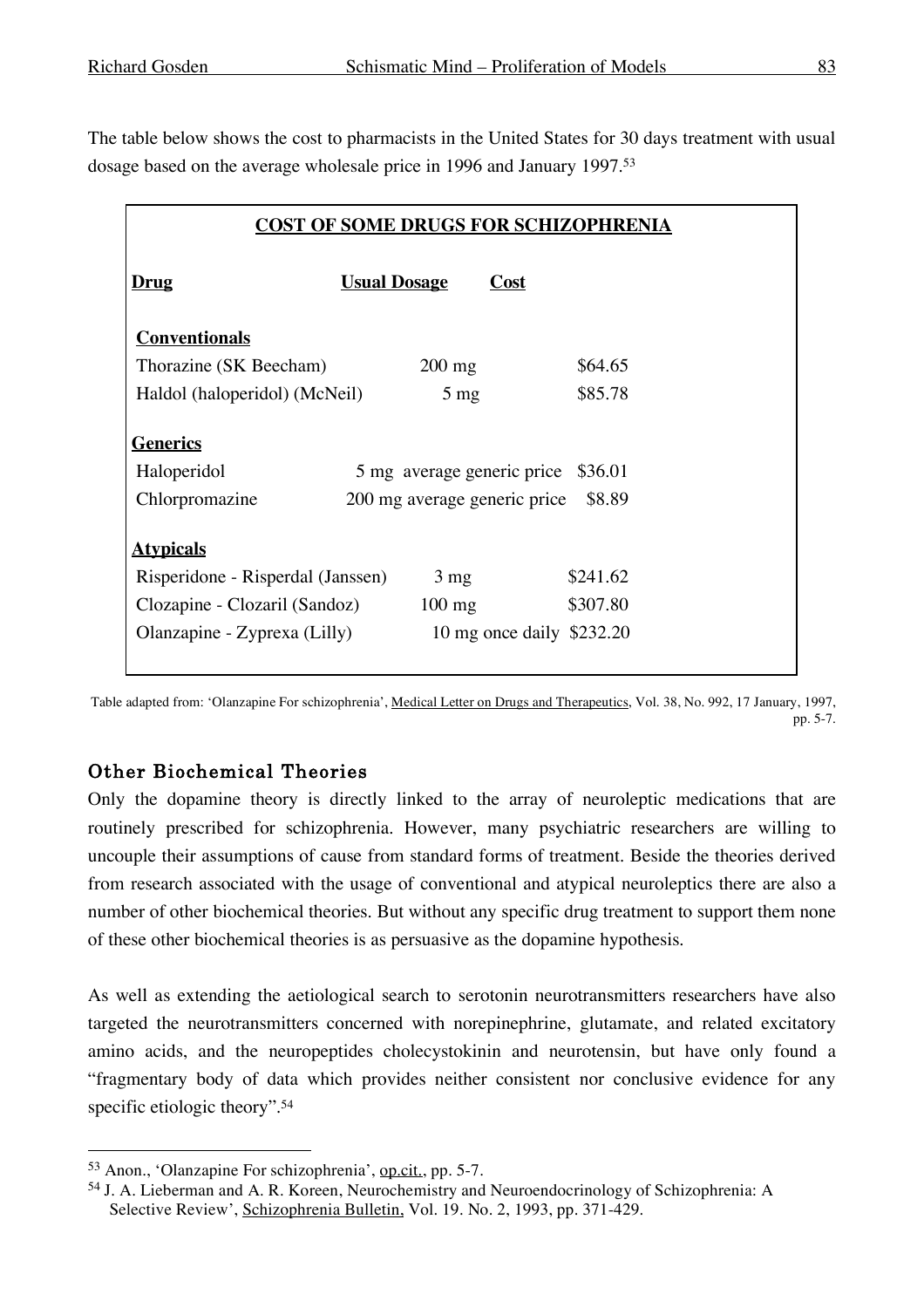The table below shows the cost to pharmacists in the United States for 30 days treatment with usual dosage based on the average wholesale price in 1996 and January 1997.53

| <b>COST OF SOME DRUGS FOR SCHIZOPHRENIA</b> |                     |                              |      |          |  |  |  |
|---------------------------------------------|---------------------|------------------------------|------|----------|--|--|--|
| <u>Drug</u>                                 | <b>Usual Dosage</b> |                              | Cost |          |  |  |  |
| <b>Conventionals</b>                        |                     |                              |      |          |  |  |  |
| Thorazine (SK Beecham)                      |                     | $200 \text{ mg}$             |      | \$64.65  |  |  |  |
| Haldol (haloperidol) (McNeil)               |                     | $5 \text{ mg}$               |      | \$85.78  |  |  |  |
|                                             |                     |                              |      |          |  |  |  |
| <u>Generics</u>                             |                     |                              |      |          |  |  |  |
| Haloperidol                                 |                     | 5 mg average generic price   |      | \$36.01  |  |  |  |
| Chlorpromazine                              |                     | 200 mg average generic price |      | \$8.89   |  |  |  |
|                                             |                     |                              |      |          |  |  |  |
| <u>Atypicals</u>                            |                     |                              |      |          |  |  |  |
| Risperidone - Risperdal (Janssen)           |                     | $3 \text{ mg}$               |      | \$241.62 |  |  |  |
| Clozapine - Clozaril (Sandoz)               |                     | $100 \text{ mg}$             |      | \$307.80 |  |  |  |
| Olanzapine - Zyprexa (Lilly)                |                     | 10 mg once daily \$232.20    |      |          |  |  |  |
|                                             |                     |                              |      |          |  |  |  |

Table adapted from: 'Olanzapine For schizophrenia', Medical Letter on Drugs and Therapeutics, Vol. 38, No. 992, 17 January, 1997, pp. 5-7.

### Other Biochemical Theories

Only the dopamine theory is directly linked to the array of neuroleptic medications that are routinely prescribed for schizophrenia. However, many psychiatric researchers are willing to uncouple their assumptions of cause from standard forms of treatment. Beside the theories derived from research associated with the usage of conventional and atypical neuroleptics there are also a number of other biochemical theories. But without any specific drug treatment to support them none of these other biochemical theories is as persuasive as the dopamine hypothesis.

As well as extending the aetiological search to serotonin neurotransmitters researchers have also targeted the neurotransmitters concerned with norepinephrine, glutamate, and related excitatory amino acids, and the neuropeptides cholecystokinin and neurotensin, but have only found a "fragmentary body of data which provides neither consistent nor conclusive evidence for any specific etiologic theory". 54

 <sup>53</sup> Anon., 'Olanzapine For schizophrenia', op.cit., pp. 5-7.

<sup>54</sup> J. A. Lieberman and A. R. Koreen, Neurochemistry and Neuroendocrinology of Schizophrenia: A Selective Review', Schizophrenia Bulletin, Vol. 19. No. 2, 1993, pp. 371-429.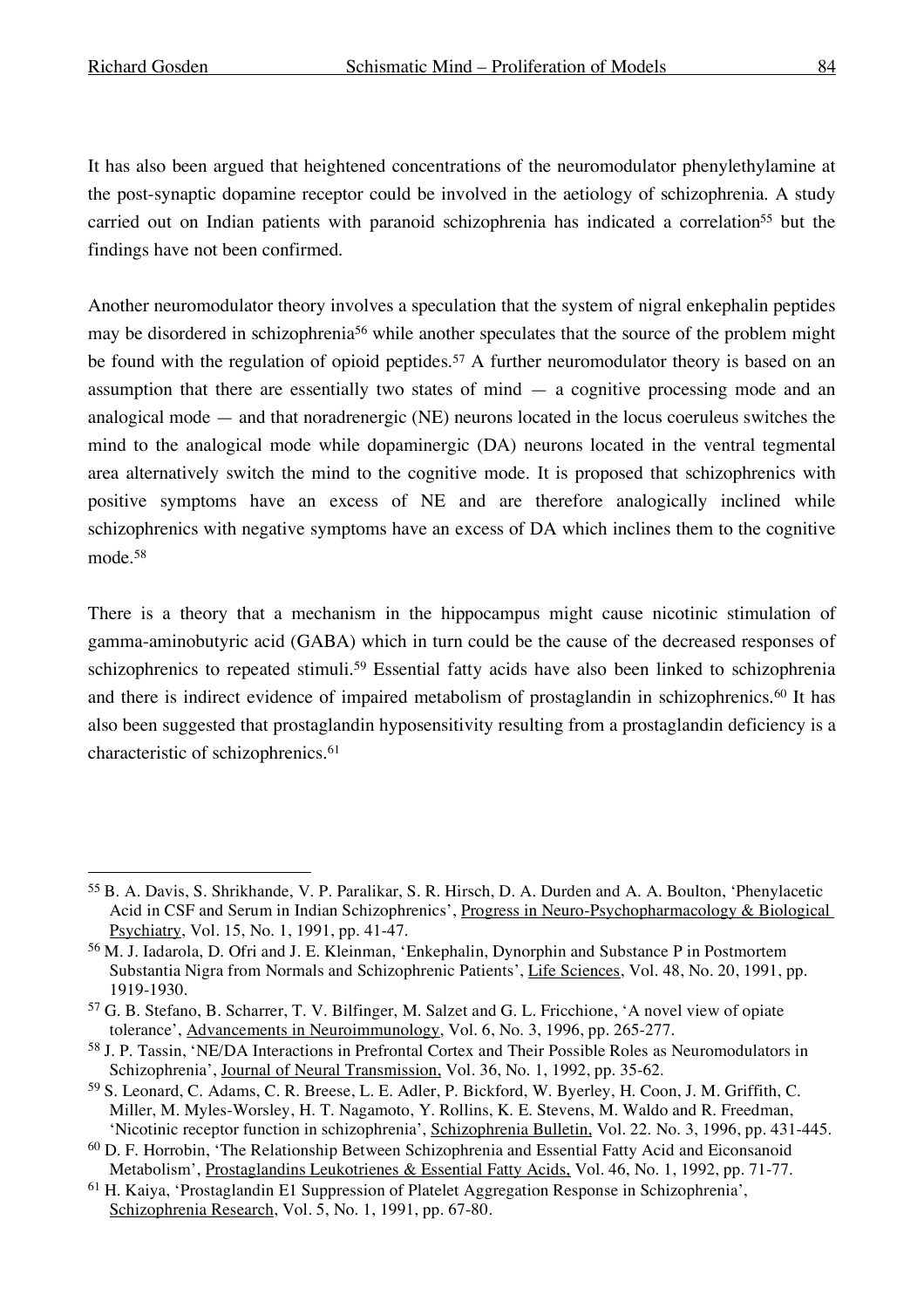It has also been argued that heightened concentrations of the neuromodulator phenylethylamine at the post-synaptic dopamine receptor could be involved in the aetiology of schizophrenia. A study carried out on Indian patients with paranoid schizophrenia has indicated a correlation<sup>55</sup> but the findings have not been confirmed.

Another neuromodulator theory involves a speculation that the system of nigral enkephalin peptides may be disordered in schizophrenia56 while another speculates that the source of the problem might be found with the regulation of opioid peptides. <sup>57</sup> A further neuromodulator theory is based on an assumption that there are essentially two states of mind  $-$  a cognitive processing mode and an analogical mode — and that noradrenergic (NE) neurons located in the locus coeruleus switches the mind to the analogical mode while dopaminergic (DA) neurons located in the ventral tegmental area alternatively switch the mind to the cognitive mode. It is proposed that schizophrenics with positive symptoms have an excess of NE and are therefore analogically inclined while schizophrenics with negative symptoms have an excess of DA which inclines them to the cognitive mode.58

There is a theory that a mechanism in the hippocampus might cause nicotinic stimulation of gamma-aminobutyric acid (GABA) which in turn could be the cause of the decreased responses of schizophrenics to repeated stimuli.<sup>59</sup> Essential fatty acids have also been linked to schizophrenia and there is indirect evidence of impaired metabolism of prostaglandin in schizophrenics.60 It has also been suggested that prostaglandin hyposensitivity resulting from a prostaglandin deficiency is a characteristic of schizophrenics.<sup>61</sup>

 <sup>55</sup> B. A. Davis, S. Shrikhande, V. P. Paralikar, S. R. Hirsch, D. A. Durden and A. A. Boulton, 'Phenylacetic Acid in CSF and Serum in Indian Schizophrenics', Progress in Neuro-Psychopharmacology & Biological Psychiatry, Vol. 15, No. 1, 1991, pp. 41-47.

<sup>56</sup> M. J. Iadarola, D. Ofri and J. E. Kleinman, 'Enkephalin, Dynorphin and Substance P in Postmortem Substantia Nigra from Normals and Schizophrenic Patients', Life Sciences, Vol. 48, No. 20, 1991, pp. 1919-1930.

<sup>57</sup> G. B. Stefano, B. Scharrer, T. V. Bilfinger, M. Salzet and G. L. Fricchione, 'A novel view of opiate tolerance', Advancements in Neuroimmunology, Vol. 6, No. 3, 1996, pp. 265-277.

<sup>58</sup> J. P. Tassin, 'NE/DA Interactions in Prefrontal Cortex and Their Possible Roles as Neuromodulators in Schizophrenia', Journal of Neural Transmission, Vol. 36, No. 1, 1992, pp. 35-62.

<sup>59</sup> S. Leonard, C. Adams, C. R. Breese, L. E. Adler, P. Bickford, W. Byerley, H. Coon, J. M. Griffith, C. Miller, M. Myles-Worsley, H. T. Nagamoto, Y. Rollins, K. E. Stevens, M. Waldo and R. Freedman, 'Nicotinic receptor function in schizophrenia', Schizophrenia Bulletin, Vol. 22. No. 3, 1996, pp. 431-445.

<sup>60</sup> D. F. Horrobin, 'The Relationship Between Schizophrenia and Essential Fatty Acid and Eiconsanoid Metabolism', Prostaglandins Leukotrienes & Essential Fatty Acids, Vol. 46, No. 1, 1992, pp. 71-77.

<sup>61</sup> H. Kaiya, 'Prostaglandin E1 Suppression of Platelet Aggregation Response in Schizophrenia', Schizophrenia Research, Vol. 5, No. 1, 1991, pp. 67-80.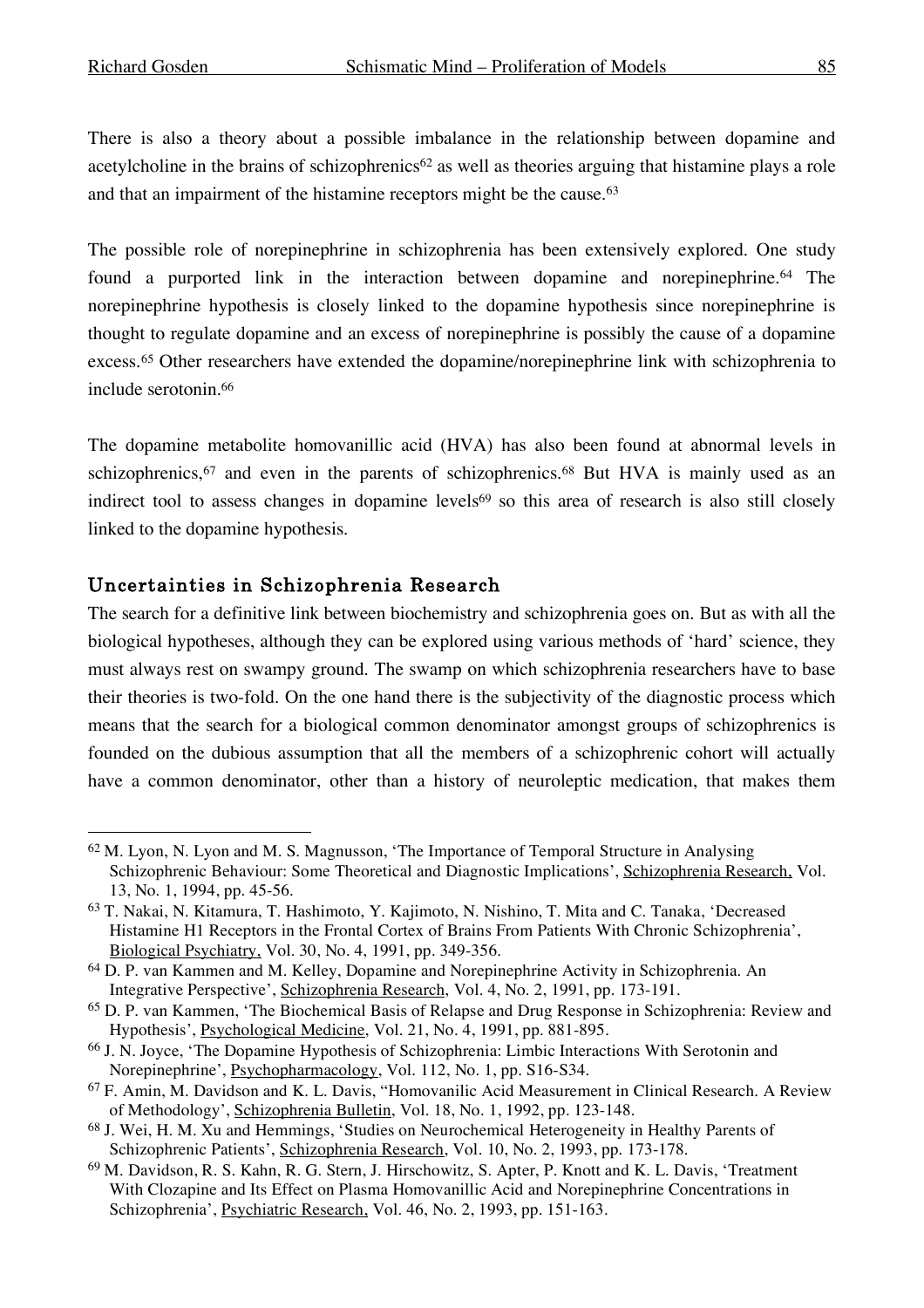There is also a theory about a possible imbalance in the relationship between dopamine and acetylcholine in the brains of schizophrenics<sup>62</sup> as well as theories arguing that histamine plays a role and that an impairment of the histamine receptors might be the cause. 63

The possible role of norepinephrine in schizophrenia has been extensively explored. One study found a purported link in the interaction between dopamine and norepinephrine. <sup>64</sup> The norepinephrine hypothesis is closely linked to the dopamine hypothesis since norepinephrine is thought to regulate dopamine and an excess of norepinephrine is possibly the cause of a dopamine excess.65 Other researchers have extended the dopamine/norepinephrine link with schizophrenia to include serotonin.66

The dopamine metabolite homovanillic acid (HVA) has also been found at abnormal levels in schizophrenics,<sup>67</sup> and even in the parents of schizophrenics.<sup>68</sup> But HVA is mainly used as an indirect tool to assess changes in dopamine levels<sup>69</sup> so this area of research is also still closely linked to the dopamine hypothesis.

#### Uncertainties in Schizophrenia Research

The search for a definitive link between biochemistry and schizophrenia goes on. But as with all the biological hypotheses, although they can be explored using various methods of 'hard' science, they must always rest on swampy ground. The swamp on which schizophrenia researchers have to base their theories is two-fold. On the one hand there is the subjectivity of the diagnostic process which means that the search for a biological common denominator amongst groups of schizophrenics is founded on the dubious assumption that all the members of a schizophrenic cohort will actually have a common denominator, other than a history of neuroleptic medication, that makes them

 <sup>62</sup> M. Lyon, N. Lyon and M. S. Magnusson, 'The Importance of Temporal Structure in Analysing Schizophrenic Behaviour: Some Theoretical and Diagnostic Implications', Schizophrenia Research, Vol. 13, No. 1, 1994, pp. 45-56.

<sup>63</sup> T. Nakai, N. Kitamura, T. Hashimoto, Y. Kajimoto, N. Nishino, T. Mita and C. Tanaka, 'Decreased Histamine H1 Receptors in the Frontal Cortex of Brains From Patients With Chronic Schizophrenia', Biological Psychiatry, Vol. 30, No. 4, 1991, pp. 349-356.

<sup>64</sup> D. P. van Kammen and M. Kelley, Dopamine and Norepinephrine Activity in Schizophrenia. An Integrative Perspective', Schizophrenia Research, Vol. 4, No. 2, 1991, pp. 173-191.

<sup>65</sup> D. P. van Kammen, 'The Biochemical Basis of Relapse and Drug Response in Schizophrenia: Review and Hypothesis', Psychological Medicine, Vol. 21, No. 4, 1991, pp. 881-895.

<sup>66</sup> J. N. Joyce, 'The Dopamine Hypothesis of Schizophrenia: Limbic Interactions With Serotonin and Norepinephrine', Psychopharmacology, Vol. 112, No. 1, pp. S16-S34.

<sup>67</sup> F. Amin, M. Davidson and K. L. Davis, "Homovanilic Acid Measurement in Clinical Research. A Review of Methodology', Schizophrenia Bulletin, Vol. 18, No. 1, 1992, pp. 123-148.

<sup>68</sup> J. Wei, H. M. Xu and Hemmings, 'Studies on Neurochemical Heterogeneity in Healthy Parents of Schizophrenic Patients', Schizophrenia Research, Vol. 10, No. 2, 1993, pp. 173-178.

<sup>69</sup> M. Davidson, R. S. Kahn, R. G. Stern, J. Hirschowitz, S. Apter, P. Knott and K. L. Davis, 'Treatment With Clozapine and Its Effect on Plasma Homovanillic Acid and Norepinephrine Concentrations in Schizophrenia', Psychiatric Research, Vol. 46, No. 2, 1993, pp. 151-163.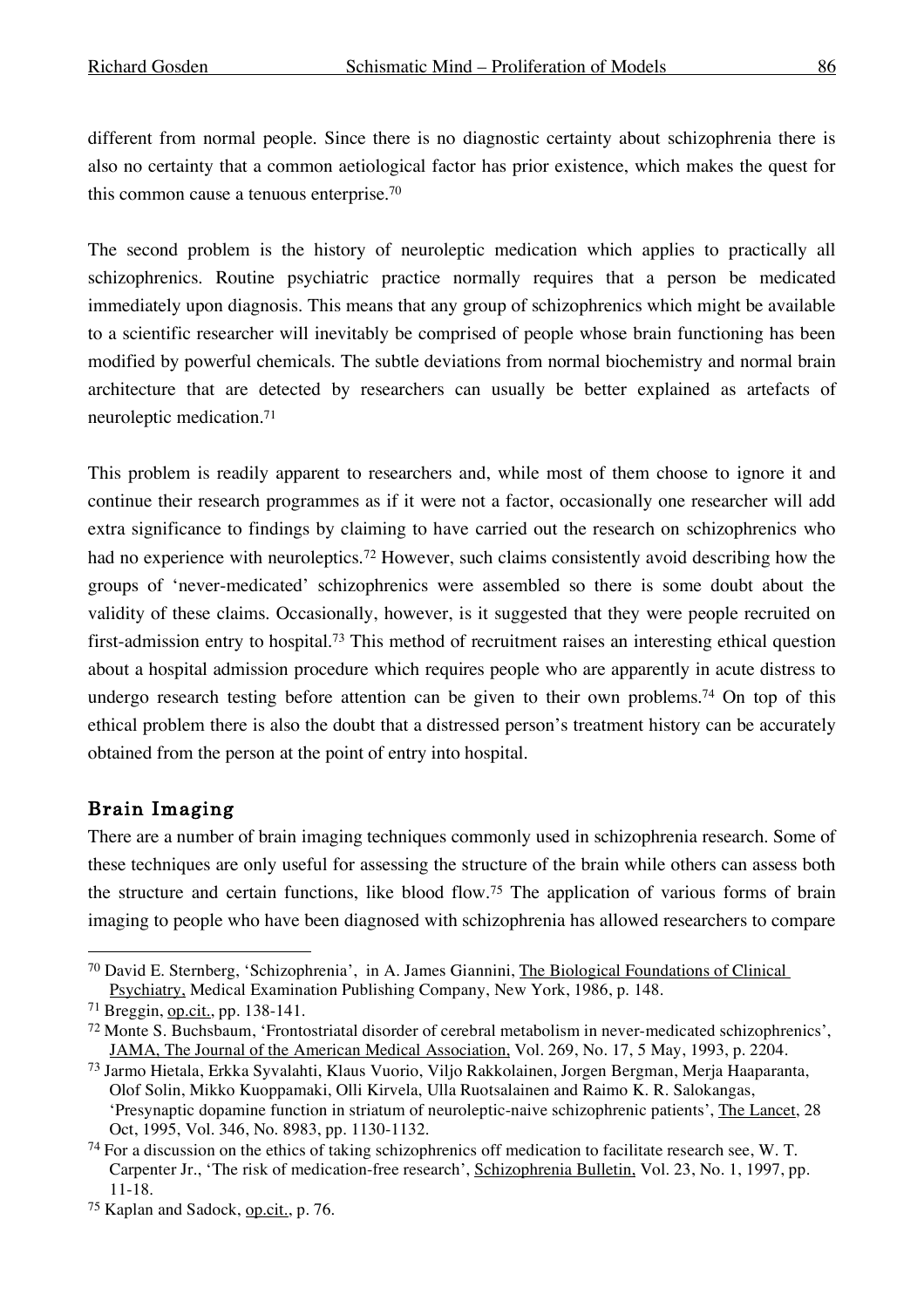different from normal people. Since there is no diagnostic certainty about schizophrenia there is also no certainty that a common aetiological factor has prior existence, which makes the quest for this common cause a tenuous enterprise. 70

The second problem is the history of neuroleptic medication which applies to practically all schizophrenics. Routine psychiatric practice normally requires that a person be medicated immediately upon diagnosis. This means that any group of schizophrenics which might be available to a scientific researcher will inevitably be comprised of people whose brain functioning has been modified by powerful chemicals. The subtle deviations from normal biochemistry and normal brain architecture that are detected by researchers can usually be better explained as artefacts of neuroleptic medication.71

This problem is readily apparent to researchers and, while most of them choose to ignore it and continue their research programmes as if it were not a factor, occasionally one researcher will add extra significance to findings by claiming to have carried out the research on schizophrenics who had no experience with neuroleptics.72 However, such claims consistently avoid describing how the groups of 'never-medicated' schizophrenics were assembled so there is some doubt about the validity of these claims. Occasionally, however, is it suggested that they were people recruited on first-admission entry to hospital. <sup>73</sup> This method of recruitment raises an interesting ethical question about a hospital admission procedure which requires people who are apparently in acute distress to undergo research testing before attention can be given to their own problems. <sup>74</sup> On top of this ethical problem there is also the doubt that a distressed person's treatment history can be accurately obtained from the person at the point of entry into hospital.

#### Brain Imaging

There are a number of brain imaging techniques commonly used in schizophrenia research. Some of these techniques are only useful for assessing the structure of the brain while others can assess both the structure and certain functions, like blood flow.75 The application of various forms of brain imaging to people who have been diagnosed with schizophrenia has allowed researchers to compare

 <sup>70</sup> David E. Sternberg, 'Schizophrenia', in A. James Giannini, The Biological Foundations of Clinical Psychiatry, Medical Examination Publishing Company, New York, 1986, p. 148.

<sup>71</sup> Breggin, op.cit., pp. 138-141.

<sup>72</sup> Monte S. Buchsbaum, 'Frontostriatal disorder of cerebral metabolism in never-medicated schizophrenics', JAMA, The Journal of the American Medical Association, Vol. 269, No. 17, 5 May, 1993, p. 2204.

<sup>73</sup> Jarmo Hietala, Erkka Syvalahti, Klaus Vuorio, Viljo Rakkolainen, Jorgen Bergman, Merja Haaparanta, Olof Solin, Mikko Kuoppamaki, Olli Kirvela, Ulla Ruotsalainen and Raimo K. R. Salokangas, 'Presynaptic dopamine function in striatum of neuroleptic-naive schizophrenic patients', The Lancet, 28 Oct, 1995, Vol. 346, No. 8983, pp. 1130-1132.

 $74$  For a discussion on the ethics of taking schizophrenics off medication to facilitate research see, W. T. Carpenter Jr., 'The risk of medication-free research', Schizophrenia Bulletin, Vol. 23, No. 1, 1997, pp. 11-18.

<sup>75</sup> Kaplan and Sadock, op.cit., p. 76.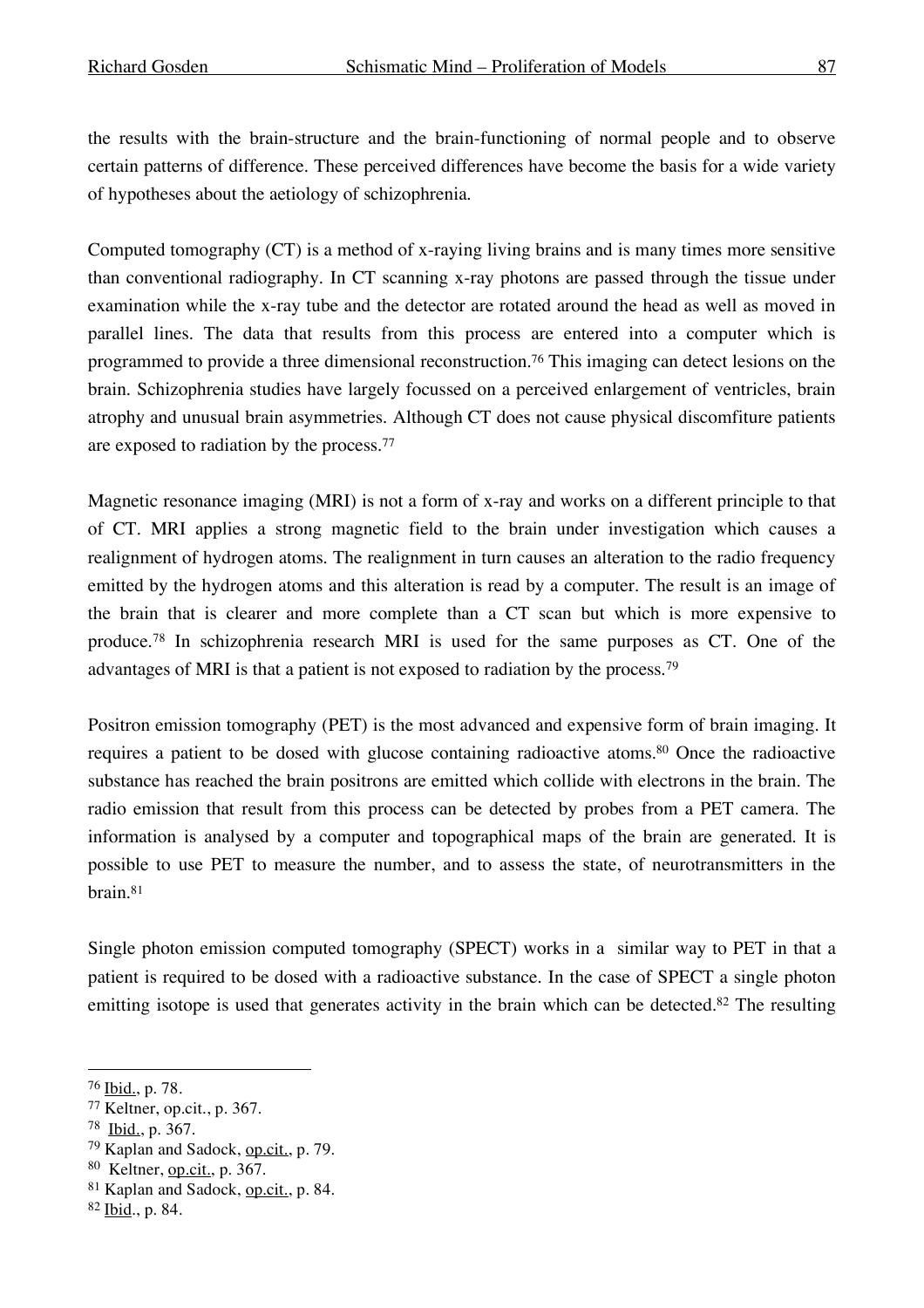the results with the brain-structure and the brain-functioning of normal people and to observe certain patterns of difference. These perceived differences have become the basis for a wide variety of hypotheses about the aetiology of schizophrenia.

Computed tomography (CT) is a method of x-raying living brains and is many times more sensitive than conventional radiography. In CT scanning x-ray photons are passed through the tissue under examination while the x-ray tube and the detector are rotated around the head as well as moved in parallel lines. The data that results from this process are entered into a computer which is programmed to provide a three dimensional reconstruction.76 This imaging can detect lesions on the brain. Schizophrenia studies have largely focussed on a perceived enlargement of ventricles, brain atrophy and unusual brain asymmetries. Although CT does not cause physical discomfiture patients are exposed to radiation by the process. 77

Magnetic resonance imaging (MRI) is not a form of x-ray and works on a different principle to that of CT. MRI applies a strong magnetic field to the brain under investigation which causes a realignment of hydrogen atoms. The realignment in turn causes an alteration to the radio frequency emitted by the hydrogen atoms and this alteration is read by a computer. The result is an image of the brain that is clearer and more complete than a CT scan but which is more expensive to produce.78 In schizophrenia research MRI is used for the same purposes as CT. One of the advantages of MRI is that a patient is not exposed to radiation by the process.79

Positron emission tomography (PET) is the most advanced and expensive form of brain imaging. It requires a patient to be dosed with glucose containing radioactive atoms. <sup>80</sup> Once the radioactive substance has reached the brain positrons are emitted which collide with electrons in the brain. The radio emission that result from this process can be detected by probes from a PET camera. The information is analysed by a computer and topographical maps of the brain are generated. It is possible to use PET to measure the number, and to assess the state, of neurotransmitters in the brain.81

Single photon emission computed tomography (SPECT) works in a similar way to PET in that a patient is required to be dosed with a radioactive substance. In the case of SPECT a single photon emitting isotope is used that generates activity in the brain which can be detected.<sup>82</sup> The resulting

 <sup>76</sup> Ibid., p. 78.

<sup>77</sup> Keltner, op.cit., p. 367.

<sup>78</sup> Ibid., p. 367.

<sup>79</sup> Kaplan and Sadock, op.cit., p. 79.

<sup>80</sup> Keltner, op.cit., p. 367.

<sup>81</sup> Kaplan and Sadock, op.cit., p. 84.

<sup>82</sup> Ibid., p. 84.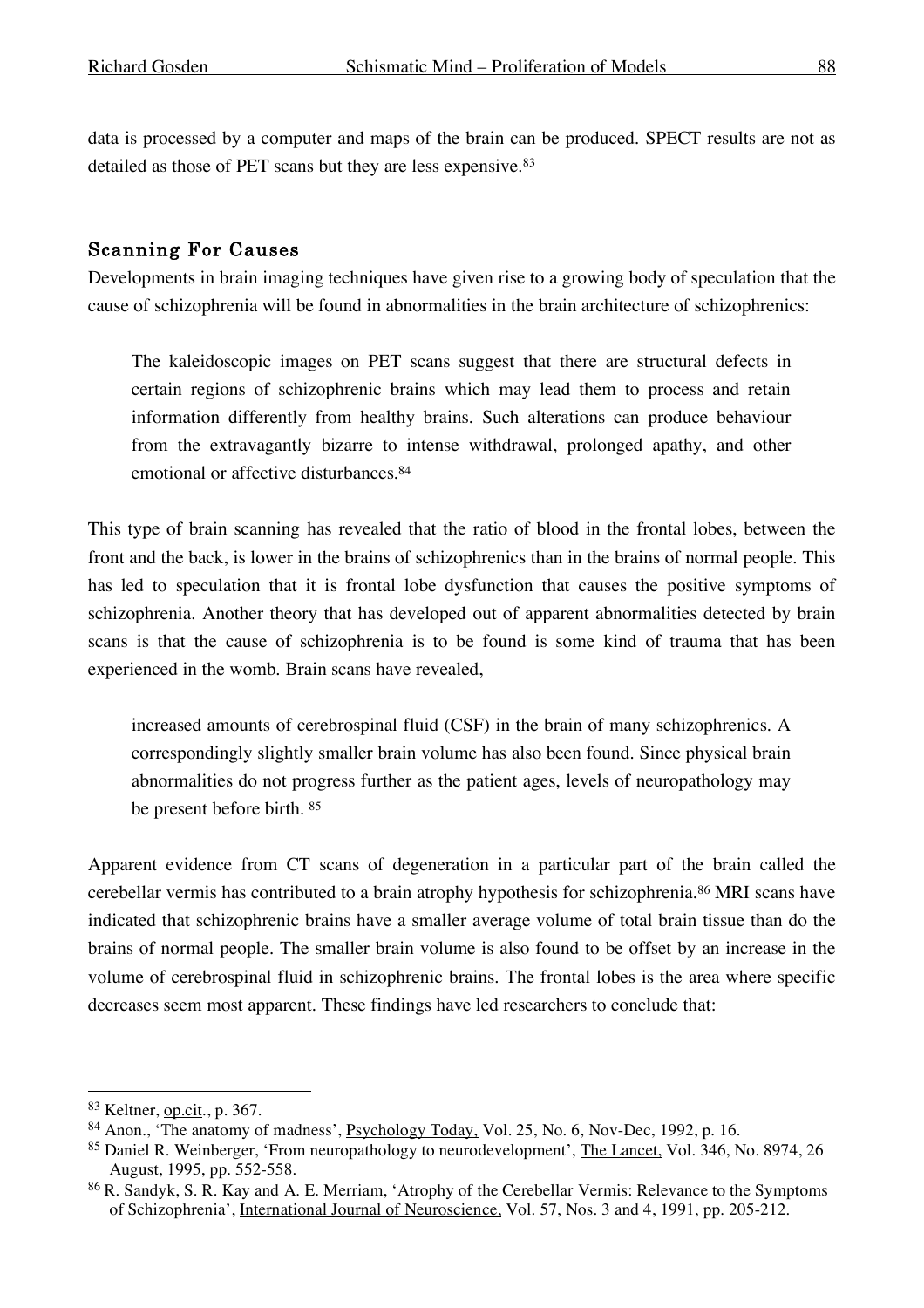data is processed by a computer and maps of the brain can be produced. SPECT results are not as detailed as those of PET scans but they are less expensive. 83

#### Scanning For Causes

Developments in brain imaging techniques have given rise to a growing body of speculation that the cause of schizophrenia will be found in abnormalities in the brain architecture of schizophrenics:

The kaleidoscopic images on PET scans suggest that there are structural defects in certain regions of schizophrenic brains which may lead them to process and retain information differently from healthy brains. Such alterations can produce behaviour from the extravagantly bizarre to intense withdrawal, prolonged apathy, and other emotional or affective disturbances. 84

This type of brain scanning has revealed that the ratio of blood in the frontal lobes, between the front and the back, is lower in the brains of schizophrenics than in the brains of normal people. This has led to speculation that it is frontal lobe dysfunction that causes the positive symptoms of schizophrenia. Another theory that has developed out of apparent abnormalities detected by brain scans is that the cause of schizophrenia is to be found is some kind of trauma that has been experienced in the womb. Brain scans have revealed,

increased amounts of cerebrospinal fluid (CSF) in the brain of many schizophrenics. A correspondingly slightly smaller brain volume has also been found. Since physical brain abnormalities do not progress further as the patient ages, levels of neuropathology may be present before birth. <sup>85</sup>

Apparent evidence from CT scans of degeneration in a particular part of the brain called the cerebellar vermis has contributed to a brain atrophy hypothesis for schizophrenia.86 MRI scans have indicated that schizophrenic brains have a smaller average volume of total brain tissue than do the brains of normal people. The smaller brain volume is also found to be offset by an increase in the volume of cerebrospinal fluid in schizophrenic brains. The frontal lobes is the area where specific decreases seem most apparent. These findings have led researchers to conclude that:

<sup>83</sup> Keltner, op.cit., p. 367.

<sup>84</sup> Anon., 'The anatomy of madness', Psychology Today, Vol. 25, No. 6, Nov-Dec, 1992, p. 16.

<sup>85</sup> Daniel R. Weinberger, 'From neuropathology to neurodevelopment', The Lancet, Vol. 346, No. 8974, 26 August, 1995, pp. 552-558.

<sup>86</sup> R. Sandyk, S. R. Kay and A. E. Merriam, 'Atrophy of the Cerebellar Vermis: Relevance to the Symptoms of Schizophrenia', International Journal of Neuroscience, Vol. 57, Nos. 3 and 4, 1991, pp. 205-212.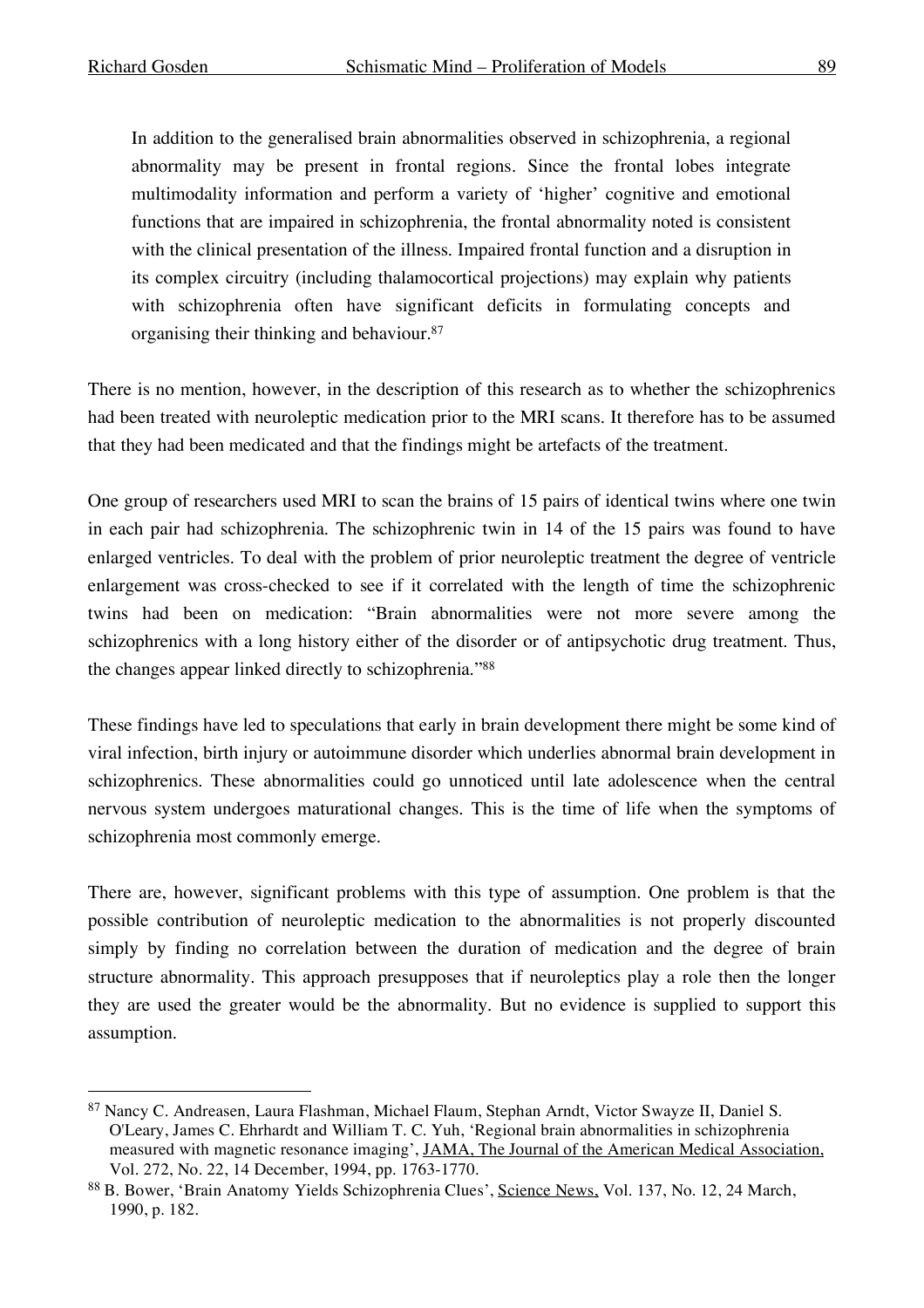In addition to the generalised brain abnormalities observed in schizophrenia, a regional abnormality may be present in frontal regions. Since the frontal lobes integrate multimodality information and perform a variety of 'higher' cognitive and emotional functions that are impaired in schizophrenia, the frontal abnormality noted is consistent with the clinical presentation of the illness. Impaired frontal function and a disruption in its complex circuitry (including thalamocortical projections) may explain why patients with schizophrenia often have significant deficits in formulating concepts and organising their thinking and behaviour. 87

There is no mention, however, in the description of this research as to whether the schizophrenics had been treated with neuroleptic medication prior to the MRI scans. It therefore has to be assumed that they had been medicated and that the findings might be artefacts of the treatment.

One group of researchers used MRI to scan the brains of 15 pairs of identical twins where one twin in each pair had schizophrenia. The schizophrenic twin in 14 of the 15 pairs was found to have enlarged ventricles. To deal with the problem of prior neuroleptic treatment the degree of ventricle enlargement was cross-checked to see if it correlated with the length of time the schizophrenic twins had been on medication: "Brain abnormalities were not more severe among the schizophrenics with a long history either of the disorder or of antipsychotic drug treatment. Thus, the changes appear linked directly to schizophrenia."88

These findings have led to speculations that early in brain development there might be some kind of viral infection, birth injury or autoimmune disorder which underlies abnormal brain development in schizophrenics. These abnormalities could go unnoticed until late adolescence when the central nervous system undergoes maturational changes. This is the time of life when the symptoms of schizophrenia most commonly emerge.

There are, however, significant problems with this type of assumption. One problem is that the possible contribution of neuroleptic medication to the abnormalities is not properly discounted simply by finding no correlation between the duration of medication and the degree of brain structure abnormality. This approach presupposes that if neuroleptics play a role then the longer they are used the greater would be the abnormality. But no evidence is supplied to support this assumption.

 <sup>87</sup> Nancy C. Andreasen, Laura Flashman, Michael Flaum, Stephan Arndt, Victor Swayze II, Daniel S. O'Leary, James C. Ehrhardt and William T. C. Yuh, 'Regional brain abnormalities in schizophrenia measured with magnetic resonance imaging', JAMA, The Journal of the American Medical Association, Vol. 272, No. 22, 14 December, 1994, pp. 1763-1770.

<sup>88</sup> B. Bower, 'Brain Anatomy Yields Schizophrenia Clues', Science News, Vol. 137, No. 12, 24 March, 1990, p. 182.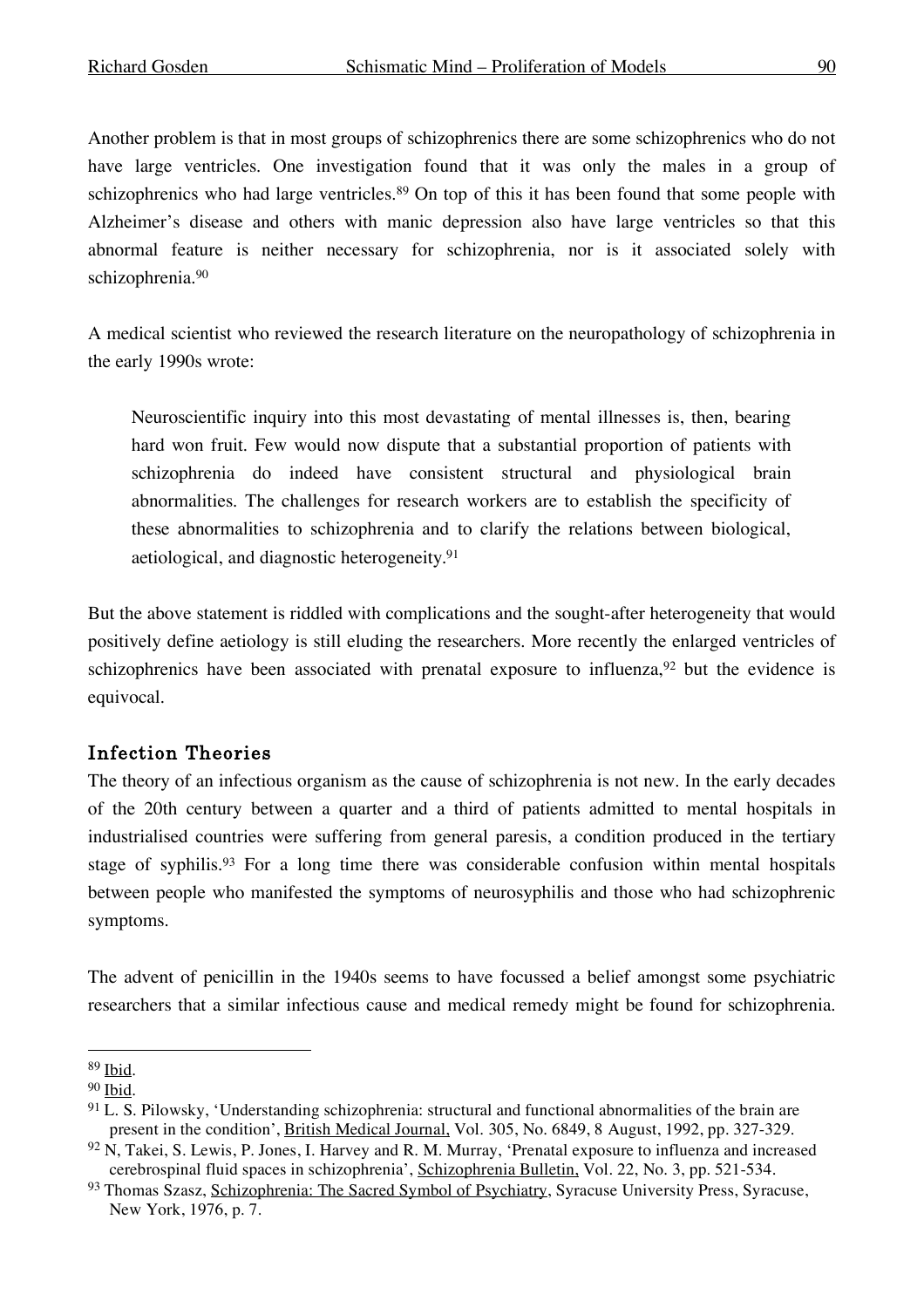Another problem is that in most groups of schizophrenics there are some schizophrenics who do not have large ventricles. One investigation found that it was only the males in a group of schizophrenics who had large ventricles.<sup>89</sup> On top of this it has been found that some people with Alzheimer's disease and others with manic depression also have large ventricles so that this abnormal feature is neither necessary for schizophrenia, nor is it associated solely with schizophrenia. 90

A medical scientist who reviewed the research literature on the neuropathology of schizophrenia in the early 1990s wrote:

Neuroscientific inquiry into this most devastating of mental illnesses is, then, bearing hard won fruit. Few would now dispute that a substantial proportion of patients with schizophrenia do indeed have consistent structural and physiological brain abnormalities. The challenges for research workers are to establish the specificity of these abnormalities to schizophrenia and to clarify the relations between biological, aetiological, and diagnostic heterogeneity. 91

But the above statement is riddled with complications and the sought-after heterogeneity that would positively define aetiology is still eluding the researchers. More recently the enlarged ventricles of schizophrenics have been associated with prenatal exposure to influenza,  $92$  but the evidence is equivocal.

### Infection Theories

The theory of an infectious organism as the cause of schizophrenia is not new. In the early decades of the 20th century between a quarter and a third of patients admitted to mental hospitals in industrialised countries were suffering from general paresis, a condition produced in the tertiary stage of syphilis.<sup>93</sup> For a long time there was considerable confusion within mental hospitals between people who manifested the symptoms of neurosyphilis and those who had schizophrenic symptoms.

The advent of penicillin in the 1940s seems to have focussed a belief amongst some psychiatric researchers that a similar infectious cause and medical remedy might be found for schizophrenia.

 <sup>89</sup> Ibid.

<sup>90</sup> Ibid.

<sup>&</sup>lt;sup>91</sup> L. S. Pilowsky, 'Understanding schizophrenia: structural and functional abnormalities of the brain are present in the condition', British Medical Journal, Vol. 305, No. 6849, 8 August, 1992, pp. 327-329.

 $92$  N, Takei, S. Lewis, P. Jones, I. Harvey and R. M. Murray, 'Prenatal exposure to influenza and increased cerebrospinal fluid spaces in schizophrenia', Schizophrenia Bulletin, Vol. 22, No. 3, pp. 521-534.

<sup>93</sup> Thomas Szasz, Schizophrenia: The Sacred Symbol of Psychiatry, Syracuse University Press, Syracuse, New York, 1976, p. 7.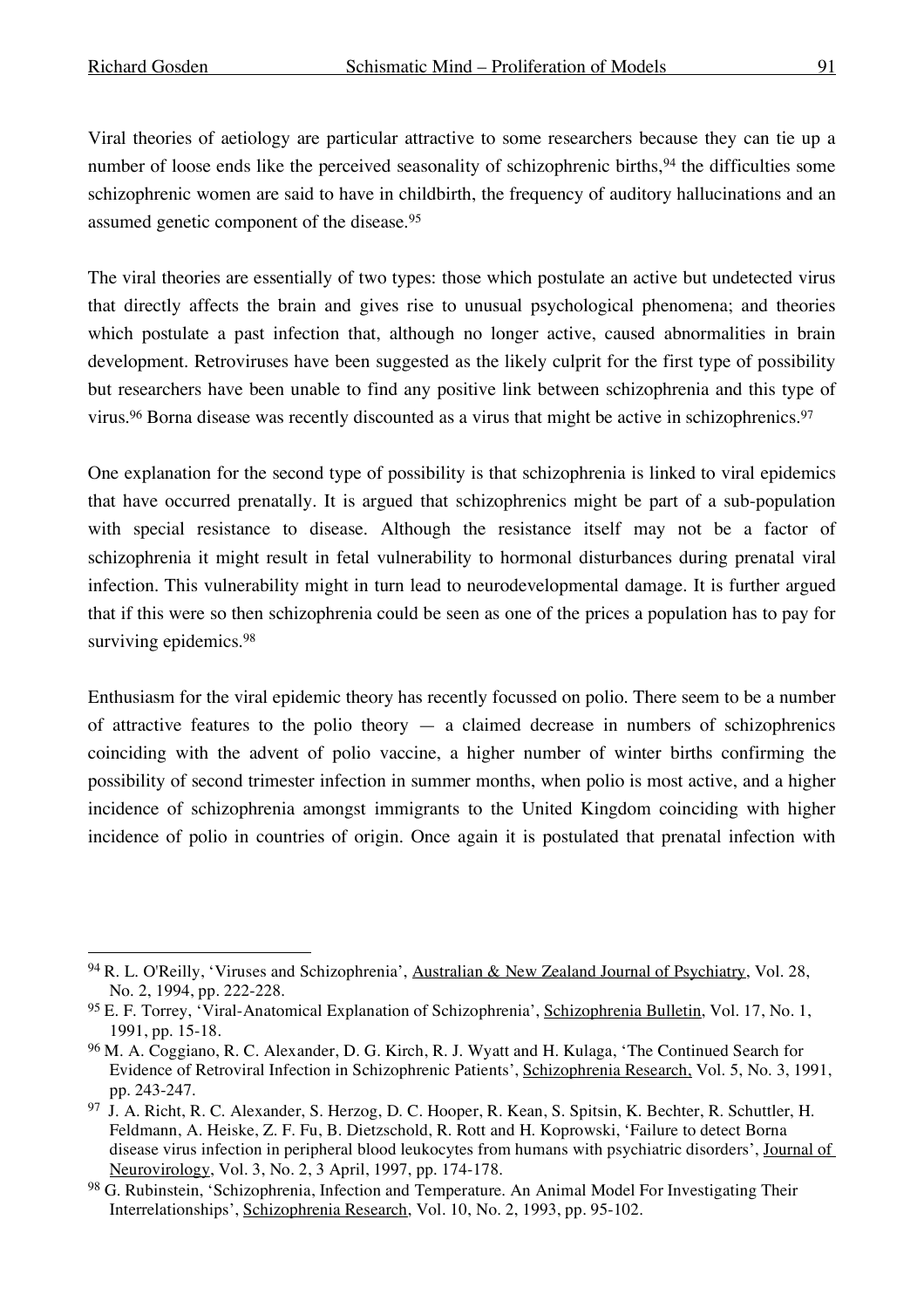Viral theories of aetiology are particular attractive to some researchers because they can tie up a number of loose ends like the perceived seasonality of schizophrenic births,<sup>94</sup> the difficulties some schizophrenic women are said to have in childbirth, the frequency of auditory hallucinations and an assumed genetic component of the disease. 95

The viral theories are essentially of two types: those which postulate an active but undetected virus that directly affects the brain and gives rise to unusual psychological phenomena; and theories which postulate a past infection that, although no longer active, caused abnormalities in brain development. Retroviruses have been suggested as the likely culprit for the first type of possibility but researchers have been unable to find any positive link between schizophrenia and this type of virus. <sup>96</sup> Borna disease was recently discounted as a virus that might be active in schizophrenics. 97

One explanation for the second type of possibility is that schizophrenia is linked to viral epidemics that have occurred prenatally. It is argued that schizophrenics might be part of a sub-population with special resistance to disease. Although the resistance itself may not be a factor of schizophrenia it might result in fetal vulnerability to hormonal disturbances during prenatal viral infection. This vulnerability might in turn lead to neurodevelopmental damage. It is further argued that if this were so then schizophrenia could be seen as one of the prices a population has to pay for surviving epidemics.<sup>98</sup>

Enthusiasm for the viral epidemic theory has recently focussed on polio. There seem to be a number of attractive features to the polio theory  $-$  a claimed decrease in numbers of schizophrenics coinciding with the advent of polio vaccine, a higher number of winter births confirming the possibility of second trimester infection in summer months, when polio is most active, and a higher incidence of schizophrenia amongst immigrants to the United Kingdom coinciding with higher incidence of polio in countries of origin. Once again it is postulated that prenatal infection with

<sup>94</sup> R. L. O'Reilly, 'Viruses and Schizophrenia', Australian & New Zealand Journal of Psychiatry, Vol. 28, No. 2, 1994, pp. 222-228.

<sup>95</sup> E. F. Torrey, 'Viral-Anatomical Explanation of Schizophrenia', Schizophrenia Bulletin, Vol. 17, No. 1, 1991, pp. 15-18.

<sup>96</sup> M. A. Coggiano, R. C. Alexander, D. G. Kirch, R. J. Wyatt and H. Kulaga, 'The Continued Search for Evidence of Retroviral Infection in Schizophrenic Patients', Schizophrenia Research, Vol. 5, No. 3, 1991, pp. 243-247.

<sup>97</sup> J. A. Richt, R. C. Alexander, S. Herzog, D. C. Hooper, R. Kean, S. Spitsin, K. Bechter, R. Schuttler, H. Feldmann, A. Heiske, Z. F. Fu, B. Dietzschold, R. Rott and H. Koprowski, 'Failure to detect Borna disease virus infection in peripheral blood leukocytes from humans with psychiatric disorders', Journal of Neurovirology, Vol. 3, No. 2, 3 April, 1997, pp. 174-178.

<sup>98</sup> G. Rubinstein, 'Schizophrenia, Infection and Temperature. An Animal Model For Investigating Their Interrelationships', Schizophrenia Research, Vol. 10, No. 2, 1993, pp. 95-102.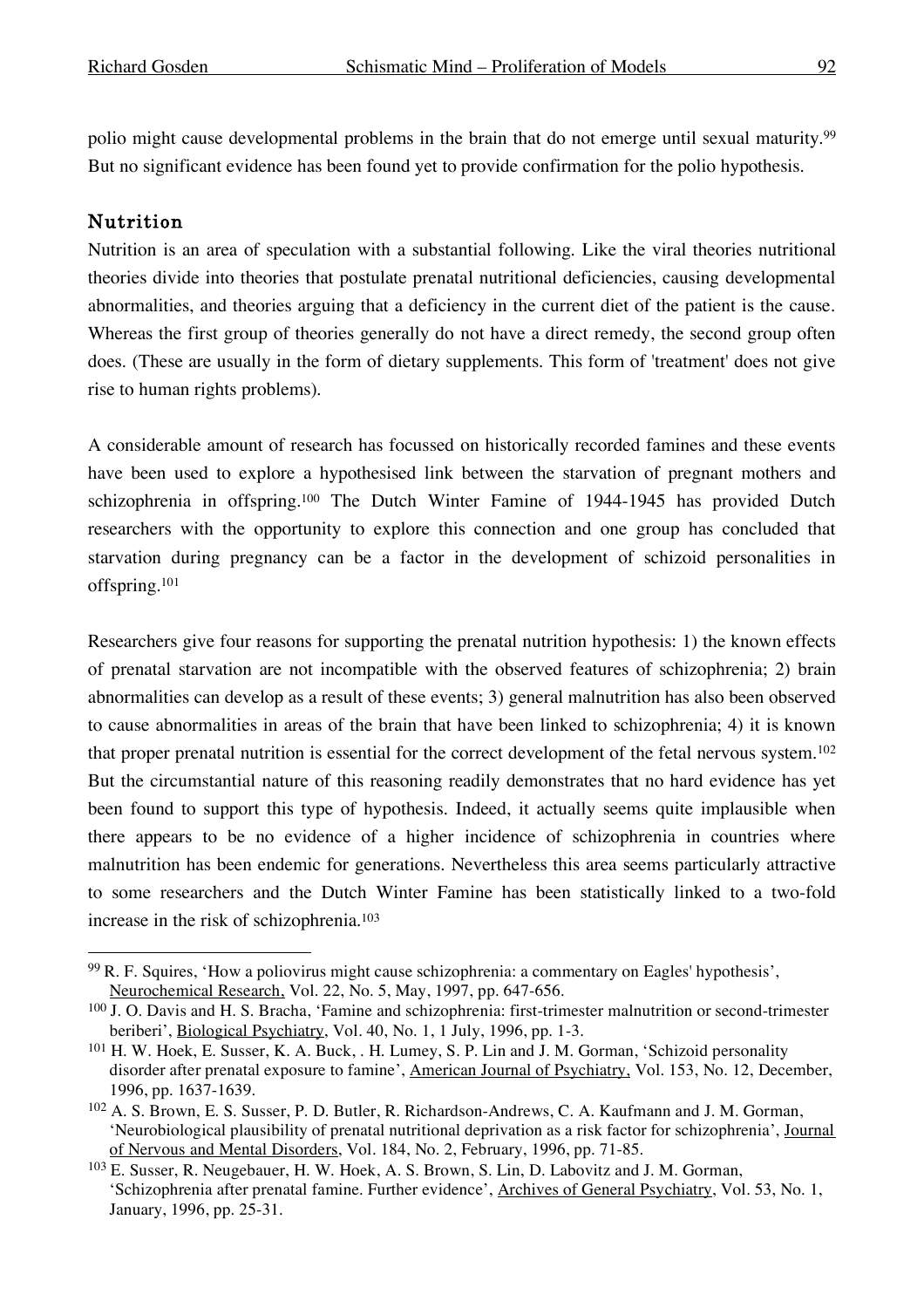polio might cause developmental problems in the brain that do not emerge until sexual maturity. 99 But no significant evidence has been found yet to provide confirmation for the polio hypothesis.

#### Nutrition

Nutrition is an area of speculation with a substantial following. Like the viral theories nutritional theories divide into theories that postulate prenatal nutritional deficiencies, causing developmental abnormalities, and theories arguing that a deficiency in the current diet of the patient is the cause. Whereas the first group of theories generally do not have a direct remedy, the second group often does. (These are usually in the form of dietary supplements. This form of 'treatment' does not give rise to human rights problems).

A considerable amount of research has focussed on historically recorded famines and these events have been used to explore a hypothesised link between the starvation of pregnant mothers and schizophrenia in offspring.100 The Dutch Winter Famine of 1944-1945 has provided Dutch researchers with the opportunity to explore this connection and one group has concluded that starvation during pregnancy can be a factor in the development of schizoid personalities in offspring.101

Researchers give four reasons for supporting the prenatal nutrition hypothesis: 1) the known effects of prenatal starvation are not incompatible with the observed features of schizophrenia; 2) brain abnormalities can develop as a result of these events; 3) general malnutrition has also been observed to cause abnormalities in areas of the brain that have been linked to schizophrenia; 4) it is known that proper prenatal nutrition is essential for the correct development of the fetal nervous system.102 But the circumstantial nature of this reasoning readily demonstrates that no hard evidence has yet been found to support this type of hypothesis. Indeed, it actually seems quite implausible when there appears to be no evidence of a higher incidence of schizophrenia in countries where malnutrition has been endemic for generations. Nevertheless this area seems particularly attractive to some researchers and the Dutch Winter Famine has been statistically linked to a two-fold increase in the risk of schizophrenia. 103

 <sup>99</sup> R. F. Squires, 'How a poliovirus might cause schizophrenia: <sup>a</sup> commentary on Eagles' hypothesis', Neurochemical Research, Vol. 22, No. 5, May, 1997, pp. 647-656.

<sup>100</sup> J. O. Davis and H. S. Bracha, 'Famine and schizophrenia: first-trimester malnutrition or second-trimester beriberi', Biological Psychiatry, Vol. 40, No. 1, 1 July, 1996, pp. 1-3.

<sup>101</sup> H. W. Hoek, E. Susser, K. A. Buck, . H. Lumey, S. P. Lin and J. M. Gorman, 'Schizoid personality disorder after prenatal exposure to famine', American Journal of Psychiatry, Vol. 153, No. 12, December, 1996, pp. 1637-1639.

<sup>102</sup> A. S. Brown, E. S. Susser, P. D. Butler, R. Richardson-Andrews, C. A. Kaufmann and J. M. Gorman, 'Neurobiological plausibility of prenatal nutritional deprivation as a risk factor for schizophrenia', Journal of Nervous and Mental Disorders, Vol. 184, No. 2, February, 1996, pp. 71-85.

<sup>103</sup> E. Susser, R. Neugebauer, H. W. Hoek, A. S. Brown, S. Lin, D. Labovitz and J. M. Gorman, 'Schizophrenia after prenatal famine. Further evidence', Archives of General Psychiatry, Vol. 53, No. 1, January, 1996, pp. 25-31.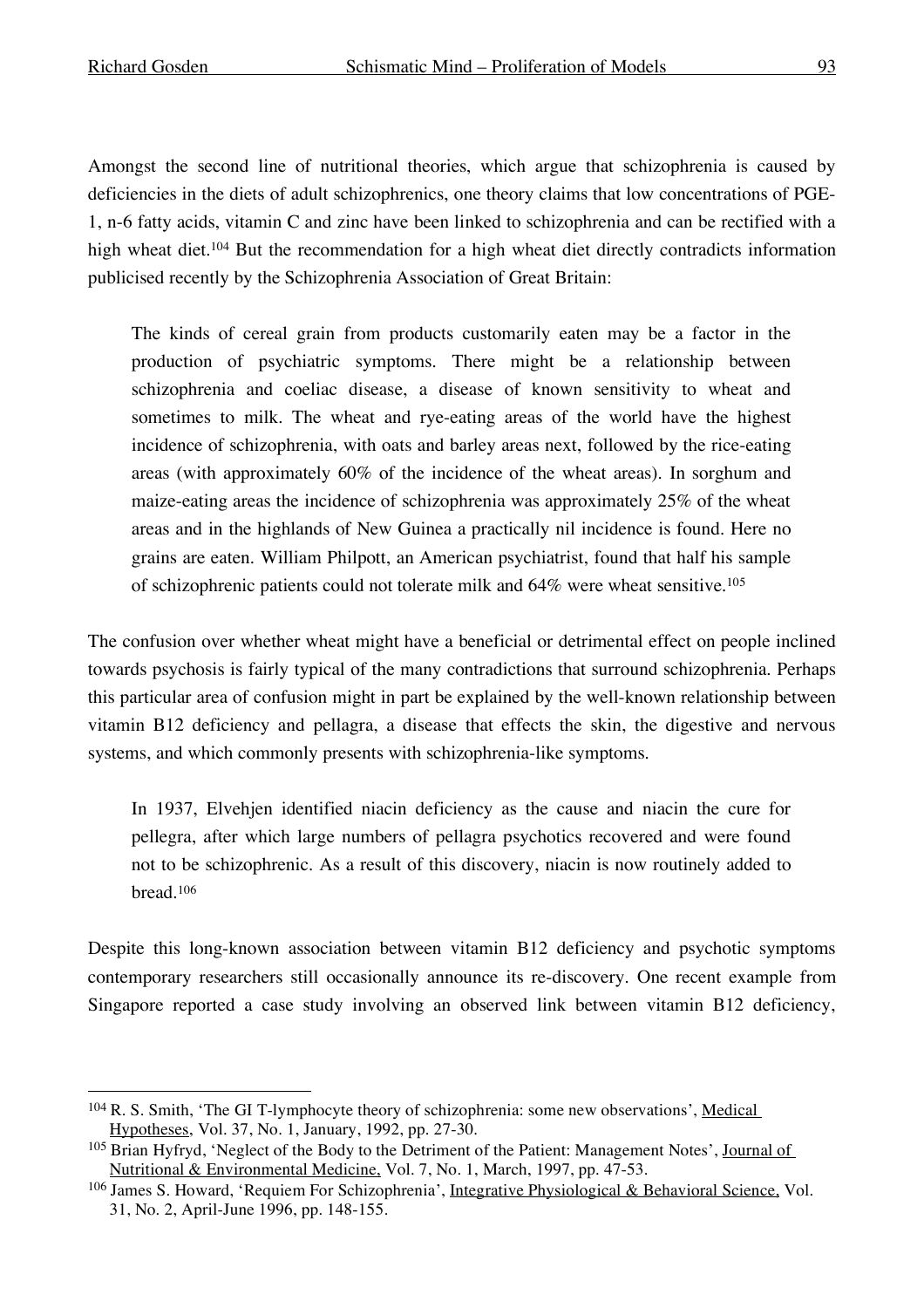Amongst the second line of nutritional theories, which argue that schizophrenia is caused by deficiencies in the diets of adult schizophrenics, one theory claims that low concentrations of PGE-1, n-6 fatty acids, vitamin C and zinc have been linked to schizophrenia and can be rectified with a high wheat diet. <sup>104</sup> But the recommendation for a high wheat diet directly contradicts information publicised recently by the Schizophrenia Association of Great Britain:

The kinds of cereal grain from products customarily eaten may be a factor in the production of psychiatric symptoms. There might be a relationship between schizophrenia and coeliac disease, a disease of known sensitivity to wheat and sometimes to milk. The wheat and rye-eating areas of the world have the highest incidence of schizophrenia, with oats and barley areas next, followed by the rice-eating areas (with approximately 60% of the incidence of the wheat areas). In sorghum and maize-eating areas the incidence of schizophrenia was approximately 25% of the wheat areas and in the highlands of New Guinea a practically nil incidence is found. Here no grains are eaten. William Philpott, an American psychiatrist, found that half his sample of schizophrenic patients could not tolerate milk and 64% were wheat sensitive.105

The confusion over whether wheat might have a beneficial or detrimental effect on people inclined towards psychosis is fairly typical of the many contradictions that surround schizophrenia. Perhaps this particular area of confusion might in part be explained by the well-known relationship between vitamin B12 deficiency and pellagra, a disease that effects the skin, the digestive and nervous systems, and which commonly presents with schizophrenia-like symptoms.

In 1937, Elvehjen identified niacin deficiency as the cause and niacin the cure for pellegra, after which large numbers of pellagra psychotics recovered and were found not to be schizophrenic. As a result of this discovery, niacin is now routinely added to bread.106

Despite this long-known association between vitamin B12 deficiency and psychotic symptoms contemporary researchers still occasionally announce its re-discovery. One recent example from Singapore reported a case study involving an observed link between vitamin B12 deficiency,

<sup>&</sup>lt;sup>104</sup> R. S. Smith, 'The GI T-lymphocyte theory of schizophrenia: some new observations', Medical Hypotheses, Vol. 37, No. 1, January, 1992, pp. 27-30.

<sup>105</sup> Brian Hyfryd, 'Neglect of the Body to the Detriment of the Patient: Management Notes', Journal of Nutritional & Environmental Medicine, Vol. 7, No. 1, March, 1997, pp. 47-53.

<sup>106</sup> James S. Howard, 'Requiem For Schizophrenia', Integrative Physiological & Behavioral Science, Vol. 31, No. 2, April-June 1996, pp. 148-155.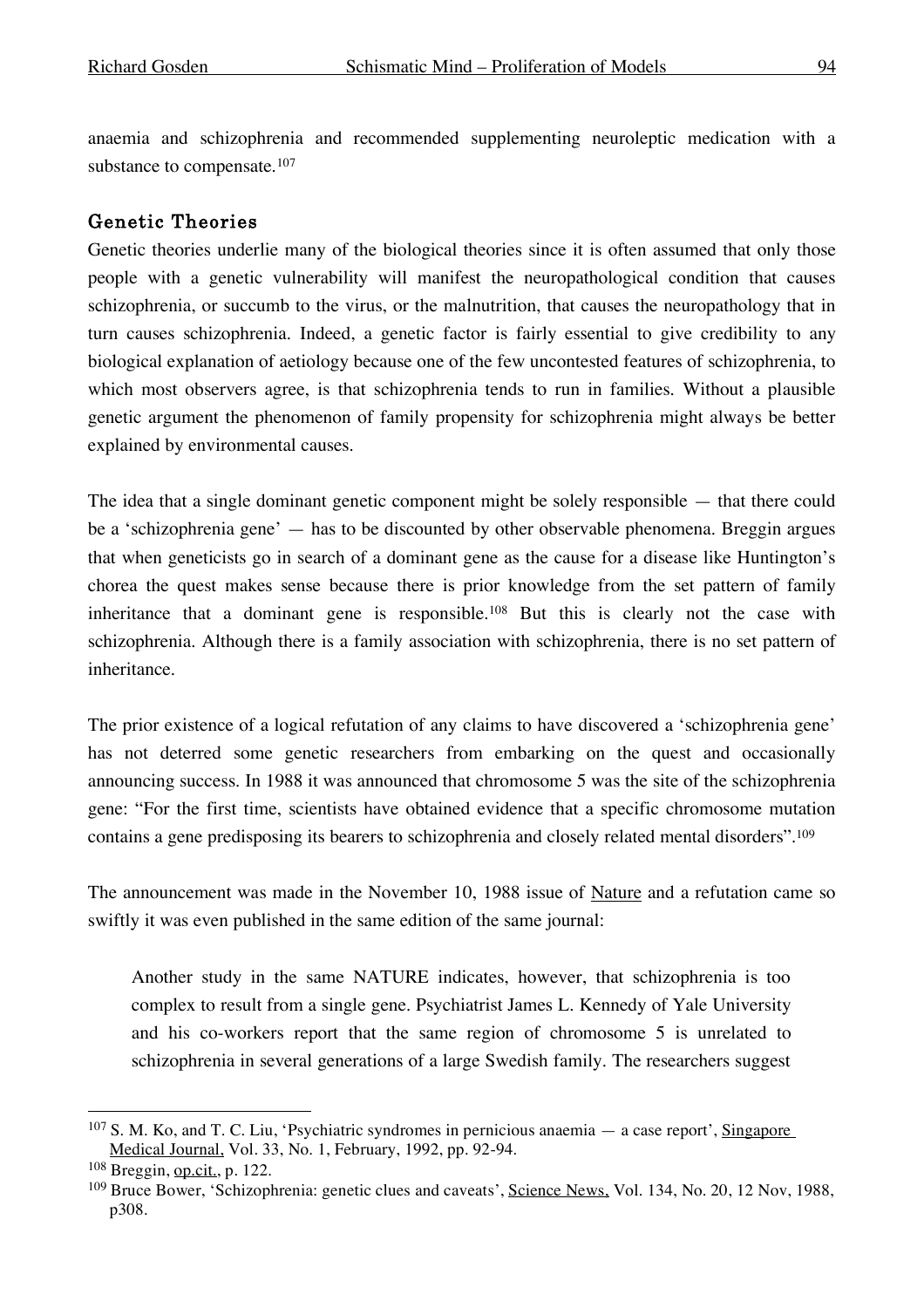anaemia and schizophrenia and recommended supplementing neuroleptic medication with a substance to compensate.<sup>107</sup>

#### Genetic Theories

Genetic theories underlie many of the biological theories since it is often assumed that only those people with a genetic vulnerability will manifest the neuropathological condition that causes schizophrenia, or succumb to the virus, or the malnutrition, that causes the neuropathology that in turn causes schizophrenia. Indeed, a genetic factor is fairly essential to give credibility to any biological explanation of aetiology because one of the few uncontested features of schizophrenia, to which most observers agree, is that schizophrenia tends to run in families. Without a plausible genetic argument the phenomenon of family propensity for schizophrenia might always be better explained by environmental causes.

The idea that a single dominant genetic component might be solely responsible — that there could be a 'schizophrenia gene' — has to be discounted by other observable phenomena. Breggin argues that when geneticists go in search of a dominant gene as the cause for a disease like Huntington's chorea the quest makes sense because there is prior knowledge from the set pattern of family inheritance that a dominant gene is responsible. <sup>108</sup> But this is clearly not the case with schizophrenia. Although there is a family association with schizophrenia, there is no set pattern of inheritance.

The prior existence of a logical refutation of any claims to have discovered a 'schizophrenia gene' has not deterred some genetic researchers from embarking on the quest and occasionally announcing success. In 1988 it was announced that chromosome 5 was the site of the schizophrenia gene: "For the first time, scientists have obtained evidence that a specific chromosome mutation contains a gene predisposing its bearers to schizophrenia and closely related mental disorders". 109

The announcement was made in the November 10, 1988 issue of Nature and a refutation came so swiftly it was even published in the same edition of the same journal:

Another study in the same NATURE indicates, however, that schizophrenia is too complex to result from a single gene. Psychiatrist James L. Kennedy of Yale University and his co-workers report that the same region of chromosome 5 is unrelated to schizophrenia in several generations of a large Swedish family. The researchers suggest

 <sup>107</sup> S. M. Ko, and T. C. Liu, 'Psychiatric syndromes in pernicious anaemia — <sup>a</sup> case report', Singapore Medical Journal, Vol. 33, No. 1, February, 1992, pp. 92-94.

<sup>108</sup> Breggin, op.cit., p. 122.

<sup>&</sup>lt;sup>109</sup> Bruce Bower, 'Schizophrenia: genetic clues and caveats', Science News, Vol. 134, No. 20, 12 Nov, 1988, p308.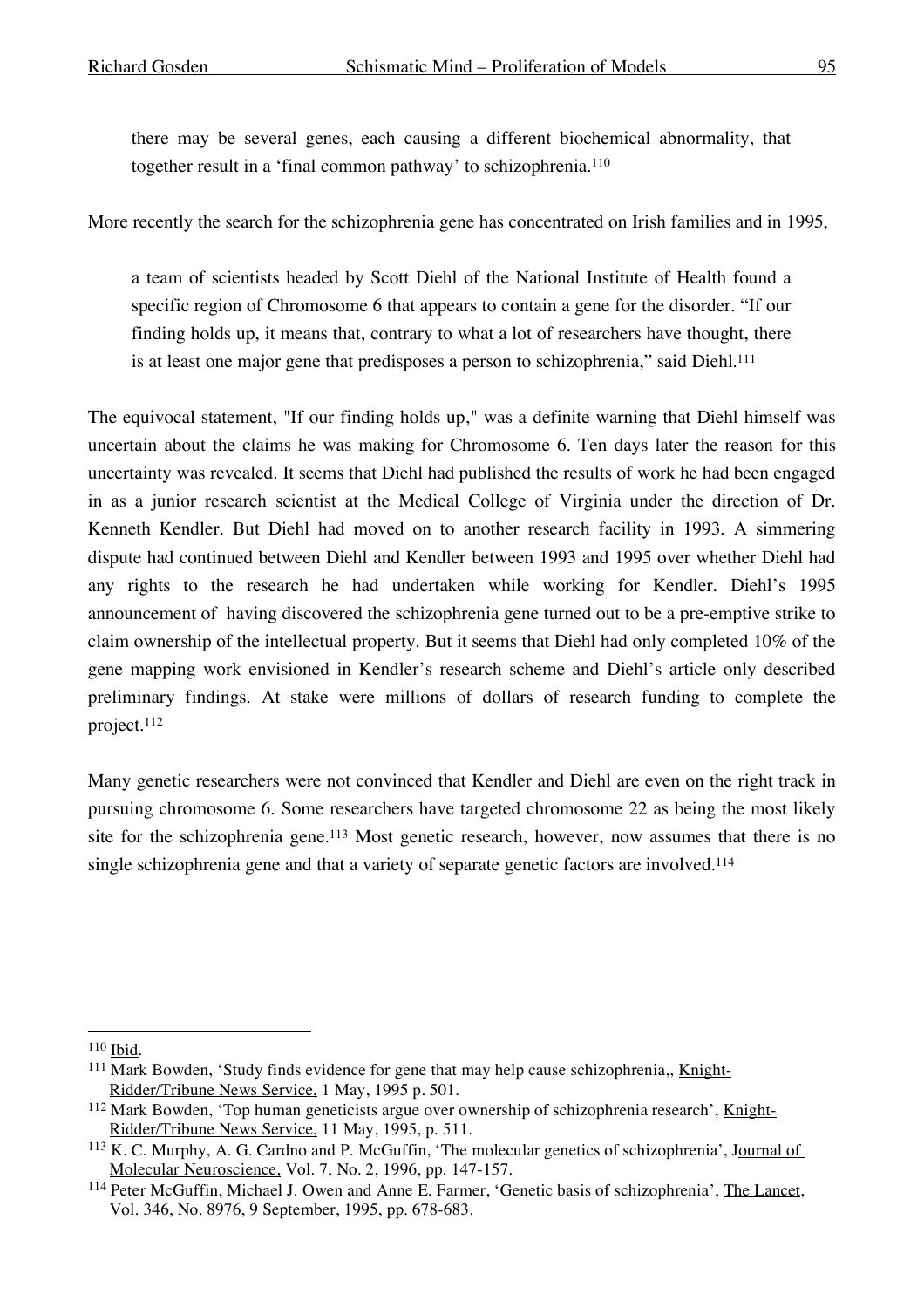there may be several genes, each causing a different biochemical abnormality, that together result in a 'final common pathway' to schizophrenia. 110

More recently the search for the schizophrenia gene has concentrated on Irish families and in 1995,

a team of scientists headed by Scott Diehl of the National Institute of Health found a specific region of Chromosome 6 that appears to contain a gene for the disorder. "If our finding holds up, it means that, contrary to what a lot of researchers have thought, there is at least one major gene that predisposes a person to schizophrenia," said Diehl. 111

The equivocal statement, "If our finding holds up," was a definite warning that Diehl himself was uncertain about the claims he was making for Chromosome 6. Ten days later the reason for this uncertainty was revealed. It seems that Diehl had published the results of work he had been engaged in as a junior research scientist at the Medical College of Virginia under the direction of Dr. Kenneth Kendler. But Diehl had moved on to another research facility in 1993. A simmering dispute had continued between Diehl and Kendler between 1993 and 1995 over whether Diehl had any rights to the research he had undertaken while working for Kendler. Diehl's 1995 announcement of having discovered the schizophrenia gene turned out to be a pre-emptive strike to claim ownership of the intellectual property. But it seems that Diehl had only completed 10% of the gene mapping work envisioned in Kendler's research scheme and Diehl's article only described preliminary findings. At stake were millions of dollars of research funding to complete the project. 112

Many genetic researchers were not convinced that Kendler and Diehl are even on the right track in pursuing chromosome 6. Some researchers have targeted chromosome 22 as being the most likely site for the schizophrenia gene.<sup>113</sup> Most genetic research, however, now assumes that there is no single schizophrenia gene and that a variety of separate genetic factors are involved.<sup>114</sup>

 <sup>110</sup> Ibid.

<sup>&</sup>lt;sup>111</sup> Mark Bowden, 'Study finds evidence for gene that may help cause schizophrenia,, Knight-Ridder/Tribune News Service, 1 May, 1995 p. 501.

<sup>112</sup> Mark Bowden, 'Top human geneticists argue over ownership of schizophrenia research', Knight-Ridder/Tribune News Service, 11 May, 1995, p. 511.

<sup>113</sup> K. C. Murphy, A. G. Cardno and P. McGuffin, 'The molecular genetics of schizophrenia', Journal of Molecular Neuroscience, Vol. 7, No. 2, 1996, pp. 147-157.

<sup>114</sup> Peter McGuffin, Michael J. Owen and Anne E. Farmer, 'Genetic basis of schizophrenia', The Lancet, Vol. 346, No. 8976, 9 September, 1995, pp. 678-683.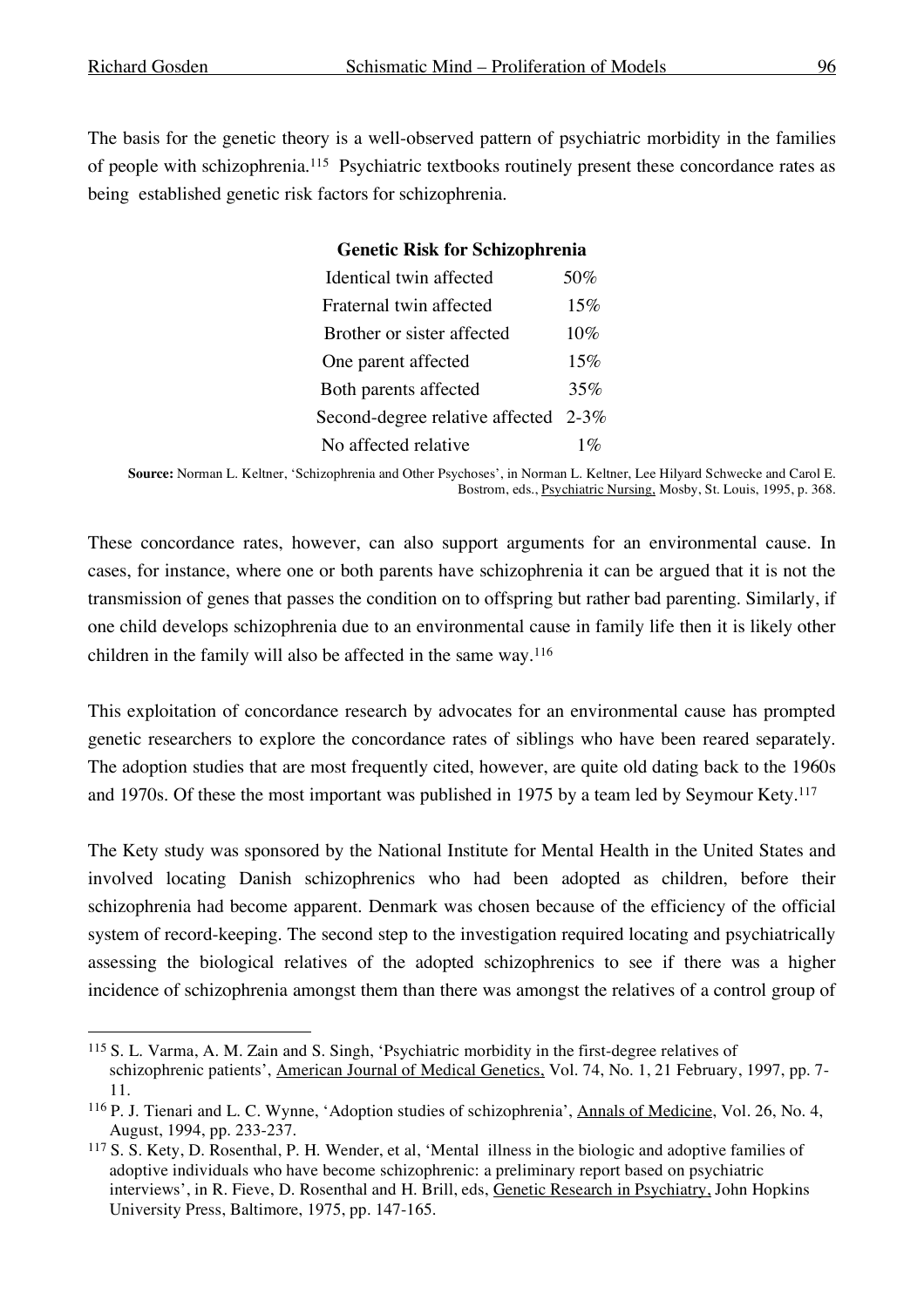The basis for the genetic theory is a well-observed pattern of psychiatric morbidity in the families of people with schizophrenia. <sup>115</sup> Psychiatric textbooks routinely present these concordance rates as being established genetic risk factors for schizophrenia.

| <b>Genetic Risk for Schizophrenia</b> |       |  |  |  |
|---------------------------------------|-------|--|--|--|
| Identical twin affected               | 50%   |  |  |  |
| Fraternal twin affected               | 15%   |  |  |  |
| Brother or sister affected            | 10%   |  |  |  |
| One parent affected                   | 15%   |  |  |  |
| Both parents affected                 | 35%   |  |  |  |
| Second-degree relative affected 2-3%  |       |  |  |  |
| No affected relative                  | $1\%$ |  |  |  |

**Source:** Norman L. Keltner, 'Schizophrenia and Other Psychoses', in Norman L. Keltner, Lee Hilyard Schwecke and Carol E. Bostrom, eds., Psychiatric Nursing, Mosby, St. Louis, 1995, p. 368.

These concordance rates, however, can also support arguments for an environmental cause. In cases, for instance, where one or both parents have schizophrenia it can be argued that it is not the transmission of genes that passes the condition on to offspring but rather bad parenting. Similarly, if one child develops schizophrenia due to an environmental cause in family life then it is likely other children in the family will also be affected in the same way.116

This exploitation of concordance research by advocates for an environmental cause has prompted genetic researchers to explore the concordance rates of siblings who have been reared separately. The adoption studies that are most frequently cited, however, are quite old dating back to the 1960s and 1970s. Of these the most important was published in 1975 by a team led by Seymour Kety.117

The Kety study was sponsored by the National Institute for Mental Health in the United States and involved locating Danish schizophrenics who had been adopted as children, before their schizophrenia had become apparent. Denmark was chosen because of the efficiency of the official system of record-keeping. The second step to the investigation required locating and psychiatrically assessing the biological relatives of the adopted schizophrenics to see if there was a higher incidence of schizophrenia amongst them than there was amongst the relatives of a control group of

 <sup>115</sup> S. L. Varma, A. M. Zain and S. Singh, 'Psychiatric morbidity in the first-degree relatives of schizophrenic patients', American Journal of Medical Genetics, Vol. 74, No. 1, 21 February, 1997, pp. 7-11.

<sup>116</sup> P. J. Tienari and L. C. Wynne, 'Adoption studies of schizophrenia', Annals of Medicine, Vol. 26, No. 4, August, 1994, pp. 233-237.

<sup>117</sup> S. S. Kety, D. Rosenthal, P. H. Wender, et al, 'Mental illness in the biologic and adoptive families of adoptive individuals who have become schizophrenic: a preliminary report based on psychiatric interviews', in R. Fieve, D. Rosenthal and H. Brill, eds, Genetic Research in Psychiatry, John Hopkins University Press, Baltimore, 1975, pp. 147-165.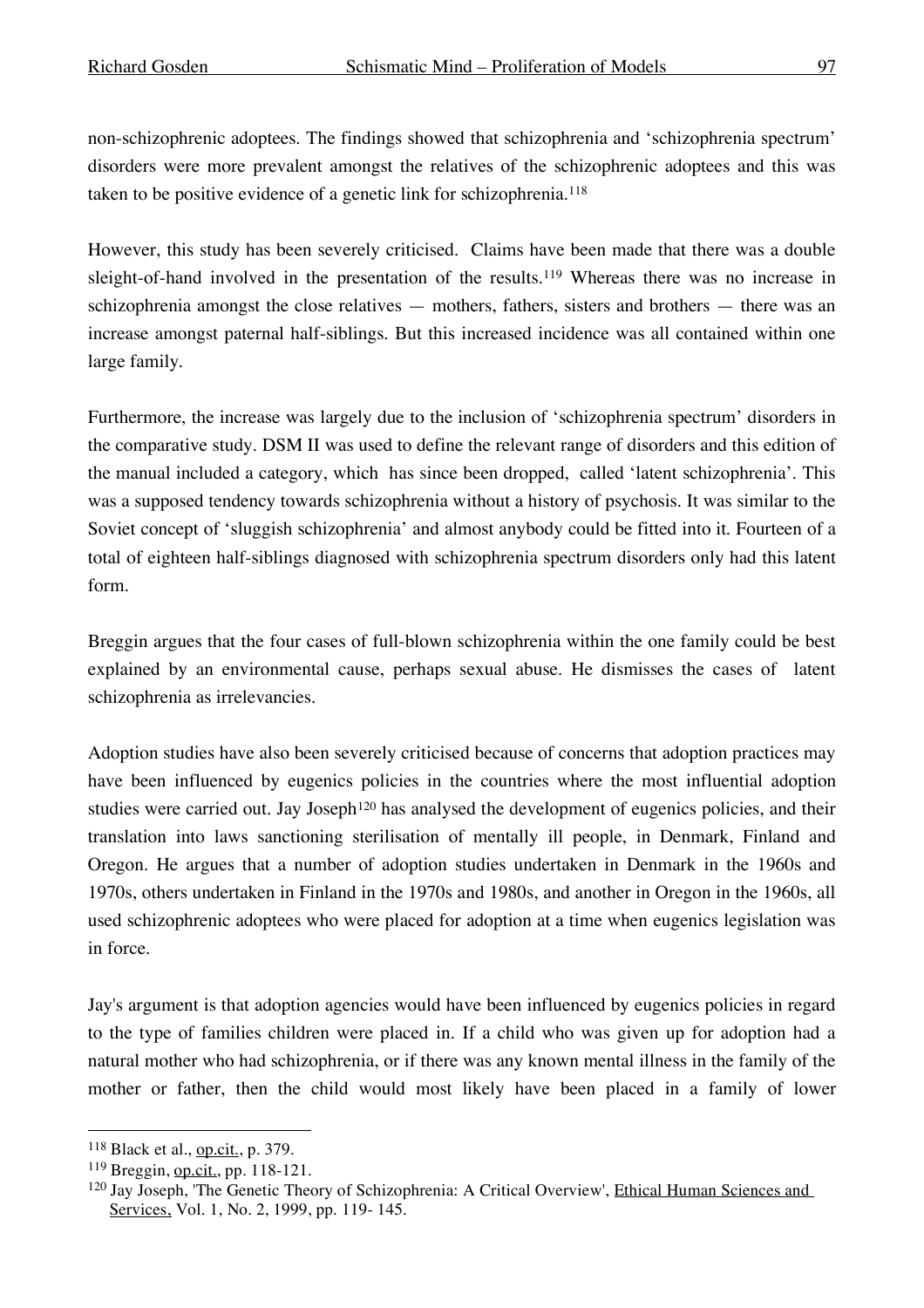non-schizophrenic adoptees. The findings showed that schizophrenia and 'schizophrenia spectrum' disorders were more prevalent amongst the relatives of the schizophrenic adoptees and this was taken to be positive evidence of a genetic link for schizophrenia. 118

However, this study has been severely criticised. Claims have been made that there was a double sleight-of-hand involved in the presentation of the results. <sup>119</sup> Whereas there was no increase in schizophrenia amongst the close relatives — mothers, fathers, sisters and brothers — there was an increase amongst paternal half-siblings. But this increased incidence was all contained within one large family.

Furthermore, the increase was largely due to the inclusion of 'schizophrenia spectrum' disorders in the comparative study. DSM II was used to define the relevant range of disorders and this edition of the manual included a category, which has since been dropped, called 'latent schizophrenia'. This was a supposed tendency towards schizophrenia without a history of psychosis. It was similar to the Soviet concept of 'sluggish schizophrenia' and almost anybody could be fitted into it. Fourteen of a total of eighteen half-siblings diagnosed with schizophrenia spectrum disorders only had this latent form.

Breggin argues that the four cases of full-blown schizophrenia within the one family could be best explained by an environmental cause, perhaps sexual abuse. He dismisses the cases of latent schizophrenia as irrelevancies.

Adoption studies have also been severely criticised because of concerns that adoption practices may have been influenced by eugenics policies in the countries where the most influential adoption studies were carried out. Jay Joseph<sup>120</sup> has analysed the development of eugenics policies, and their translation into laws sanctioning sterilisation of mentally ill people, in Denmark, Finland and Oregon. He argues that a number of adoption studies undertaken in Denmark in the 1960s and 1970s, others undertaken in Finland in the 1970s and 1980s, and another in Oregon in the 1960s, all used schizophrenic adoptees who were placed for adoption at a time when eugenics legislation was in force.

Jay's argument is that adoption agencies would have been influenced by eugenics policies in regard to the type of families children were placed in. If a child who was given up for adoption had a natural mother who had schizophrenia, or if there was any known mental illness in the family of the mother or father, then the child would most likely have been placed in a family of lower

 <sup>118</sup> Black et al., op.cit., p. 379.

<sup>119</sup> Breggin, op.cit., pp. 118-121.

<sup>120</sup> Jay Joseph, 'The Genetic Theory of Schizophrenia: A Critical Overview', Ethical Human Sciences and Services, Vol. 1, No. 2, 1999, pp. 119-145.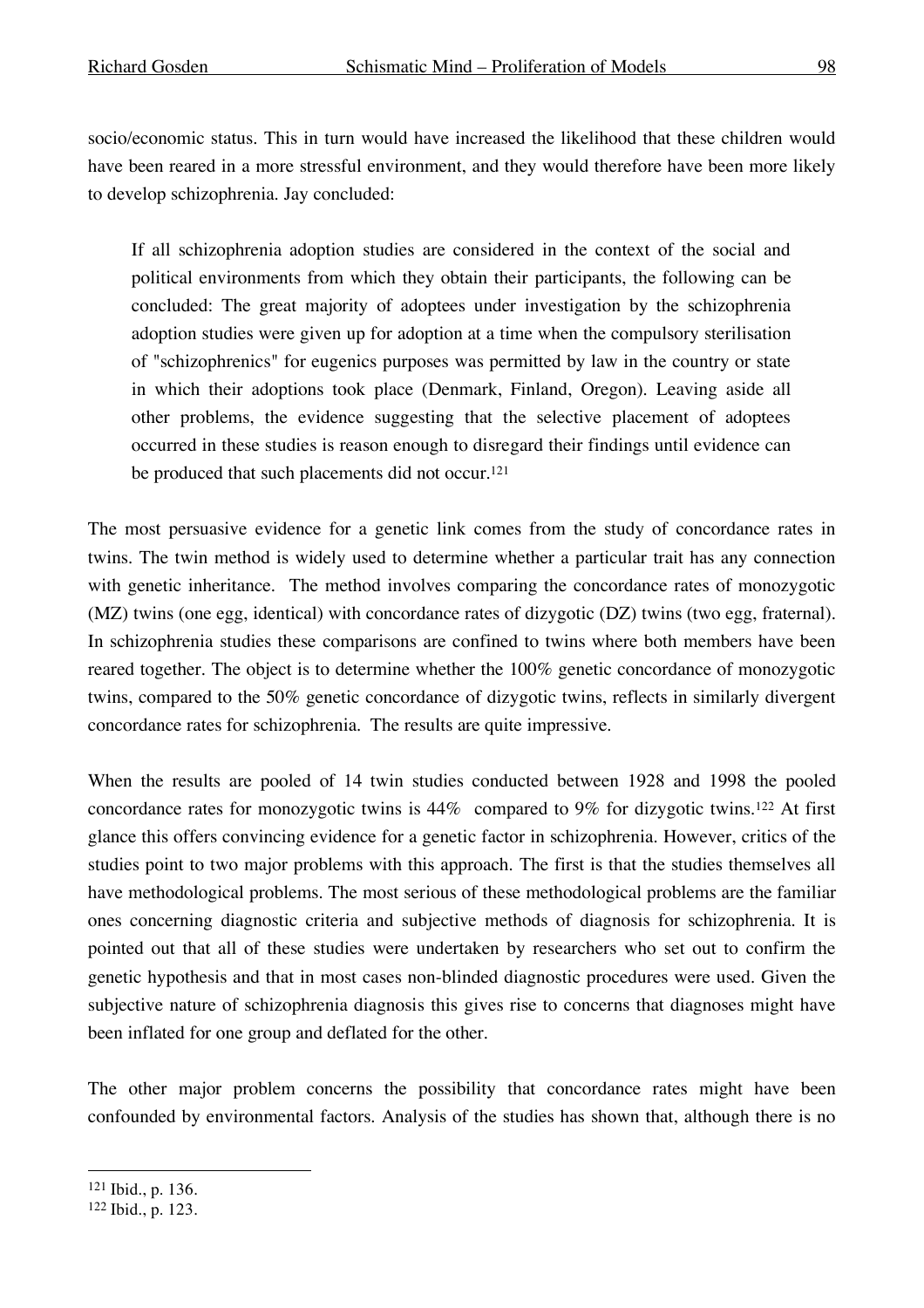socio/economic status. This in turn would have increased the likelihood that these children would have been reared in a more stressful environment, and they would therefore have been more likely to develop schizophrenia. Jay concluded:

If all schizophrenia adoption studies are considered in the context of the social and political environments from which they obtain their participants, the following can be concluded: The great majority of adoptees under investigation by the schizophrenia adoption studies were given up for adoption at a time when the compulsory sterilisation of "schizophrenics" for eugenics purposes was permitted by law in the country or state in which their adoptions took place (Denmark, Finland, Oregon). Leaving aside all other problems, the evidence suggesting that the selective placement of adoptees occurred in these studies is reason enough to disregard their findings until evidence can be produced that such placements did not occur. 121

The most persuasive evidence for a genetic link comes from the study of concordance rates in twins. The twin method is widely used to determine whether a particular trait has any connection with genetic inheritance. The method involves comparing the concordance rates of monozygotic (MZ) twins (one egg, identical) with concordance rates of dizygotic (DZ) twins (two egg, fraternal). In schizophrenia studies these comparisons are confined to twins where both members have been reared together. The object is to determine whether the 100% genetic concordance of monozygotic twins, compared to the 50% genetic concordance of dizygotic twins, reflects in similarly divergent concordance rates for schizophrenia. The results are quite impressive.

When the results are pooled of 14 twin studies conducted between 1928 and 1998 the pooled concordance rates for monozygotic twins is 44% compared to 9% for dizygotic twins.122 At first glance this offers convincing evidence for a genetic factor in schizophrenia. However, critics of the studies point to two major problems with this approach. The first is that the studies themselves all have methodological problems. The most serious of these methodological problems are the familiar ones concerning diagnostic criteria and subjective methods of diagnosis for schizophrenia. It is pointed out that all of these studies were undertaken by researchers who set out to confirm the genetic hypothesis and that in most cases non-blinded diagnostic procedures were used. Given the subjective nature of schizophrenia diagnosis this gives rise to concerns that diagnoses might have been inflated for one group and deflated for the other.

The other major problem concerns the possibility that concordance rates might have been confounded by environmental factors. Analysis of the studies has shown that, although there is no

 <sup>121</sup> Ibid., p. 136.

<sup>122</sup> Ibid., p. 123.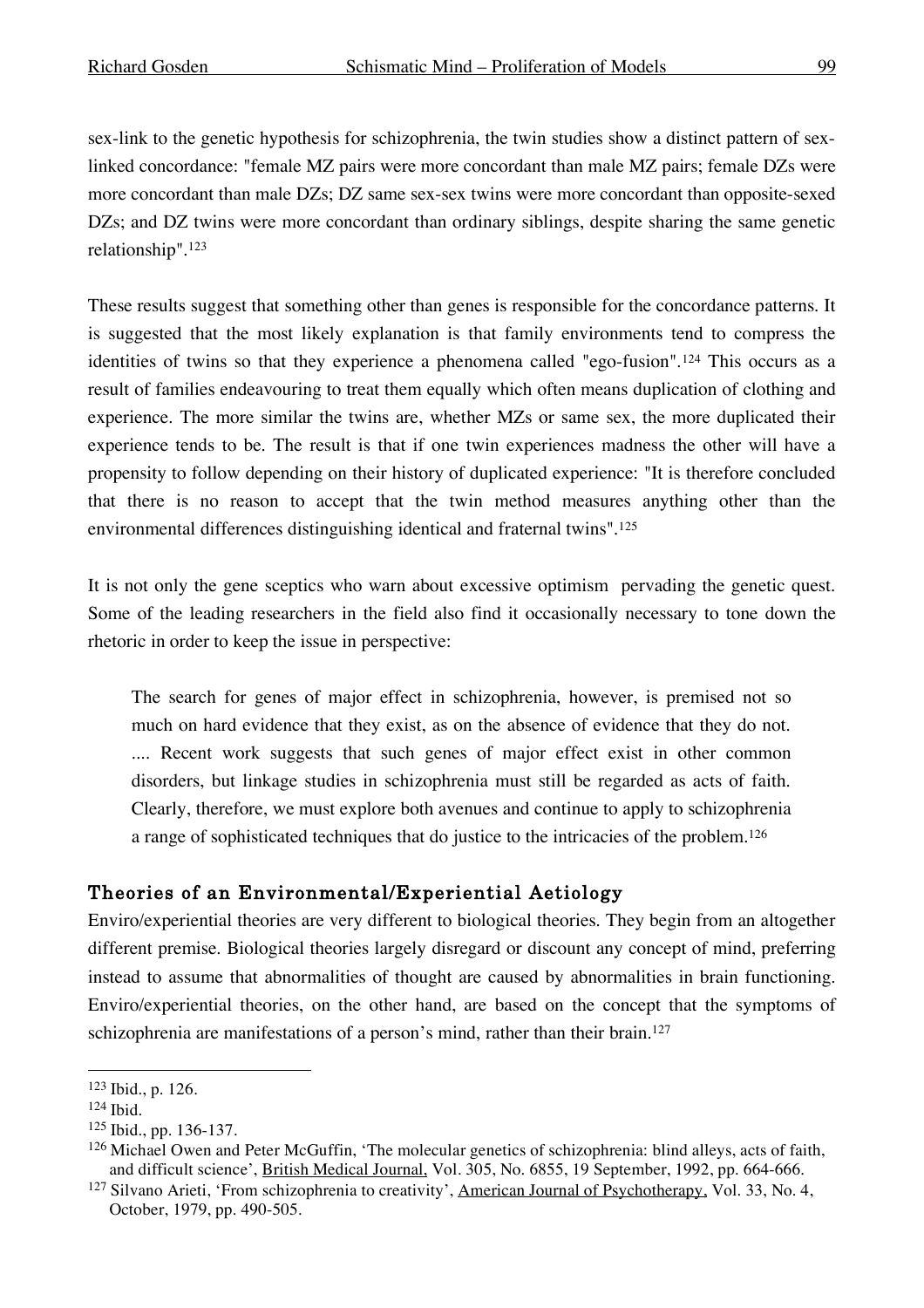sex-link to the genetic hypothesis for schizophrenia, the twin studies show a distinct pattern of sexlinked concordance: "female MZ pairs were more concordant than male MZ pairs; female DZs were more concordant than male DZs; DZ same sex-sex twins were more concordant than opposite-sexed DZs; and DZ twins were more concordant than ordinary siblings, despite sharing the same genetic relationship". 123

These results suggest that something other than genes is responsible for the concordance patterns. It is suggested that the most likely explanation is that family environments tend to compress the identities of twins so that they experience a phenomena called "ego-fusion".124 This occurs as a result of families endeavouring to treat them equally which often means duplication of clothing and experience. The more similar the twins are, whether MZs or same sex, the more duplicated their experience tends to be. The result is that if one twin experiences madness the other will have a propensity to follow depending on their history of duplicated experience: "It is therefore concluded that there is no reason to accept that the twin method measures anything other than the environmental differences distinguishing identical and fraternal twins".125

It is not only the gene sceptics who warn about excessive optimism pervading the genetic quest. Some of the leading researchers in the field also find it occasionally necessary to tone down the rhetoric in order to keep the issue in perspective:

The search for genes of major effect in schizophrenia, however, is premised not so much on hard evidence that they exist, as on the absence of evidence that they do not. .... Recent work suggests that such genes of major effect exist in other common disorders, but linkage studies in schizophrenia must still be regarded as acts of faith. Clearly, therefore, we must explore both avenues and continue to apply to schizophrenia a range of sophisticated techniques that do justice to the intricacies of the problem. 126

# Theories of an Environmental/Experiential Aetiology

Enviro/experiential theories are very different to biological theories. They begin from an altogether different premise. Biological theories largely disregard or discount any concept of mind, preferring instead to assume that abnormalities of thought are caused by abnormalities in brain functioning. Enviro/experiential theories, on the other hand, are based on the concept that the symptoms of schizophrenia are manifestations of a person's mind, rather than their brain.<sup>127</sup>

 <sup>123</sup> Ibid., p. 126.

<sup>124</sup> Ibid.

<sup>125</sup> Ibid., pp. 136-137.

<sup>126</sup> Michael Owen and Peter McGuffin, 'The molecular genetics of schizophrenia: blind alleys, acts of faith, and difficult science', British Medical Journal, Vol. 305, No. 6855, 19 September, 1992, pp. 664-666.

<sup>&</sup>lt;sup>127</sup> Silvano Arieti, 'From schizophrenia to creativity', American Journal of Psychotherapy, Vol. 33, No. 4, October, 1979, pp. 490-505.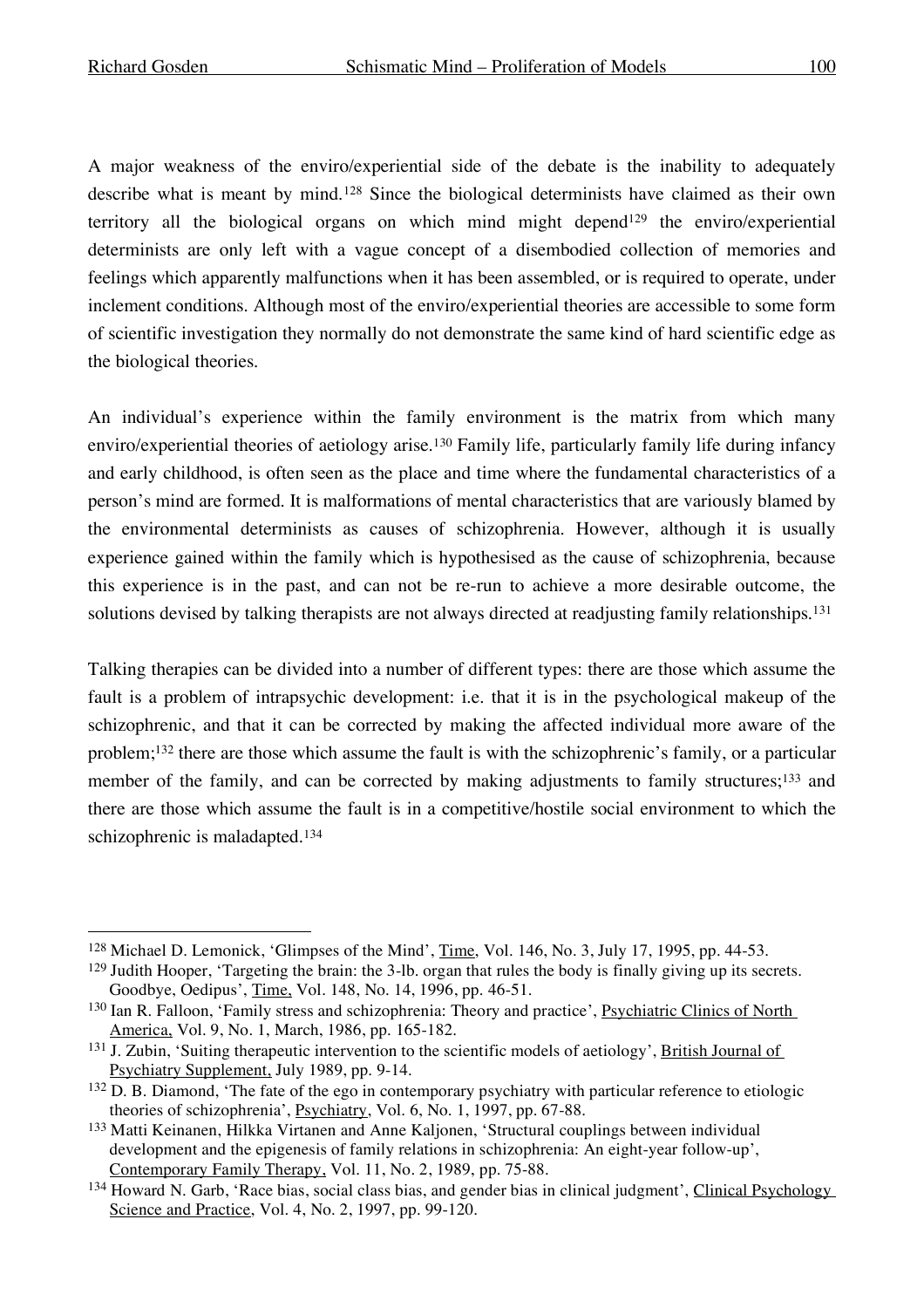A major weakness of the enviro/experiential side of the debate is the inability to adequately describe what is meant by mind.128 Since the biological determinists have claimed as their own territory all the biological organs on which mind might depend<sup>129</sup> the enviro/experiential determinists are only left with a vague concept of a disembodied collection of memories and feelings which apparently malfunctions when it has been assembled, or is required to operate, under inclement conditions. Although most of the enviro/experiential theories are accessible to some form of scientific investigation they normally do not demonstrate the same kind of hard scientific edge as the biological theories.

An individual's experience within the family environment is the matrix from which many enviro/experiential theories of aetiology arise. <sup>130</sup> Family life, particularly family life during infancy and early childhood, is often seen as the place and time where the fundamental characteristics of a person's mind are formed. It is malformations of mental characteristics that are variously blamed by the environmental determinists as causes of schizophrenia. However, although it is usually experience gained within the family which is hypothesised as the cause of schizophrenia, because this experience is in the past, and can not be re-run to achieve a more desirable outcome, the solutions devised by talking therapists are not always directed at readjusting family relationships.<sup>131</sup>

Talking therapies can be divided into a number of different types: there are those which assume the fault is a problem of intrapsychic development: i.e. that it is in the psychological makeup of the schizophrenic, and that it can be corrected by making the affected individual more aware of the problem;132 there are those which assume the fault is with the schizophrenic's family, or a particular member of the family, and can be corrected by making adjustments to family structures;<sup>133</sup> and there are those which assume the fault is in a competitive/hostile social environment to which the schizophrenic is maladapted.134

 <sup>128</sup> Michael D. Lemonick, 'Glimpses of the Mind', Time, Vol. 146, No. 3, July 17, 1995, pp. 44-53. <sup>129</sup> Judith Hooper, 'Targeting the brain: the 3-lb. organ that rules the body is finally giving up its secrets. Goodbye, Oedipus', Time, Vol. 148, No. 14, 1996, pp. 46-51.

<sup>&</sup>lt;sup>130</sup> Ian R. Falloon, 'Family stress and schizophrenia: Theory and practice', Psychiatric Clinics of North America, Vol. 9, No. 1, March, 1986, pp. 165-182.

<sup>&</sup>lt;sup>131</sup> J. Zubin, 'Suiting therapeutic intervention to the scientific models of aetiology', British Journal of Psychiatry Supplement, July 1989, pp. 9-14.

<sup>&</sup>lt;sup>132</sup> D. B. Diamond, 'The fate of the ego in contemporary psychiatry with particular reference to etiologic theories of schizophrenia', Psychiatry, Vol. 6, No. 1, 1997, pp. 67-88.

<sup>133</sup> Matti Keinanen, Hilkka Virtanen and Anne Kaljonen, 'Structural couplings between individual development and the epigenesis of family relations in schizophrenia: An eight-year follow-up', Contemporary Family Therapy, Vol. 11, No. 2, 1989, pp. 75-88.

<sup>134</sup> Howard N. Garb, 'Race bias, social class bias, and gender bias in clinical judgment', Clinical Psychology Science and Practice, Vol. 4, No. 2, 1997, pp. 99-120.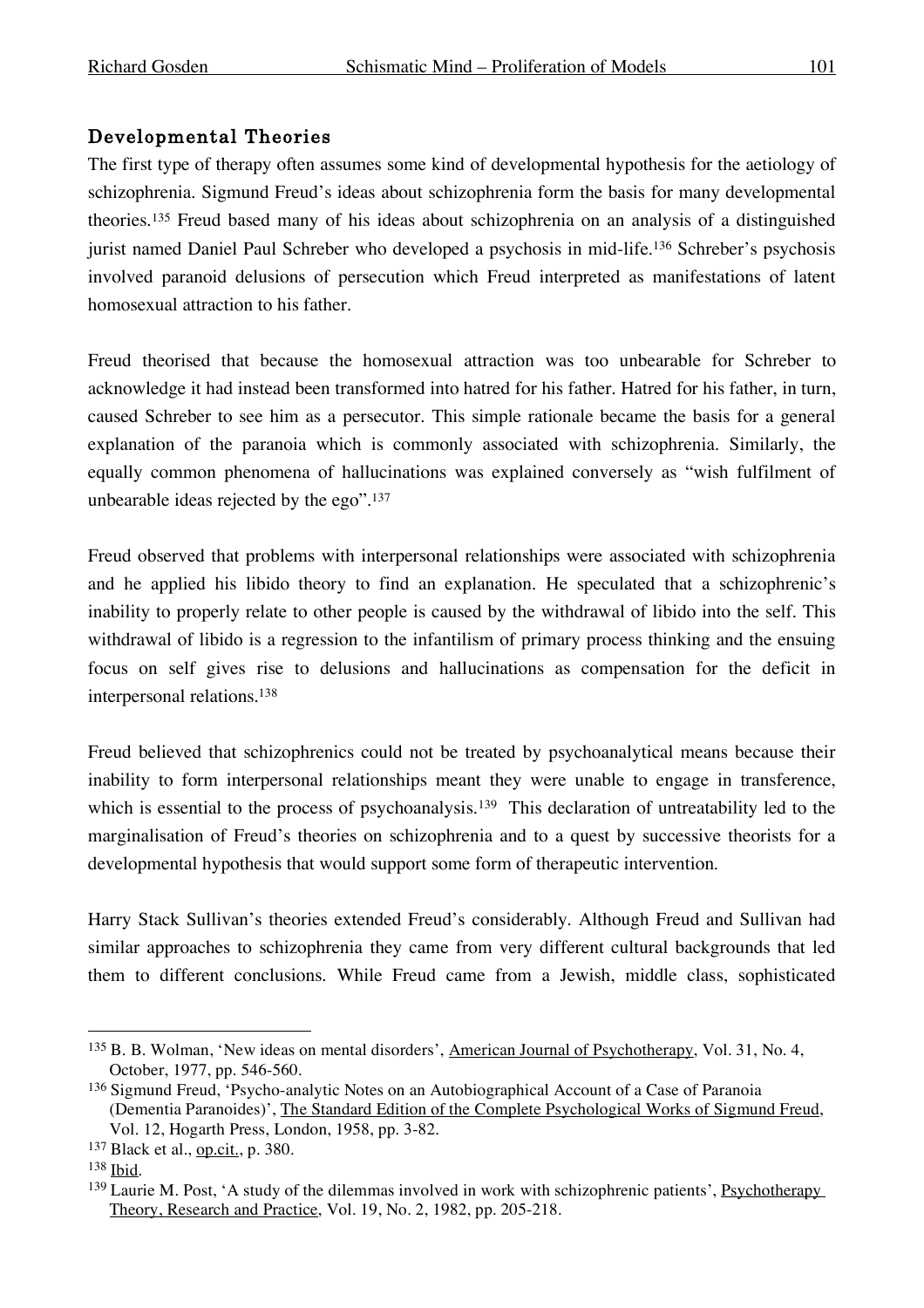### Developmental Theories

The first type of therapy often assumes some kind of developmental hypothesis for the aetiology of schizophrenia. Sigmund Freud's ideas about schizophrenia form the basis for many developmental theories. <sup>135</sup> Freud based many of his ideas about schizophrenia on an analysis of a distinguished jurist named Daniel Paul Schreber who developed a psychosis in mid-life. <sup>136</sup> Schreber's psychosis involved paranoid delusions of persecution which Freud interpreted as manifestations of latent homosexual attraction to his father.

Freud theorised that because the homosexual attraction was too unbearable for Schreber to acknowledge it had instead been transformed into hatred for his father. Hatred for his father, in turn, caused Schreber to see him as a persecutor. This simple rationale became the basis for a general explanation of the paranoia which is commonly associated with schizophrenia. Similarly, the equally common phenomena of hallucinations was explained conversely as "wish fulfilment of unbearable ideas rejected by the ego". 137

Freud observed that problems with interpersonal relationships were associated with schizophrenia and he applied his libido theory to find an explanation. He speculated that a schizophrenic's inability to properly relate to other people is caused by the withdrawal of libido into the self. This withdrawal of libido is a regression to the infantilism of primary process thinking and the ensuing focus on self gives rise to delusions and hallucinations as compensation for the deficit in interpersonal relations. 138

Freud believed that schizophrenics could not be treated by psychoanalytical means because their inability to form interpersonal relationships meant they were unable to engage in transference, which is essential to the process of psychoanalysis.<sup>139</sup> This declaration of untreatability led to the marginalisation of Freud's theories on schizophrenia and to a quest by successive theorists for a developmental hypothesis that would support some form of therapeutic intervention.

Harry Stack Sullivan's theories extended Freud's considerably. Although Freud and Sullivan had similar approaches to schizophrenia they came from very different cultural backgrounds that led them to different conclusions. While Freud came from a Jewish, middle class, sophisticated

<sup>&</sup>lt;sup>135</sup> B. B. Wolman, 'New ideas on mental disorders', American Journal of Psychotherapy, Vol. 31, No. 4, October, 1977, pp. 546-560.

<sup>&</sup>lt;sup>136</sup> Sigmund Freud, 'Psycho-analytic Notes on an Autobiographical Account of a Case of Paranoia (Dementia Paranoides)', The Standard Edition of the Complete Psychological Works of Sigmund Freud, Vol. 12, Hogarth Press, London, 1958, pp. 3-82.

<sup>137</sup> Black et al., op.cit., p. 380.

<sup>138</sup> Ibid.

<sup>&</sup>lt;sup>139</sup> Laurie M. Post, 'A study of the dilemmas involved in work with schizophrenic patients', Psychotherapy Theory, Research and Practice, Vol. 19, No. 2, 1982, pp. 205-218.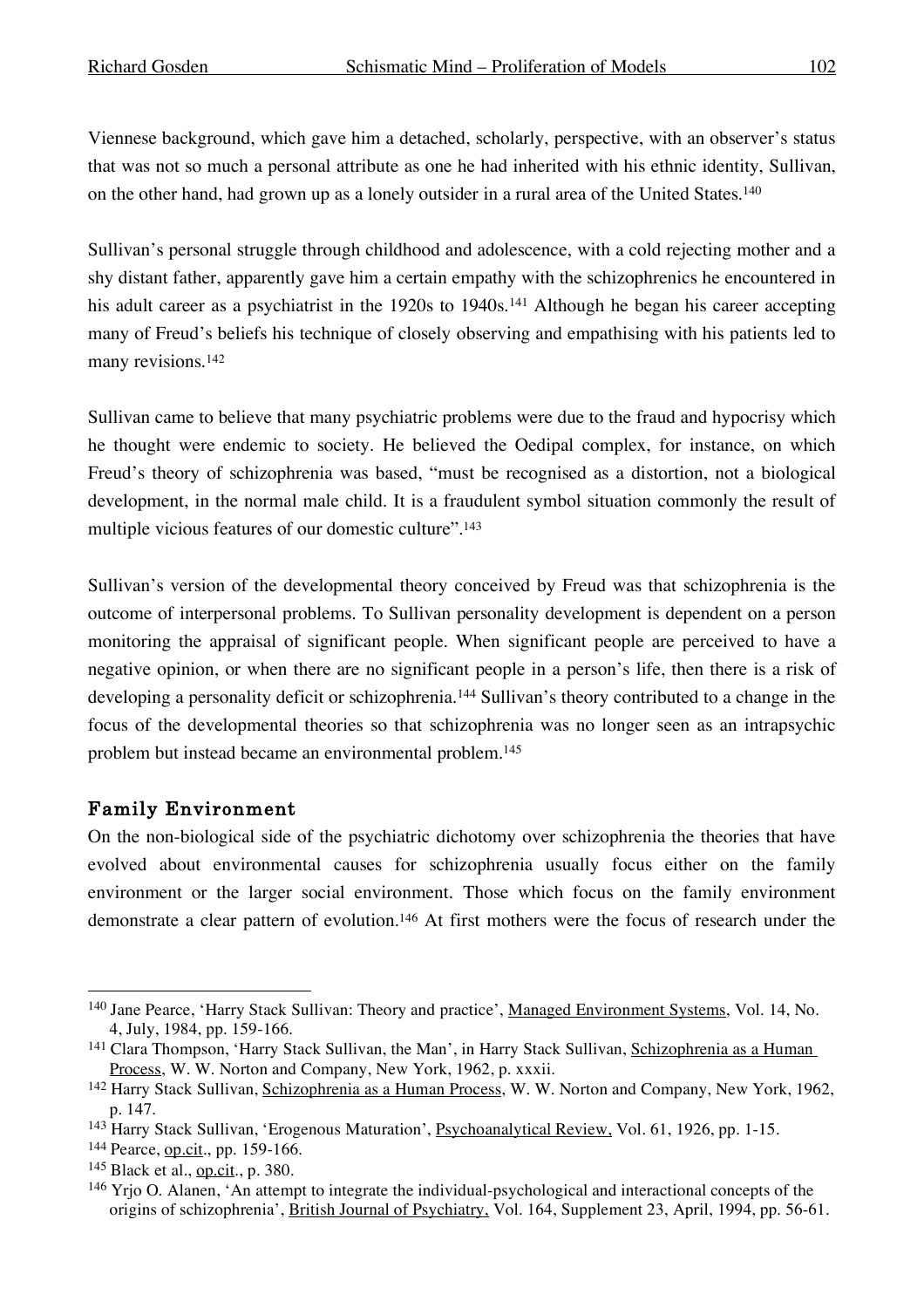Viennese background, which gave him a detached, scholarly, perspective, with an observer's status that was not so much a personal attribute as one he had inherited with his ethnic identity, Sullivan, on the other hand, had grown up as a lonely outsider in a rural area of the United States.<sup>140</sup>

Sullivan's personal struggle through childhood and adolescence, with a cold rejecting mother and a shy distant father, apparently gave him a certain empathy with the schizophrenics he encountered in his adult career as a psychiatrist in the 1920s to 1940s.<sup>141</sup> Although he began his career accepting many of Freud's beliefs his technique of closely observing and empathising with his patients led to many revisions. 142

Sullivan came to believe that many psychiatric problems were due to the fraud and hypocrisy which he thought were endemic to society. He believed the Oedipal complex, for instance, on which Freud's theory of schizophrenia was based, "must be recognised as a distortion, not a biological development, in the normal male child. It is a fraudulent symbol situation commonly the result of multiple vicious features of our domestic culture". 143

Sullivan's version of the developmental theory conceived by Freud was that schizophrenia is the outcome of interpersonal problems. To Sullivan personality development is dependent on a person monitoring the appraisal of significant people. When significant people are perceived to have a negative opinion, or when there are no significant people in a person's life, then there is a risk of developing a personality deficit or schizophrenia.<sup>144</sup> Sullivan's theory contributed to a change in the focus of the developmental theories so that schizophrenia was no longer seen as an intrapsychic problem but instead became an environmental problem. 145

### Family Environment

On the non-biological side of the psychiatric dichotomy over schizophrenia the theories that have evolved about environmental causes for schizophrenia usually focus either on the family environment or the larger social environment. Those which focus on the family environment demonstrate a clear pattern of evolution.<sup>146</sup> At first mothers were the focus of research under the

 <sup>140</sup> Jane Pearce, 'Harry Stack Sullivan: Theory and practice', Managed Environment Systems, Vol. 14, No. 4, July, 1984, pp. 159-166.

<sup>141</sup> Clara Thompson, 'Harry Stack Sullivan, the Man', in Harry Stack Sullivan, Schizophrenia as a Human Process, W. W. Norton and Company, New York, 1962, p. xxxii.

<sup>142</sup> Harry Stack Sullivan, Schizophrenia as a Human Process, W. W. Norton and Company, New York, 1962, p. 147.

<sup>143</sup> Harry Stack Sullivan, 'Erogenous Maturation', Psychoanalytical Review, Vol. 61, 1926, pp. 1-15.

<sup>144</sup> Pearce, op.cit., pp. 159-166.

<sup>145</sup> Black et al., op.cit., p. 380.

<sup>146</sup> Yrjo O. Alanen, 'An attempt to integrate the individual-psychological and interactional concepts of the origins of schizophrenia', British Journal of Psychiatry, Vol. 164, Supplement 23, April, 1994, pp. 56-61.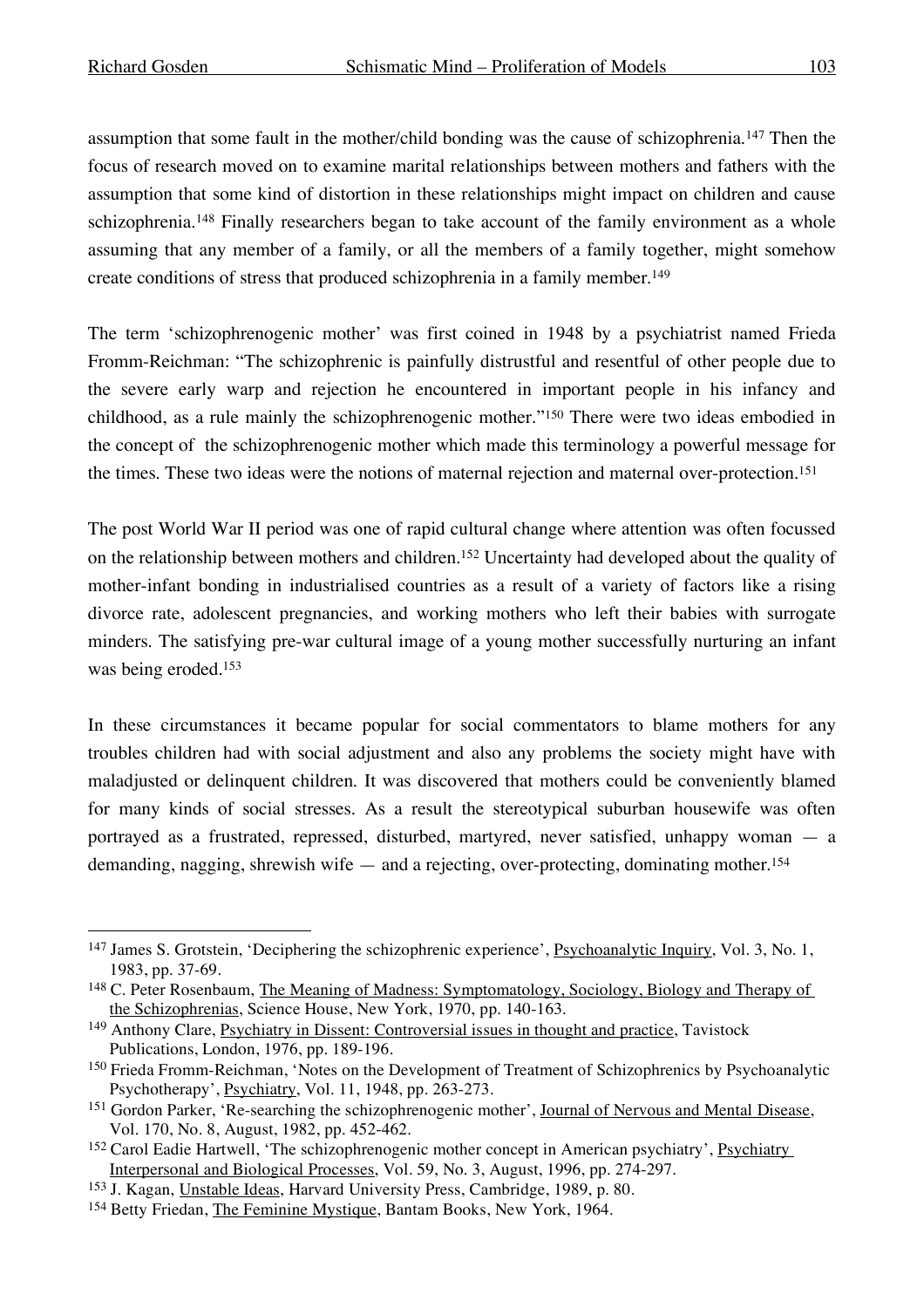assumption that some fault in the mother/child bonding was the cause of schizophrenia.147 Then the focus of research moved on to examine marital relationships between mothers and fathers with the assumption that some kind of distortion in these relationships might impact on children and cause schizophrenia.<sup>148</sup> Finally researchers began to take account of the family environment as a whole assuming that any member of a family, or all the members of a family together, might somehow create conditions of stress that produced schizophrenia in a family member. 149

The term 'schizophrenogenic mother' was first coined in 1948 by a psychiatrist named Frieda Fromm-Reichman: "The schizophrenic is painfully distrustful and resentful of other people due to the severe early warp and rejection he encountered in important people in his infancy and childhood, as a rule mainly the schizophrenogenic mother."150 There were two ideas embodied in the concept of the schizophrenogenic mother which made this terminology a powerful message for the times. These two ideas were the notions of maternal rejection and maternal over-protection.151

The post World War II period was one of rapid cultural change where attention was often focussed on the relationship between mothers and children.152 Uncertainty had developed about the quality of mother-infant bonding in industrialised countries as a result of a variety of factors like a rising divorce rate, adolescent pregnancies, and working mothers who left their babies with surrogate minders. The satisfying pre-war cultural image of a young mother successfully nurturing an infant was being eroded.153

In these circumstances it became popular for social commentators to blame mothers for any troubles children had with social adjustment and also any problems the society might have with maladjusted or delinquent children. It was discovered that mothers could be conveniently blamed for many kinds of social stresses. As a result the stereotypical suburban housewife was often portrayed as a frustrated, repressed, disturbed, martyred, never satisfied, unhappy woman — a demanding, nagging, shrewish wife — and a rejecting, over-protecting, dominating mother. 154

<sup>&</sup>lt;sup>147</sup> James S. Grotstein, 'Deciphering the schizophrenic experience', Psychoanalytic Inquiry, Vol. 3, No. 1, 1983, pp. 37-69.

<sup>&</sup>lt;sup>148</sup> C. Peter Rosenbaum, <u>The Meaning of Madness: Symptomatology, Sociology, Biology and Therapy of</u> the Schizophrenias, Science House, New York, 1970, pp. 140-163.

<sup>149</sup> Anthony Clare, Psychiatry in Dissent: Controversial issues in thought and practice, Tavistock Publications, London, 1976, pp. 189-196.

<sup>150</sup> Frieda Fromm-Reichman, 'Notes on the Development of Treatment of Schizophrenics by Psychoanalytic Psychotherapy', Psychiatry, Vol. 11, 1948, pp. 263-273.

<sup>&</sup>lt;sup>151</sup> Gordon Parker, 'Re-searching the schizophrenogenic mother', Journal of Nervous and Mental Disease, Vol. 170, No. 8, August, 1982, pp. 452-462.

<sup>&</sup>lt;sup>152</sup> Carol Eadie Hartwell, 'The schizophrenogenic mother concept in American psychiatry', Psychiatry Interpersonal and Biological Processes, Vol. 59, No. 3, August, 1996, pp. 274-297.

<sup>153</sup> J. Kagan, Unstable Ideas, Harvard University Press, Cambridge, 1989, p. 80.

<sup>&</sup>lt;sup>154</sup> Betty Friedan, *The Feminine Mystique*, Bantam Books, New York, 1964.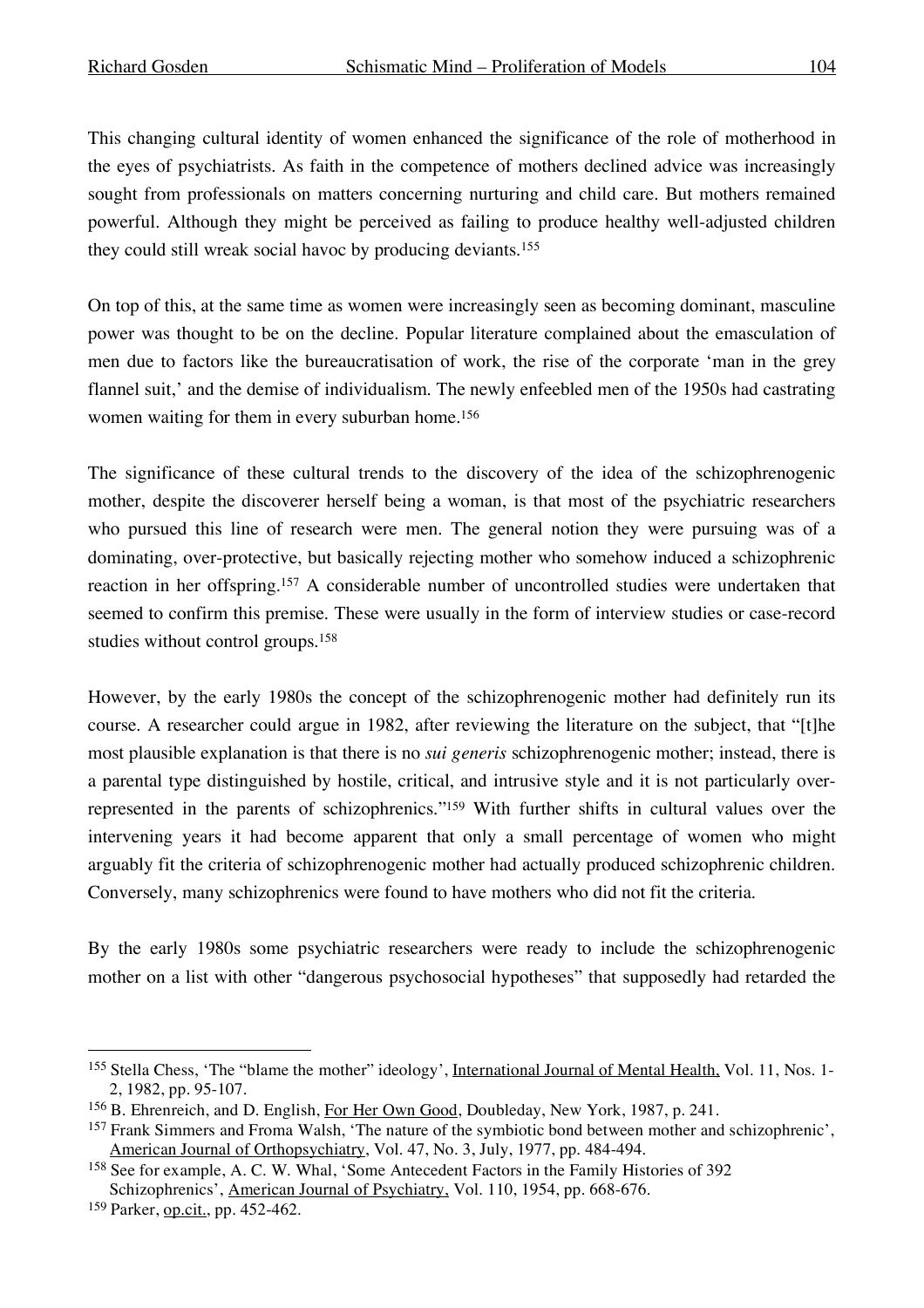This changing cultural identity of women enhanced the significance of the role of motherhood in the eyes of psychiatrists. As faith in the competence of mothers declined advice was increasingly sought from professionals on matters concerning nurturing and child care. But mothers remained powerful. Although they might be perceived as failing to produce healthy well-adjusted children they could still wreak social havoc by producing deviants. 155

On top of this, at the same time as women were increasingly seen as becoming dominant, masculine power was thought to be on the decline. Popular literature complained about the emasculation of men due to factors like the bureaucratisation of work, the rise of the corporate 'man in the grey flannel suit,' and the demise of individualism. The newly enfeebled men of the 1950s had castrating women waiting for them in every suburban home. 156

The significance of these cultural trends to the discovery of the idea of the schizophrenogenic mother, despite the discoverer herself being a woman, is that most of the psychiatric researchers who pursued this line of research were men. The general notion they were pursuing was of a dominating, over-protective, but basically rejecting mother who somehow induced a schizophrenic reaction in her offspring.157 A considerable number of uncontrolled studies were undertaken that seemed to confirm this premise. These were usually in the form of interview studies or case-record studies without control groups. 158

However, by the early 1980s the concept of the schizophrenogenic mother had definitely run its course. A researcher could argue in 1982, after reviewing the literature on the subject, that "[t]he most plausible explanation is that there is no *sui generis* schizophrenogenic mother; instead, there is a parental type distinguished by hostile, critical, and intrusive style and it is not particularly overrepresented in the parents of schizophrenics."159 With further shifts in cultural values over the intervening years it had become apparent that only a small percentage of women who might arguably fit the criteria of schizophrenogenic mother had actually produced schizophrenic children. Conversely, many schizophrenics were found to have mothers who did not fit the criteria.

By the early 1980s some psychiatric researchers were ready to include the schizophrenogenic mother on a list with other "dangerous psychosocial hypotheses" that supposedly had retarded the

 <sup>155</sup> Stella Chess, 'The "blame the mother" ideology', International Journal of Mental Health, Vol. 11, Nos. 1- 2, 1982, pp. 95-107.

<sup>&</sup>lt;sup>156</sup> B. Ehrenreich, and D. English, For Her Own Good, Doubleday, New York, 1987, p. 241.

<sup>157</sup> Frank Simmers and Froma Walsh, 'The nature of the symbiotic bond between mother and schizophrenic', American Journal of Orthopsychiatry, Vol. 47, No. 3, July, 1977, pp. 484-494.

<sup>158</sup> See for example, A. C. W. Whal, 'Some Antecedent Factors in the Family Histories of 392 Schizophrenics', American Journal of Psychiatry, Vol. 110, 1954, pp. 668-676.

<sup>159</sup> Parker, op.cit., pp. 452-462.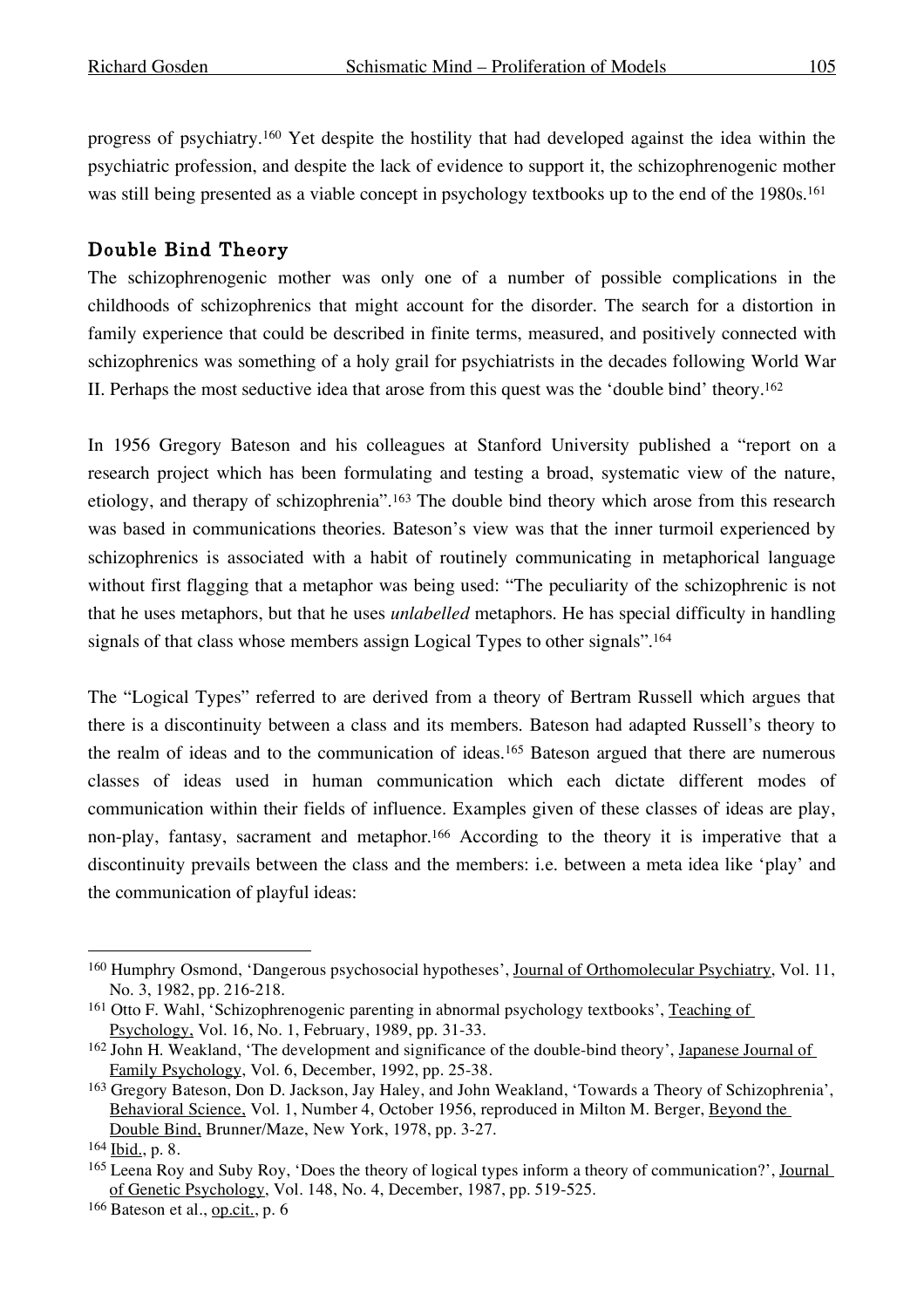progress of psychiatry.160 Yet despite the hostility that had developed against the idea within the psychiatric profession, and despite the lack of evidence to support it, the schizophrenogenic mother was still being presented as a viable concept in psychology textbooks up to the end of the 1980s. 161

# Double Bind Theory

The schizophrenogenic mother was only one of a number of possible complications in the childhoods of schizophrenics that might account for the disorder. The search for a distortion in family experience that could be described in finite terms, measured, and positively connected with schizophrenics was something of a holy grail for psychiatrists in the decades following World War II. Perhaps the most seductive idea that arose from this quest was the 'double bind' theory.162

In 1956 Gregory Bateson and his colleagues at Stanford University published a "report on a research project which has been formulating and testing a broad, systematic view of the nature, etiology, and therapy of schizophrenia". <sup>163</sup> The double bind theory which arose from this research was based in communications theories. Bateson's view was that the inner turmoil experienced by schizophrenics is associated with a habit of routinely communicating in metaphorical language without first flagging that a metaphor was being used: "The peculiarity of the schizophrenic is not that he uses metaphors, but that he uses *unlabelled* metaphors. He has special difficulty in handling signals of that class whose members assign Logical Types to other signals". 164

The "Logical Types" referred to are derived from a theory of Bertram Russell which argues that there is a discontinuity between a class and its members. Bateson had adapted Russell's theory to the realm of ideas and to the communication of ideas. <sup>165</sup> Bateson argued that there are numerous classes of ideas used in human communication which each dictate different modes of communication within their fields of influence. Examples given of these classes of ideas are play, non-play, fantasy, sacrament and metaphor. <sup>166</sup> According to the theory it is imperative that a discontinuity prevails between the class and the members: i.e. between a meta idea like 'play' and the communication of playful ideas:

 <sup>160</sup> Humphry Osmond, 'Dangerous psychosocial hypotheses', Journal of Orthomolecular Psychiatry, Vol. 11, No. 3, 1982, pp. 216-218.

<sup>&</sup>lt;sup>161</sup> Otto F. Wahl, 'Schizophrenogenic parenting in abnormal psychology textbooks', Teaching of Psychology, Vol. 16, No. 1, February, 1989, pp. 31-33.

<sup>162</sup> John H. Weakland, 'The development and significance of the double-bind theory', Japanese Journal of Family Psychology, Vol. 6, December, 1992, pp. 25-38.

<sup>163</sup> Gregory Bateson, Don D. Jackson, Jay Haley, and John Weakland, 'Towards a Theory of Schizophrenia', Behavioral Science, Vol. 1, Number 4, October 1956, reproduced in Milton M. Berger, Beyond the Double Bind, Brunner/Maze, New York, 1978, pp. 3-27.

<sup>164</sup> Ibid., p. 8.

<sup>&</sup>lt;sup>165</sup> Leena Roy and Suby Roy, 'Does the theory of logical types inform a theory of communication?', <u>Journal</u> of Genetic Psychology, Vol. 148, No. 4, December, 1987, pp. 519-525.

<sup>166</sup> Bateson et al., op.cit., p. 6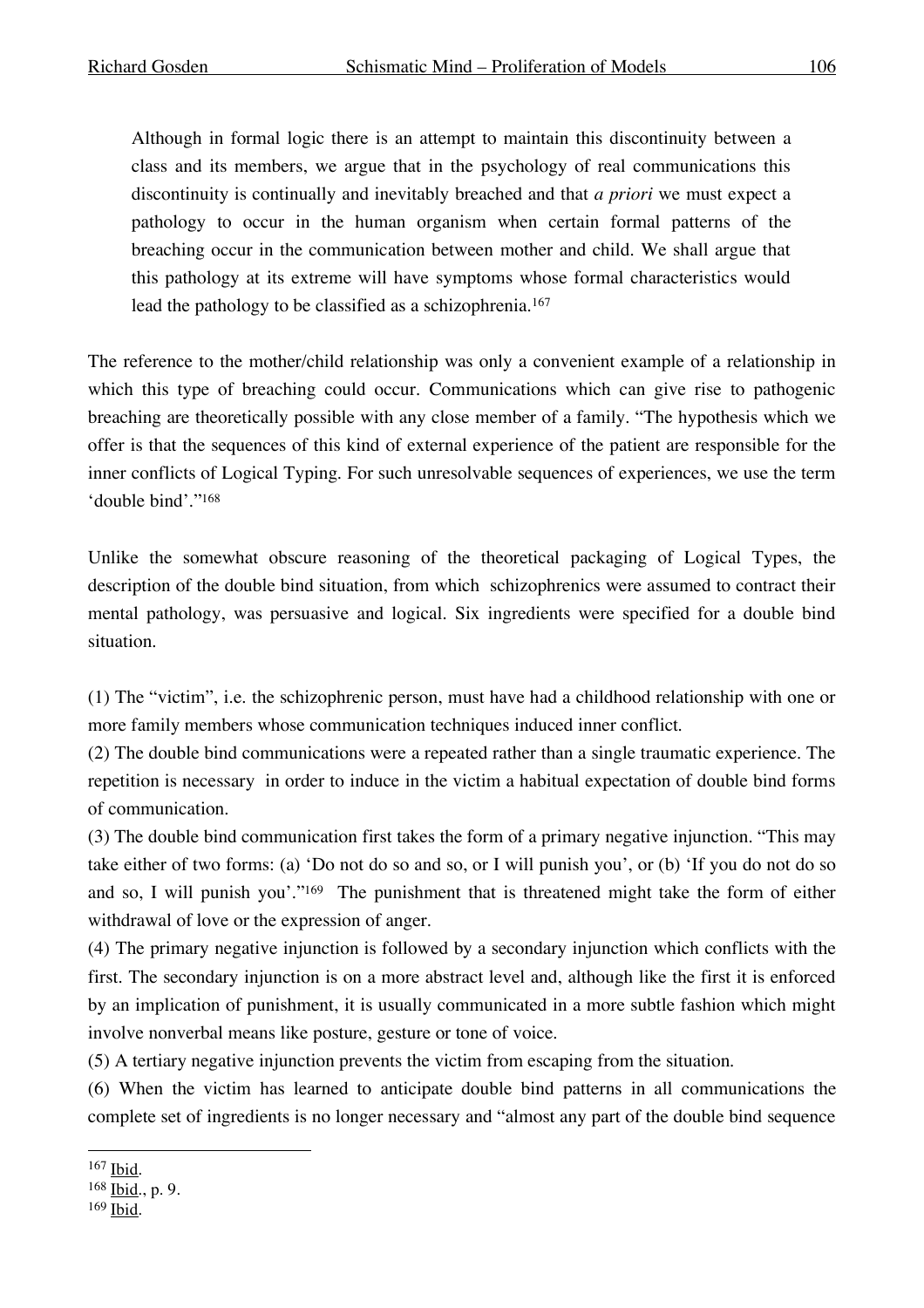Although in formal logic there is an attempt to maintain this discontinuity between a class and its members, we argue that in the psychology of real communications this discontinuity is continually and inevitably breached and that *a priori* we must expect a pathology to occur in the human organism when certain formal patterns of the breaching occur in the communication between mother and child. We shall argue that this pathology at its extreme will have symptoms whose formal characteristics would lead the pathology to be classified as a schizophrenia. 167

The reference to the mother/child relationship was only a convenient example of a relationship in which this type of breaching could occur. Communications which can give rise to pathogenic breaching are theoretically possible with any close member of a family. "The hypothesis which we offer is that the sequences of this kind of external experience of the patient are responsible for the inner conflicts of Logical Typing. For such unresolvable sequences of experiences, we use the term 'double bind'."168

Unlike the somewhat obscure reasoning of the theoretical packaging of Logical Types, the description of the double bind situation, from which schizophrenics were assumed to contract their mental pathology, was persuasive and logical. Six ingredients were specified for a double bind situation.

(1) The "victim", i.e. the schizophrenic person, must have had a childhood relationship with one or more family members whose communication techniques induced inner conflict.

(2) The double bind communications were a repeated rather than a single traumatic experience. The repetition is necessary in order to induce in the victim a habitual expectation of double bind forms of communication.

(3) The double bind communication first takes the form of a primary negative injunction. "This may take either of two forms: (a) 'Do not do so and so, or I will punish you', or (b) 'If you do not do so and so, I will punish you'."169 The punishment that is threatened might take the form of either withdrawal of love or the expression of anger.

(4) The primary negative injunction is followed by a secondary injunction which conflicts with the first. The secondary injunction is on a more abstract level and, although like the first it is enforced by an implication of punishment, it is usually communicated in a more subtle fashion which might involve nonverbal means like posture, gesture or tone of voice.

(5) A tertiary negative injunction prevents the victim from escaping from the situation.

(6) When the victim has learned to anticipate double bind patterns in all communications the complete set of ingredients is no longer necessary and "almost any part of the double bind sequence

 <sup>167</sup> Ibid.

<sup>168</sup> Ibid., p. 9.

<sup>169</sup> Ibid.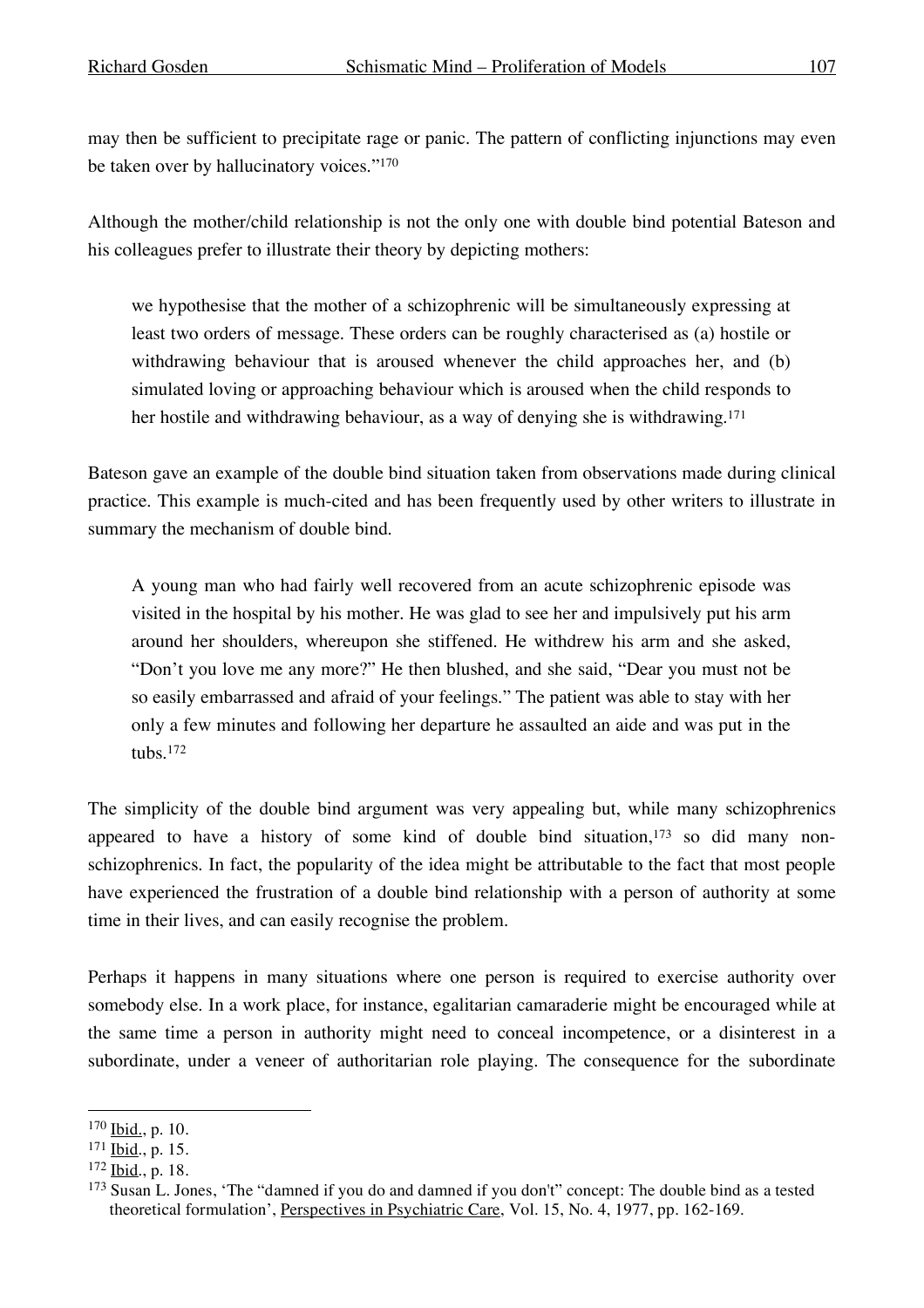may then be sufficient to precipitate rage or panic. The pattern of conflicting injunctions may even be taken over by hallucinatory voices."170

Although the mother/child relationship is not the only one with double bind potential Bateson and his colleagues prefer to illustrate their theory by depicting mothers:

we hypothesise that the mother of a schizophrenic will be simultaneously expressing at least two orders of message. These orders can be roughly characterised as (a) hostile or withdrawing behaviour that is aroused whenever the child approaches her, and (b) simulated loving or approaching behaviour which is aroused when the child responds to her hostile and withdrawing behaviour, as a way of denying she is withdrawing. 171

Bateson gave an example of the double bind situation taken from observations made during clinical practice. This example is much-cited and has been frequently used by other writers to illustrate in summary the mechanism of double bind.

A young man who had fairly well recovered from an acute schizophrenic episode was visited in the hospital by his mother. He was glad to see her and impulsively put his arm around her shoulders, whereupon she stiffened. He withdrew his arm and she asked, "Don't you love me any more?" He then blushed, and she said, "Dear you must not be so easily embarrassed and afraid of your feelings." The patient was able to stay with her only a few minutes and following her departure he assaulted an aide and was put in the tubs.172

The simplicity of the double bind argument was very appealing but, while many schizophrenics appeared to have a history of some kind of double bind situation,173 so did many nonschizophrenics. In fact, the popularity of the idea might be attributable to the fact that most people have experienced the frustration of a double bind relationship with a person of authority at some time in their lives, and can easily recognise the problem.

Perhaps it happens in many situations where one person is required to exercise authority over somebody else. In a work place, for instance, egalitarian camaraderie might be encouraged while at the same time a person in authority might need to conceal incompetence, or a disinterest in a subordinate, under a veneer of authoritarian role playing. The consequence for the subordinate

 <sup>170</sup> Ibid., p. 10.

<sup>171</sup> Ibid., p. 15.

<sup>172</sup> Ibid., p. 18.

<sup>173</sup> Susan L. Jones, 'The "damned if you do and damned if you don't" concept: The double bind as a tested theoretical formulation', Perspectives in Psychiatric Care, Vol. 15, No. 4, 1977, pp. 162-169.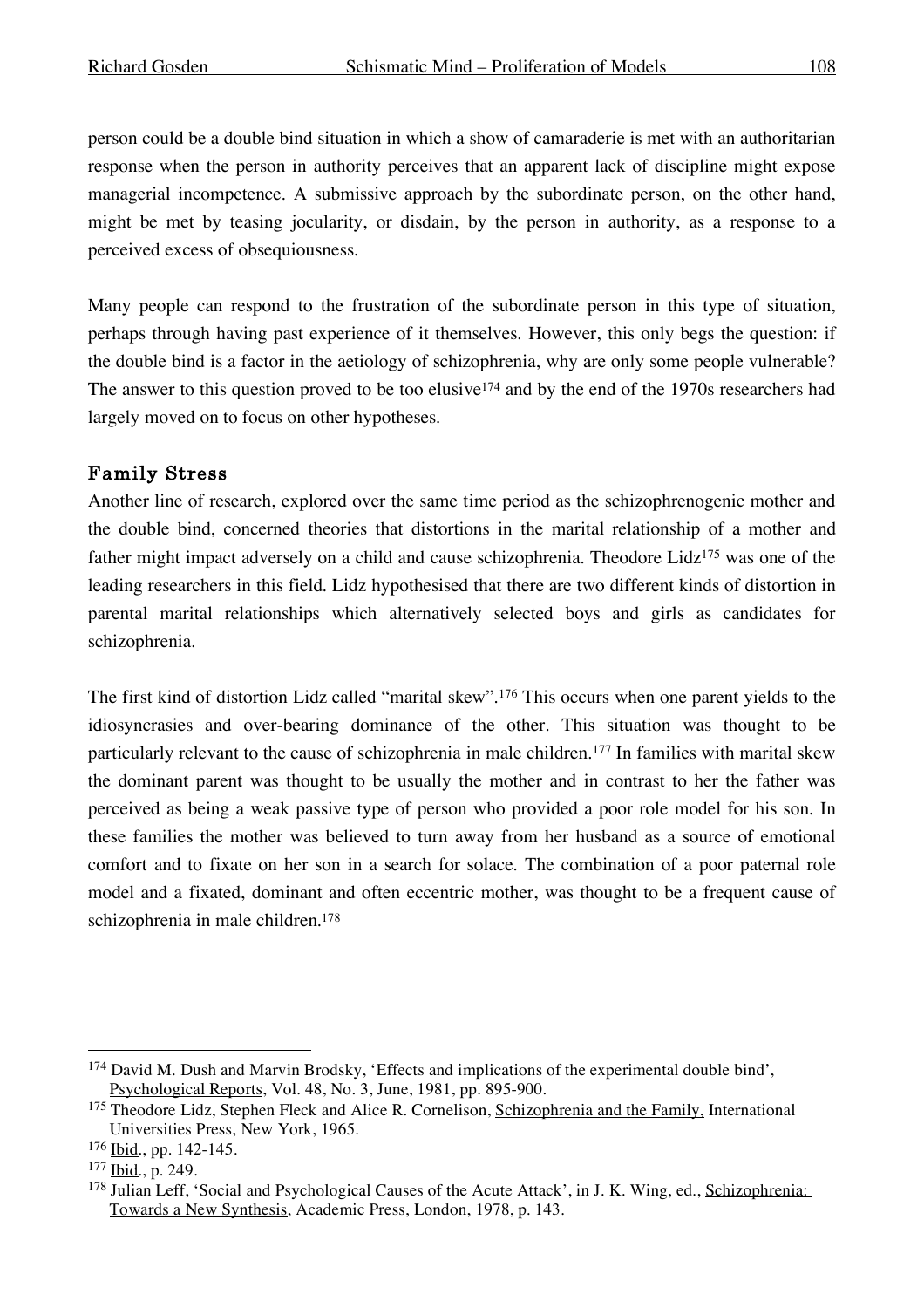person could be a double bind situation in which a show of camaraderie is met with an authoritarian response when the person in authority perceives that an apparent lack of discipline might expose managerial incompetence. A submissive approach by the subordinate person, on the other hand, might be met by teasing jocularity, or disdain, by the person in authority, as a response to a perceived excess of obsequiousness.

Many people can respond to the frustration of the subordinate person in this type of situation, perhaps through having past experience of it themselves. However, this only begs the question: if the double bind is a factor in the aetiology of schizophrenia, why are only some people vulnerable? The answer to this question proved to be too elusive<sup>174</sup> and by the end of the 1970s researchers had largely moved on to focus on other hypotheses.

### Family Stress

Another line of research, explored over the same time period as the schizophrenogenic mother and the double bind, concerned theories that distortions in the marital relationship of a mother and father might impact adversely on a child and cause schizophrenia. Theodore Lidz<sup>175</sup> was one of the leading researchers in this field. Lidz hypothesised that there are two different kinds of distortion in parental marital relationships which alternatively selected boys and girls as candidates for schizophrenia.

The first kind of distortion Lidz called "marital skew".176 This occurs when one parent yields to the idiosyncrasies and over-bearing dominance of the other. This situation was thought to be particularly relevant to the cause of schizophrenia in male children.177 In families with marital skew the dominant parent was thought to be usually the mother and in contrast to her the father was perceived as being a weak passive type of person who provided a poor role model for his son. In these families the mother was believed to turn away from her husband as a source of emotional comfort and to fixate on her son in a search for solace. The combination of a poor paternal role model and a fixated, dominant and often eccentric mother, was thought to be a frequent cause of schizophrenia in male children. 178

 <sup>174</sup> David M. Dush and Marvin Brodsky, 'Effects and implications of the experimental double bind', Psychological Reports, Vol. 48, No. 3, June, 1981, pp. 895-900.

<sup>&</sup>lt;sup>175</sup> Theodore Lidz, Stephen Fleck and Alice R. Cornelison, Schizophrenia and the Family, International Universities Press, New York, 1965.

<sup>176</sup> Ibid., pp. 142-145.

<sup>177</sup> Ibid., p. 249.

<sup>178</sup> Julian Leff, 'Social and Psychological Causes of the Acute Attack', in J. K. Wing, ed., Schizophrenia: Towards a New Synthesis, Academic Press, London, 1978, p. 143.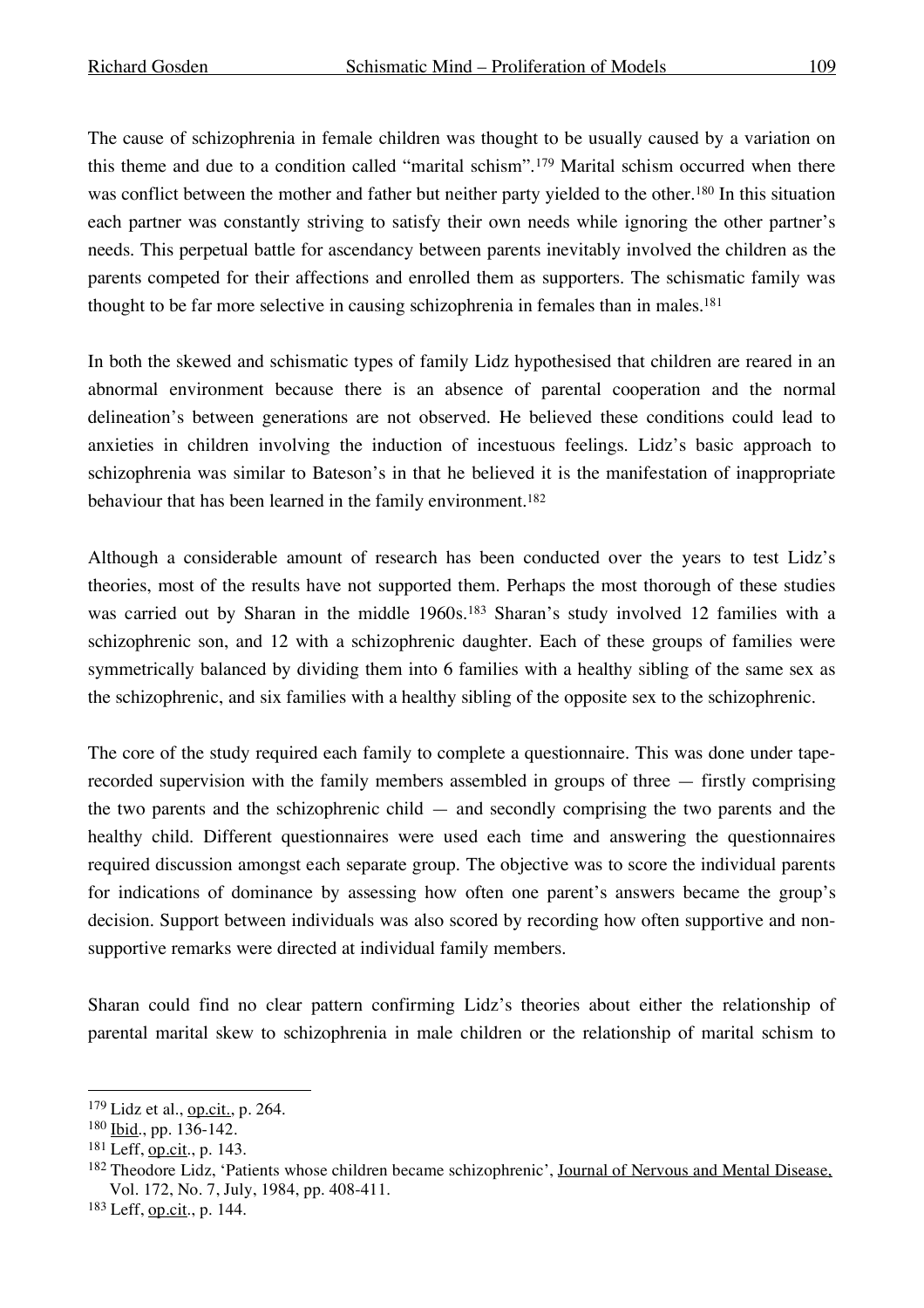The cause of schizophrenia in female children was thought to be usually caused by a variation on this theme and due to a condition called "marital schism".179 Marital schism occurred when there was conflict between the mother and father but neither party yielded to the other. <sup>180</sup> In this situation each partner was constantly striving to satisfy their own needs while ignoring the other partner's needs. This perpetual battle for ascendancy between parents inevitably involved the children as the parents competed for their affections and enrolled them as supporters. The schismatic family was thought to be far more selective in causing schizophrenia in females than in males. 181

In both the skewed and schismatic types of family Lidz hypothesised that children are reared in an abnormal environment because there is an absence of parental cooperation and the normal delineation's between generations are not observed. He believed these conditions could lead to anxieties in children involving the induction of incestuous feelings. Lidz's basic approach to schizophrenia was similar to Bateson's in that he believed it is the manifestation of inappropriate behaviour that has been learned in the family environment. 182

Although a considerable amount of research has been conducted over the years to test Lidz's theories, most of the results have not supported them. Perhaps the most thorough of these studies was carried out by Sharan in the middle 1960s.183 Sharan's study involved 12 families with a schizophrenic son, and 12 with a schizophrenic daughter. Each of these groups of families were symmetrically balanced by dividing them into 6 families with a healthy sibling of the same sex as the schizophrenic, and six families with a healthy sibling of the opposite sex to the schizophrenic.

The core of the study required each family to complete a questionnaire. This was done under taperecorded supervision with the family members assembled in groups of three — firstly comprising the two parents and the schizophrenic child — and secondly comprising the two parents and the healthy child. Different questionnaires were used each time and answering the questionnaires required discussion amongst each separate group. The objective was to score the individual parents for indications of dominance by assessing how often one parent's answers became the group's decision. Support between individuals was also scored by recording how often supportive and nonsupportive remarks were directed at individual family members.

Sharan could find no clear pattern confirming Lidz's theories about either the relationship of parental marital skew to schizophrenia in male children or the relationship of marital schism to

 $179$  Lidz et al., op.cit., p. 264.

<sup>180</sup> Ibid., pp. 136-142.

<sup>181</sup> Leff, op.cit., p. 143.

<sup>&</sup>lt;sup>182</sup> Theodore Lidz, 'Patients whose children became schizophrenic', Journal of Nervous and Mental Disease, Vol. 172, No. 7, July, 1984, pp. 408-411.

<sup>183</sup> Leff, op.cit., p. 144.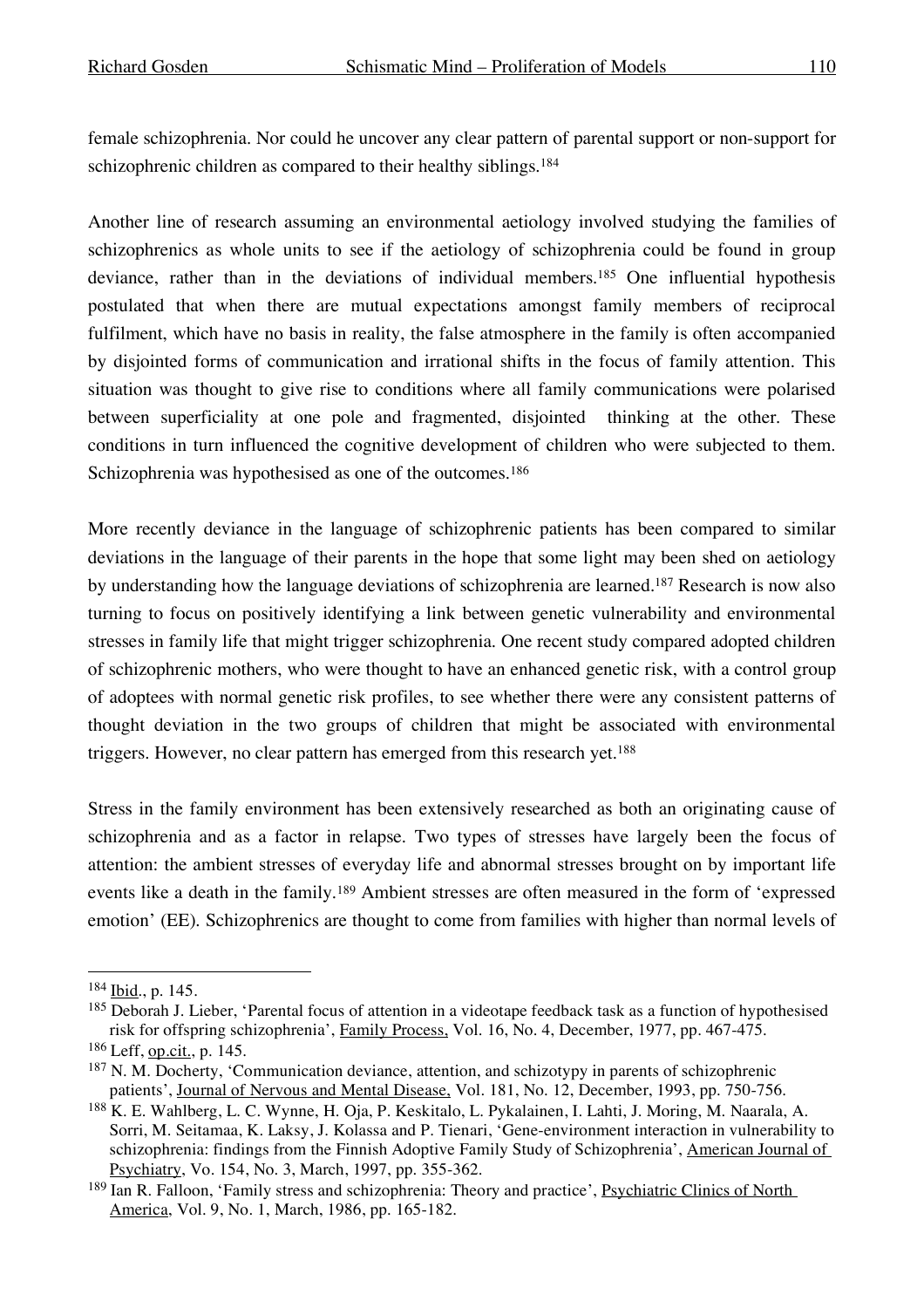female schizophrenia. Nor could he uncover any clear pattern of parental support or non-support for schizophrenic children as compared to their healthy siblings. 184

Another line of research assuming an environmental aetiology involved studying the families of schizophrenics as whole units to see if the aetiology of schizophrenia could be found in group deviance, rather than in the deviations of individual members. <sup>185</sup> One influential hypothesis postulated that when there are mutual expectations amongst family members of reciprocal fulfilment, which have no basis in reality, the false atmosphere in the family is often accompanied by disjointed forms of communication and irrational shifts in the focus of family attention. This situation was thought to give rise to conditions where all family communications were polarised between superficiality at one pole and fragmented, disjointed thinking at the other. These conditions in turn influenced the cognitive development of children who were subjected to them. Schizophrenia was hypothesised as one of the outcomes.<sup>186</sup>

More recently deviance in the language of schizophrenic patients has been compared to similar deviations in the language of their parents in the hope that some light may been shed on aetiology by understanding how the language deviations of schizophrenia are learned.187 Research is now also turning to focus on positively identifying a link between genetic vulnerability and environmental stresses in family life that might trigger schizophrenia. One recent study compared adopted children of schizophrenic mothers, who were thought to have an enhanced genetic risk, with a control group of adoptees with normal genetic risk profiles, to see whether there were any consistent patterns of thought deviation in the two groups of children that might be associated with environmental triggers. However, no clear pattern has emerged from this research yet. 188

Stress in the family environment has been extensively researched as both an originating cause of schizophrenia and as a factor in relapse. Two types of stresses have largely been the focus of attention: the ambient stresses of everyday life and abnormal stresses brought on by important life events like a death in the family.189 Ambient stresses are often measured in the form of 'expressed emotion' (EE). Schizophrenics are thought to come from families with higher than normal levels of

 <sup>184</sup> Ibid., p. 145.

<sup>185</sup> Deborah J. Lieber, 'Parental focus of attention in a videotape feedback task as a function of hypothesised risk for offspring schizophrenia', Family Process, Vol. 16, No. 4, December, 1977, pp. 467-475. <sup>186</sup> Leff, op.cit., p. 145.

<sup>&</sup>lt;sup>187</sup> N. M. Docherty, 'Communication deviance, attention, and schizotypy in parents of schizophrenic patients', Journal of Nervous and Mental Disease, Vol. 181, No. 12, December, 1993, pp. 750-756.

<sup>188</sup> K. E. Wahlberg, L. C. Wynne, H. Oja, P. Keskitalo, L. Pykalainen, I. Lahti, J. Moring, M. Naarala, A. Sorri, M. Seitamaa, K. Laksy, J. Kolassa and P. Tienari, 'Gene-environment interaction in vulnerability to schizophrenia: findings from the Finnish Adoptive Family Study of Schizophrenia', American Journal of Psychiatry, Vo. 154, No. 3, March, 1997, pp. 355-362.

<sup>189</sup> Ian R. Falloon, 'Family stress and schizophrenia: Theory and practice', Psychiatric Clinics of North America, Vol. 9, No. 1, March, 1986, pp. 165-182.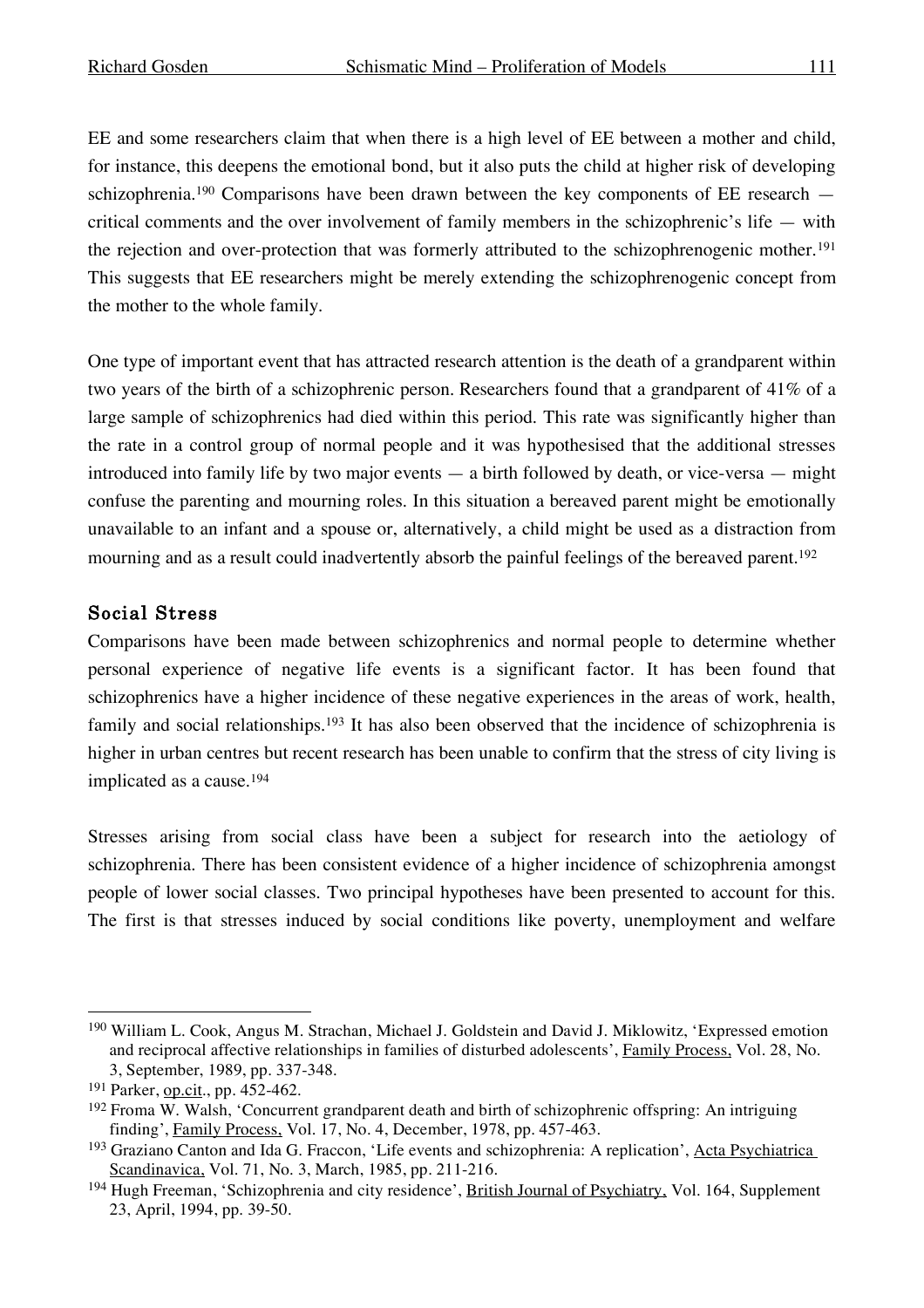EE and some researchers claim that when there is a high level of EE between a mother and child, for instance, this deepens the emotional bond, but it also puts the child at higher risk of developing schizophrenia.<sup>190</sup> Comparisons have been drawn between the key components of EE research critical comments and the over involvement of family members in the schizophrenic's life — with the rejection and over-protection that was formerly attributed to the schizophrenogenic mother.191 This suggests that EE researchers might be merely extending the schizophrenogenic concept from the mother to the whole family.

One type of important event that has attracted research attention is the death of a grandparent within two years of the birth of a schizophrenic person. Researchers found that a grandparent of 41% of a large sample of schizophrenics had died within this period. This rate was significantly higher than the rate in a control group of normal people and it was hypothesised that the additional stresses introduced into family life by two major events — a birth followed by death, or vice-versa — might confuse the parenting and mourning roles. In this situation a bereaved parent might be emotionally unavailable to an infant and a spouse or, alternatively, a child might be used as a distraction from mourning and as a result could inadvertently absorb the painful feelings of the bereaved parent. 192

## Social Stress

Comparisons have been made between schizophrenics and normal people to determine whether personal experience of negative life events is a significant factor. It has been found that schizophrenics have a higher incidence of these negative experiences in the areas of work, health, family and social relationships.<sup>193</sup> It has also been observed that the incidence of schizophrenia is higher in urban centres but recent research has been unable to confirm that the stress of city living is implicated as a cause.194

Stresses arising from social class have been a subject for research into the aetiology of schizophrenia. There has been consistent evidence of a higher incidence of schizophrenia amongst people of lower social classes. Two principal hypotheses have been presented to account for this. The first is that stresses induced by social conditions like poverty, unemployment and welfare

 <sup>190</sup> William L. Cook, Angus M. Strachan, Michael J. Goldstein and David J. Miklowitz, 'Expressed emotion and reciprocal affective relationships in families of disturbed adolescents', Family Process, Vol. 28, No. 3, September, 1989, pp. 337-348.

<sup>191</sup> Parker, op.cit., pp. 452-462.

<sup>192</sup> Froma W. Walsh, 'Concurrent grandparent death and birth of schizophrenic offspring: An intriguing finding', Family Process, Vol. 17, No. 4, December, 1978, pp. 457-463.

<sup>193</sup> Graziano Canton and Ida G. Fraccon, 'Life events and schizophrenia: A replication', Acta Psychiatrica Scandinavica, Vol. 71, No. 3, March, 1985, pp. 211-216.

<sup>&</sup>lt;sup>194</sup> Hugh Freeman, 'Schizophrenia and city residence', British Journal of Psychiatry, Vol. 164, Supplement 23, April, 1994, pp. 39-50.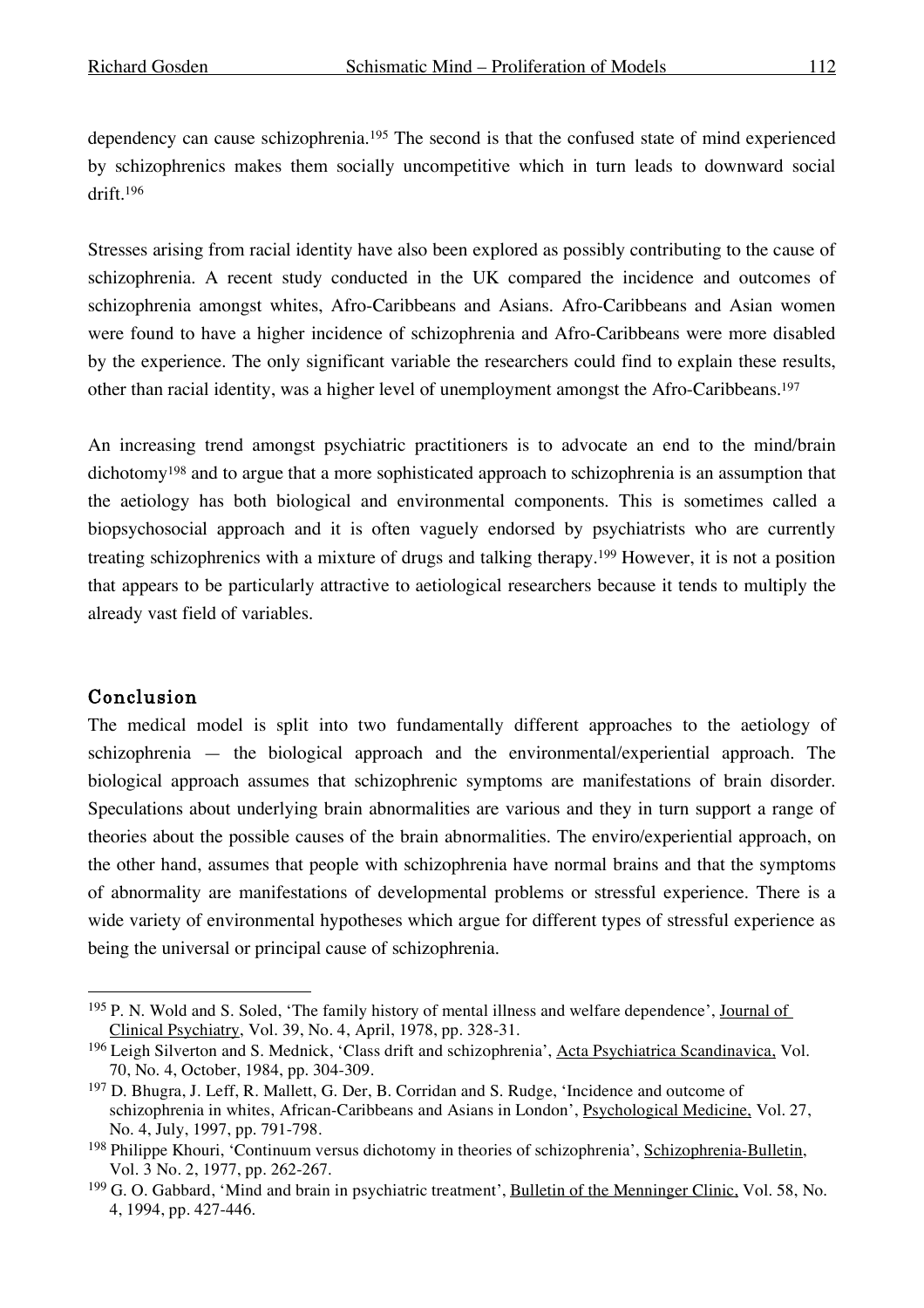dependency can cause schizophrenia. <sup>195</sup> The second is that the confused state of mind experienced by schizophrenics makes them socially uncompetitive which in turn leads to downward social drift. 196

Stresses arising from racial identity have also been explored as possibly contributing to the cause of schizophrenia. A recent study conducted in the UK compared the incidence and outcomes of schizophrenia amongst whites, Afro-Caribbeans and Asians. Afro-Caribbeans and Asian women were found to have a higher incidence of schizophrenia and Afro-Caribbeans were more disabled by the experience. The only significant variable the researchers could find to explain these results, other than racial identity, was a higher level of unemployment amongst the Afro-Caribbeans. 197

An increasing trend amongst psychiatric practitioners is to advocate an end to the mind/brain dichotomy198 and to argue that a more sophisticated approach to schizophrenia is an assumption that the aetiology has both biological and environmental components. This is sometimes called a biopsychosocial approach and it is often vaguely endorsed by psychiatrists who are currently treating schizophrenics with a mixture of drugs and talking therapy.199 However, it is not a position that appears to be particularly attractive to aetiological researchers because it tends to multiply the already vast field of variables.

#### Conclusion

The medical model is split into two fundamentally different approaches to the aetiology of schizophrenia — the biological approach and the environmental/experiential approach. The biological approach assumes that schizophrenic symptoms are manifestations of brain disorder. Speculations about underlying brain abnormalities are various and they in turn support a range of theories about the possible causes of the brain abnormalities. The enviro/experiential approach, on the other hand, assumes that people with schizophrenia have normal brains and that the symptoms of abnormality are manifestations of developmental problems or stressful experience. There is a wide variety of environmental hypotheses which argue for different types of stressful experience as being the universal or principal cause of schizophrenia.

<sup>&</sup>lt;sup>195</sup> P. N. Wold and S. Soled, 'The family history of mental illness and welfare dependence', <u>Journal of</u> Clinical Psychiatry, Vol. 39, No. 4, April, 1978, pp. 328-31.

<sup>196</sup> Leigh Silverton and S. Mednick, 'Class drift and schizophrenia', Acta Psychiatrica Scandinavica, Vol. 70, No. 4, October, 1984, pp. 304-309.

<sup>197</sup> D. Bhugra, J. Leff, R. Mallett, G. Der, B. Corridan and S. Rudge, 'Incidence and outcome of schizophrenia in whites, African-Caribbeans and Asians in London', Psychological Medicine, Vol. 27, No. 4, July, 1997, pp. 791-798.

<sup>198</sup> Philippe Khouri, 'Continuum versus dichotomy in theories of schizophrenia', Schizophrenia-Bulletin, Vol. 3 No. 2, 1977, pp. 262-267.

<sup>199</sup> G. O. Gabbard, 'Mind and brain in psychiatric treatment', Bulletin of the Menninger Clinic, Vol. 58, No. 4, 1994, pp. 427-446.